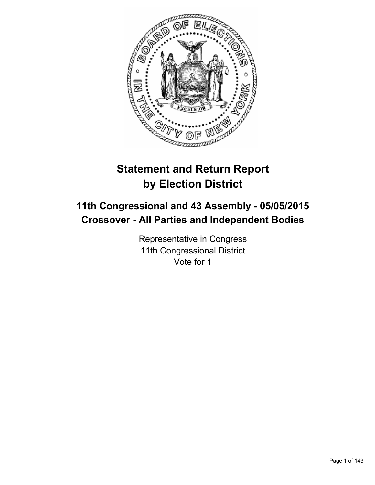

# **Statement and Return Report by Election District**

# **11th Congressional and 43 Assembly - 05/05/2015 Crossover - All Parties and Independent Bodies**

Representative in Congress 11th Congressional District Vote for 1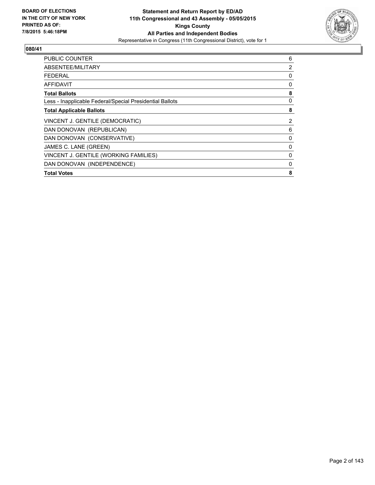

| <b>PUBLIC COUNTER</b>                                    | 6 |
|----------------------------------------------------------|---|
| ABSENTEE/MILITARY                                        | 2 |
| <b>FEDERAL</b>                                           | 0 |
| AFFIDAVIT                                                | 0 |
| <b>Total Ballots</b>                                     | 8 |
| Less - Inapplicable Federal/Special Presidential Ballots | 0 |
| <b>Total Applicable Ballots</b>                          | 8 |
| VINCENT J. GENTILE (DEMOCRATIC)                          | 2 |
| DAN DONOVAN (REPUBLICAN)                                 | 6 |
| DAN DONOVAN (CONSERVATIVE)                               | 0 |
| JAMES C. LANE (GREEN)                                    | 0 |
| VINCENT J. GENTILE (WORKING FAMILIES)                    | 0 |
| DAN DONOVAN (INDEPENDENCE)                               | 0 |
| <b>Total Votes</b>                                       | 8 |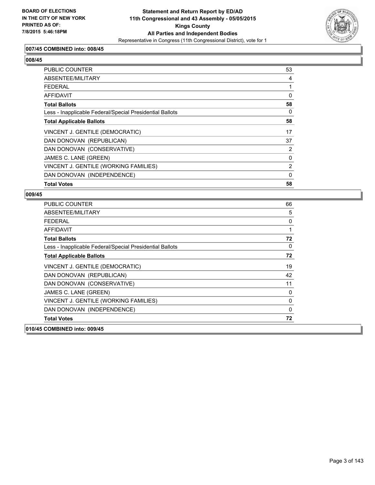

## **007/45 COMBINED into: 008/45**

# **008/45**

| <b>PUBLIC COUNTER</b>                                    | 53       |
|----------------------------------------------------------|----------|
| ABSENTEE/MILITARY                                        | 4        |
| <b>FEDERAL</b>                                           |          |
| <b>AFFIDAVIT</b>                                         | $\Omega$ |
| <b>Total Ballots</b>                                     | 58       |
| Less - Inapplicable Federal/Special Presidential Ballots | 0        |
| <b>Total Applicable Ballots</b>                          | 58       |
| VINCENT J. GENTILE (DEMOCRATIC)                          | 17       |
| DAN DONOVAN (REPUBLICAN)                                 | 37       |
| DAN DONOVAN (CONSERVATIVE)                               | 2        |
| JAMES C. LANE (GREEN)                                    | 0        |
| VINCENT J. GENTILE (WORKING FAMILIES)                    | 2        |
| DAN DONOVAN (INDEPENDENCE)                               | 0        |
| <b>Total Votes</b>                                       | 58       |

| <b>PUBLIC COUNTER</b>                                    | 66           |
|----------------------------------------------------------|--------------|
| ABSENTEE/MILITARY                                        | 5            |
| <b>FEDERAL</b>                                           | 0            |
| <b>AFFIDAVIT</b>                                         | 1            |
| <b>Total Ballots</b>                                     | 72           |
| Less - Inapplicable Federal/Special Presidential Ballots | 0            |
| <b>Total Applicable Ballots</b>                          | 72           |
| VINCENT J. GENTILE (DEMOCRATIC)                          | 19           |
| DAN DONOVAN (REPUBLICAN)                                 | 42           |
| DAN DONOVAN (CONSERVATIVE)                               | 11           |
| JAMES C. LANE (GREEN)                                    | $\mathbf{0}$ |
| VINCENT J. GENTILE (WORKING FAMILIES)                    | 0            |
| DAN DONOVAN (INDEPENDENCE)                               | $\Omega$     |
| <b>Total Votes</b>                                       | 72           |
| 010/45 COMBINED into: 009/45                             |              |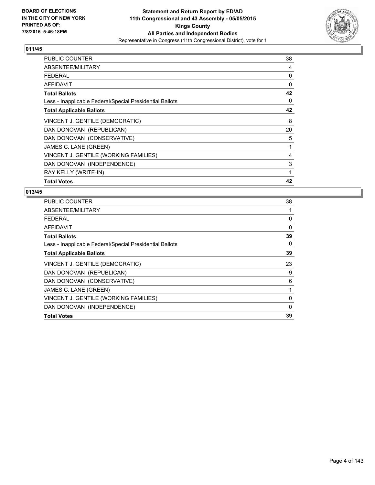

| <b>PUBLIC COUNTER</b>                                    | 38 |
|----------------------------------------------------------|----|
| ABSENTEE/MILITARY                                        | 4  |
| <b>FEDERAL</b>                                           | 0  |
| <b>AFFIDAVIT</b>                                         | 0  |
| <b>Total Ballots</b>                                     | 42 |
| Less - Inapplicable Federal/Special Presidential Ballots | 0  |
| <b>Total Applicable Ballots</b>                          | 42 |
| VINCENT J. GENTILE (DEMOCRATIC)                          | 8  |
| DAN DONOVAN (REPUBLICAN)                                 | 20 |
| DAN DONOVAN (CONSERVATIVE)                               | 5  |
| JAMES C. LANE (GREEN)                                    | 1  |
| VINCENT J. GENTILE (WORKING FAMILIES)                    | 4  |
| DAN DONOVAN (INDEPENDENCE)                               | 3  |
| RAY KELLY (WRITE-IN)                                     | 1  |
| <b>Total Votes</b>                                       | 42 |

| <b>PUBLIC COUNTER</b>                                    | 38           |
|----------------------------------------------------------|--------------|
| ABSENTEE/MILITARY                                        | 1            |
| FEDERAL                                                  | 0            |
| AFFIDAVIT                                                | $\mathbf{0}$ |
| <b>Total Ballots</b>                                     | 39           |
| Less - Inapplicable Federal/Special Presidential Ballots | 0            |
| <b>Total Applicable Ballots</b>                          | 39           |
| VINCENT J. GENTILE (DEMOCRATIC)                          | 23           |
| DAN DONOVAN (REPUBLICAN)                                 | 9            |
| DAN DONOVAN (CONSERVATIVE)                               | 6            |
| JAMES C. LANE (GREEN)                                    | 1            |
| VINCENT J. GENTILE (WORKING FAMILIES)                    | 0            |
| DAN DONOVAN (INDEPENDENCE)                               | $\Omega$     |
| <b>Total Votes</b>                                       | 39           |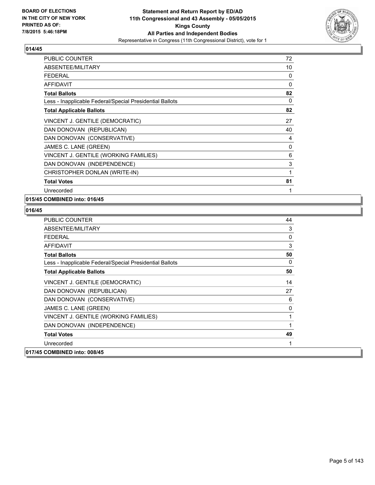

| <b>PUBLIC COUNTER</b>                                    | 72       |
|----------------------------------------------------------|----------|
| ABSENTEE/MILITARY                                        | 10       |
| <b>FEDERAL</b>                                           | 0        |
| <b>AFFIDAVIT</b>                                         | $\Omega$ |
| <b>Total Ballots</b>                                     | 82       |
| Less - Inapplicable Federal/Special Presidential Ballots | 0        |
| <b>Total Applicable Ballots</b>                          | 82       |
| VINCENT J. GENTILE (DEMOCRATIC)                          | 27       |
| DAN DONOVAN (REPUBLICAN)                                 | 40       |
| DAN DONOVAN (CONSERVATIVE)                               | 4        |
| JAMES C. LANE (GREEN)                                    | 0        |
| VINCENT J. GENTILE (WORKING FAMILIES)                    | 6        |
| DAN DONOVAN (INDEPENDENCE)                               | 3        |
| CHRISTOPHER DONLAN (WRITE-IN)                            | 1        |
| <b>Total Votes</b>                                       | 81       |
| Unrecorded                                               | 1        |

## **015/45 COMBINED into: 016/45**

| <b>PUBLIC COUNTER</b>                                    | 44           |
|----------------------------------------------------------|--------------|
| ABSENTEE/MILITARY                                        | 3            |
| <b>FEDERAL</b>                                           | $\mathbf{0}$ |
| <b>AFFIDAVIT</b>                                         | 3            |
| <b>Total Ballots</b>                                     | 50           |
| Less - Inapplicable Federal/Special Presidential Ballots | 0            |
| <b>Total Applicable Ballots</b>                          | 50           |
| VINCENT J. GENTILE (DEMOCRATIC)                          | 14           |
| DAN DONOVAN (REPUBLICAN)                                 | 27           |
| DAN DONOVAN (CONSERVATIVE)                               | 6            |
| JAMES C. LANE (GREEN)                                    | 0            |
| VINCENT J. GENTILE (WORKING FAMILIES)                    | 1            |
| DAN DONOVAN (INDEPENDENCE)                               | 1            |
| <b>Total Votes</b>                                       | 49           |
| Unrecorded                                               | 1            |
| 017/45 COMBINED into: 008/45                             |              |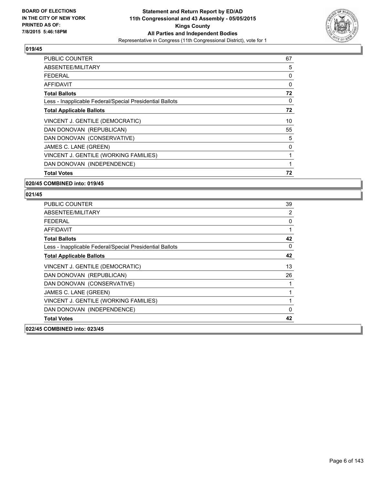

| <b>PUBLIC COUNTER</b>                                    | 67 |
|----------------------------------------------------------|----|
| ABSENTEE/MILITARY                                        | 5  |
| <b>FEDERAL</b>                                           | 0  |
| AFFIDAVIT                                                | 0  |
| <b>Total Ballots</b>                                     | 72 |
| Less - Inapplicable Federal/Special Presidential Ballots | 0  |
| <b>Total Applicable Ballots</b>                          | 72 |
| VINCENT J. GENTILE (DEMOCRATIC)                          | 10 |
| DAN DONOVAN (REPUBLICAN)                                 | 55 |
| DAN DONOVAN (CONSERVATIVE)                               | 5  |
| JAMES C. LANE (GREEN)                                    | 0  |
| VINCENT J. GENTILE (WORKING FAMILIES)                    | 1  |
| DAN DONOVAN (INDEPENDENCE)                               | 1  |
| <b>Total Votes</b>                                       | 72 |

#### **020/45 COMBINED into: 019/45**

| <b>PUBLIC COUNTER</b>                                    | 39       |
|----------------------------------------------------------|----------|
| ABSENTEE/MILITARY                                        | 2        |
| FFDFRAL                                                  | 0        |
| <b>AFFIDAVIT</b>                                         | 1        |
| <b>Total Ballots</b>                                     | 42       |
| Less - Inapplicable Federal/Special Presidential Ballots | 0        |
| <b>Total Applicable Ballots</b>                          | 42       |
| VINCENT J. GENTILE (DEMOCRATIC)                          | 13       |
| DAN DONOVAN (REPUBLICAN)                                 | 26       |
| DAN DONOVAN (CONSERVATIVE)                               |          |
| JAMES C. LANE (GREEN)                                    | 1        |
| VINCENT J. GENTILE (WORKING FAMILIES)                    | 1        |
| DAN DONOVAN (INDEPENDENCE)                               | $\Omega$ |
| <b>Total Votes</b>                                       | 42       |
| 022/45 COMBINED into: 023/45                             |          |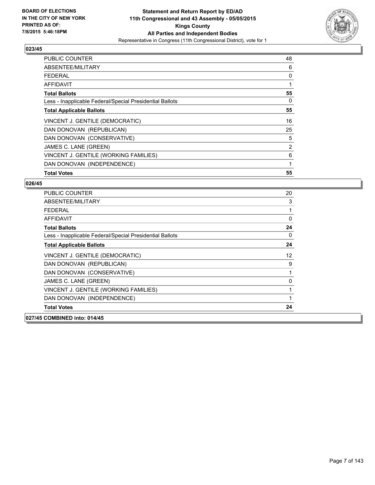

| <b>PUBLIC COUNTER</b>                                    | 48 |
|----------------------------------------------------------|----|
| ABSENTEE/MILITARY                                        | 6  |
| <b>FEDERAL</b>                                           | 0  |
| AFFIDAVIT                                                |    |
| <b>Total Ballots</b>                                     | 55 |
| Less - Inapplicable Federal/Special Presidential Ballots | 0  |
| <b>Total Applicable Ballots</b>                          | 55 |
| VINCENT J. GENTILE (DEMOCRATIC)                          | 16 |
| DAN DONOVAN (REPUBLICAN)                                 | 25 |
| DAN DONOVAN (CONSERVATIVE)                               | 5  |
| JAMES C. LANE (GREEN)                                    | 2  |
| VINCENT J. GENTILE (WORKING FAMILIES)                    | 6  |
| DAN DONOVAN (INDEPENDENCE)                               | 1  |
| <b>Total Votes</b>                                       | 55 |

| <b>PUBLIC COUNTER</b>                                    | 20 |
|----------------------------------------------------------|----|
| ABSENTEE/MILITARY                                        | 3  |
| FEDERAL                                                  | 1  |
| AFFIDAVIT                                                | 0  |
| <b>Total Ballots</b>                                     | 24 |
| Less - Inapplicable Federal/Special Presidential Ballots | 0  |
| <b>Total Applicable Ballots</b>                          | 24 |
| VINCENT J. GENTILE (DEMOCRATIC)                          | 12 |
| DAN DONOVAN (REPUBLICAN)                                 | 9  |
| DAN DONOVAN (CONSERVATIVE)                               | 1  |
| JAMES C. LANE (GREEN)                                    | 0  |
| VINCENT J. GENTILE (WORKING FAMILIES)                    | 1  |
| DAN DONOVAN (INDEPENDENCE)                               | 1  |
| <b>Total Votes</b>                                       | 24 |
| 027/45 COMBINED into: 014/45                             |    |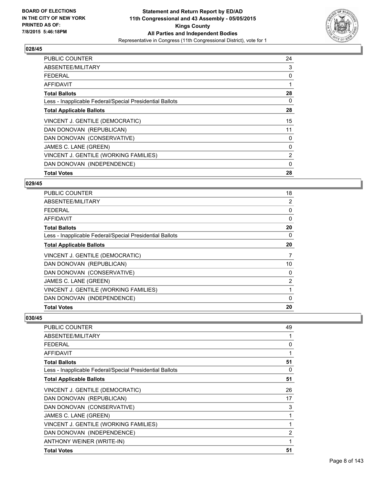

| <b>PUBLIC COUNTER</b>                                    | 24             |
|----------------------------------------------------------|----------------|
| ABSENTEE/MILITARY                                        | 3              |
| <b>FEDERAL</b>                                           | 0              |
| AFFIDAVIT                                                |                |
| <b>Total Ballots</b>                                     | 28             |
| Less - Inapplicable Federal/Special Presidential Ballots | 0              |
| <b>Total Applicable Ballots</b>                          | 28             |
| VINCENT J. GENTILE (DEMOCRATIC)                          | 15             |
| DAN DONOVAN (REPUBLICAN)                                 | 11             |
| DAN DONOVAN (CONSERVATIVE)                               | 0              |
| JAMES C. LANE (GREEN)                                    | 0              |
| VINCENT J. GENTILE (WORKING FAMILIES)                    | $\overline{2}$ |
| DAN DONOVAN (INDEPENDENCE)                               | 0              |
| <b>Total Votes</b>                                       | 28             |

#### **029/45**

| PUBLIC COUNTER                                           | 18             |
|----------------------------------------------------------|----------------|
| ABSENTEE/MILITARY                                        | 2              |
| <b>FEDERAL</b>                                           | 0              |
| <b>AFFIDAVIT</b>                                         | $\Omega$       |
| <b>Total Ballots</b>                                     | 20             |
| Less - Inapplicable Federal/Special Presidential Ballots | 0              |
| <b>Total Applicable Ballots</b>                          | 20             |
| VINCENT J. GENTILE (DEMOCRATIC)                          | 7              |
| DAN DONOVAN (REPUBLICAN)                                 | 10             |
| DAN DONOVAN (CONSERVATIVE)                               | 0              |
| JAMES C. LANE (GREEN)                                    | $\overline{2}$ |
| VINCENT J. GENTILE (WORKING FAMILIES)                    | 1              |
| DAN DONOVAN (INDEPENDENCE)                               | 0              |
| <b>Total Votes</b>                                       | 20             |

| PUBLIC COUNTER                                           | 49 |
|----------------------------------------------------------|----|
| ABSENTEE/MILITARY                                        | 1  |
| <b>FEDERAL</b>                                           | 0  |
| AFFIDAVIT                                                | 1  |
| <b>Total Ballots</b>                                     | 51 |
| Less - Inapplicable Federal/Special Presidential Ballots | 0  |
| <b>Total Applicable Ballots</b>                          | 51 |
| VINCENT J. GENTILE (DEMOCRATIC)                          | 26 |
| DAN DONOVAN (REPUBLICAN)                                 | 17 |
| DAN DONOVAN (CONSERVATIVE)                               | 3  |
| JAMES C. LANE (GREEN)                                    | 1  |
| VINCENT J. GENTILE (WORKING FAMILIES)                    | 1  |
| DAN DONOVAN (INDEPENDENCE)                               | 2  |
| ANTHONY WEINER (WRITE-IN)                                | 1  |
| <b>Total Votes</b>                                       | 51 |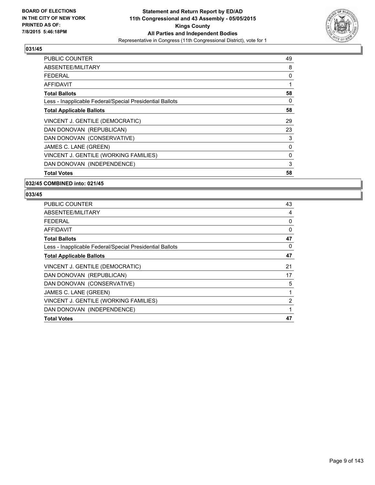

| <b>PUBLIC COUNTER</b>                                    | 49 |
|----------------------------------------------------------|----|
| ABSENTEE/MILITARY                                        | 8  |
| <b>FEDERAL</b>                                           | 0  |
| AFFIDAVIT                                                | 1  |
| <b>Total Ballots</b>                                     | 58 |
| Less - Inapplicable Federal/Special Presidential Ballots | 0  |
| <b>Total Applicable Ballots</b>                          | 58 |
| VINCENT J. GENTILE (DEMOCRATIC)                          | 29 |
| DAN DONOVAN (REPUBLICAN)                                 | 23 |
| DAN DONOVAN (CONSERVATIVE)                               | 3  |
| JAMES C. LANE (GREEN)                                    | 0  |
| VINCENT J. GENTILE (WORKING FAMILIES)                    | 0  |
| DAN DONOVAN (INDEPENDENCE)                               | 3  |
| <b>Total Votes</b>                                       | 58 |

#### **032/45 COMBINED into: 021/45**

| <b>PUBLIC COUNTER</b>                                    | 43 |
|----------------------------------------------------------|----|
| ABSENTEE/MILITARY                                        | 4  |
| <b>FEDERAL</b>                                           | 0  |
| <b>AFFIDAVIT</b>                                         | 0  |
| <b>Total Ballots</b>                                     | 47 |
| Less - Inapplicable Federal/Special Presidential Ballots | 0  |
| <b>Total Applicable Ballots</b>                          | 47 |
| VINCENT J. GENTILE (DEMOCRATIC)                          | 21 |
| DAN DONOVAN (REPUBLICAN)                                 | 17 |
| DAN DONOVAN (CONSERVATIVE)                               | 5  |
| JAMES C. LANE (GREEN)                                    | 1  |
| VINCENT J. GENTILE (WORKING FAMILIES)                    | 2  |
| DAN DONOVAN (INDEPENDENCE)                               | 1  |
| <b>Total Votes</b>                                       | 47 |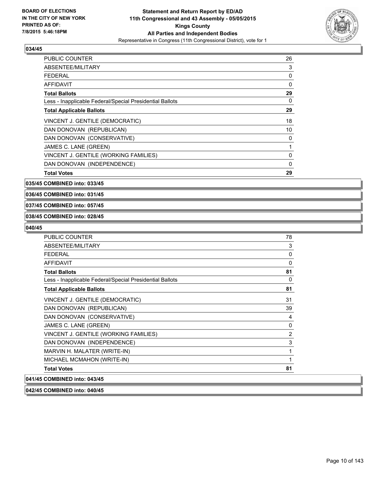

| <b>PUBLIC COUNTER</b>                                    | 26 |
|----------------------------------------------------------|----|
| ABSENTEE/MILITARY                                        | 3  |
| FEDERAL                                                  | 0  |
| AFFIDAVIT                                                | 0  |
| <b>Total Ballots</b>                                     | 29 |
| Less - Inapplicable Federal/Special Presidential Ballots | 0  |
| <b>Total Applicable Ballots</b>                          | 29 |
| VINCENT J. GENTILE (DEMOCRATIC)                          | 18 |
| DAN DONOVAN (REPUBLICAN)                                 | 10 |
| DAN DONOVAN (CONSERVATIVE)                               | 0  |
| JAMES C. LANE (GREEN)                                    |    |
| VINCENT J. GENTILE (WORKING FAMILIES)                    | 0  |
| DAN DONOVAN (INDEPENDENCE)                               | 0  |
| <b>Total Votes</b>                                       | 29 |

**035/45 COMBINED into: 033/45**

**036/45 COMBINED into: 031/45**

#### **037/45 COMBINED into: 057/45**

#### **038/45 COMBINED into: 028/45**

#### **040/45**

| <b>PUBLIC COUNTER</b>                                    | 78 |
|----------------------------------------------------------|----|
| ABSENTEE/MILITARY                                        | 3  |
| <b>FEDERAL</b>                                           | 0  |
| <b>AFFIDAVIT</b>                                         | 0  |
| <b>Total Ballots</b>                                     | 81 |
| Less - Inapplicable Federal/Special Presidential Ballots | 0  |
| <b>Total Applicable Ballots</b>                          | 81 |
| VINCENT J. GENTILE (DEMOCRATIC)                          | 31 |
| DAN DONOVAN (REPUBLICAN)                                 | 39 |
| DAN DONOVAN (CONSERVATIVE)                               | 4  |
| JAMES C. LANE (GREEN)                                    | 0  |
| VINCENT J. GENTILE (WORKING FAMILIES)                    | 2  |
| DAN DONOVAN (INDEPENDENCE)                               | 3  |
| MARVIN H. MALATER (WRITE-IN)                             | 1  |
| MICHAEL MCMAHON (WRITE-IN)                               | 1  |
| <b>Total Votes</b>                                       | 81 |
| 041/45 COMBINED into: 043/45                             |    |

# **042/45 COMBINED into: 040/45**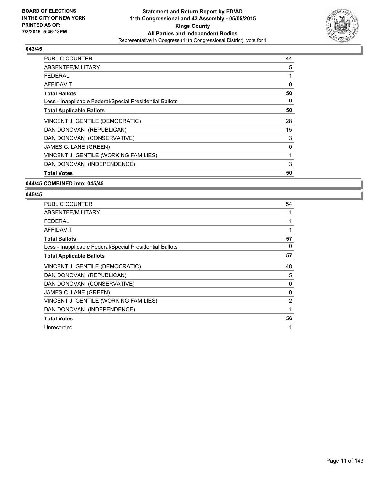

| <b>PUBLIC COUNTER</b>                                    | 44 |
|----------------------------------------------------------|----|
| ABSENTEE/MILITARY                                        | 5  |
| <b>FEDERAL</b>                                           | 1  |
| AFFIDAVIT                                                | 0  |
| <b>Total Ballots</b>                                     | 50 |
| Less - Inapplicable Federal/Special Presidential Ballots | 0  |
| <b>Total Applicable Ballots</b>                          | 50 |
| VINCENT J. GENTILE (DEMOCRATIC)                          | 28 |
| DAN DONOVAN (REPUBLICAN)                                 | 15 |
| DAN DONOVAN (CONSERVATIVE)                               | 3  |
| JAMES C. LANE (GREEN)                                    | 0  |
| VINCENT J. GENTILE (WORKING FAMILIES)                    | 1  |
| DAN DONOVAN (INDEPENDENCE)                               | 3  |
| <b>Total Votes</b>                                       | 50 |

#### **044/45 COMBINED into: 045/45**

| <b>PUBLIC COUNTER</b>                                    | 54           |
|----------------------------------------------------------|--------------|
| ABSENTEE/MILITARY                                        | 1            |
| <b>FEDERAL</b>                                           | 1            |
| AFFIDAVIT                                                | $\mathbf{1}$ |
| <b>Total Ballots</b>                                     | 57           |
| Less - Inapplicable Federal/Special Presidential Ballots | 0            |
| <b>Total Applicable Ballots</b>                          | 57           |
| VINCENT J. GENTILE (DEMOCRATIC)                          | 48           |
| DAN DONOVAN (REPUBLICAN)                                 | 5            |
| DAN DONOVAN (CONSERVATIVE)                               | 0            |
| JAMES C. LANE (GREEN)                                    | 0            |
| VINCENT J. GENTILE (WORKING FAMILIES)                    | 2            |
| DAN DONOVAN (INDEPENDENCE)                               | 1            |
| <b>Total Votes</b>                                       | 56           |
| Unrecorded                                               | 1            |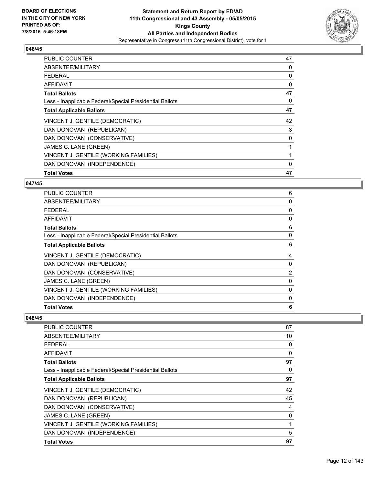

| <b>PUBLIC COUNTER</b>                                    | 47 |
|----------------------------------------------------------|----|
| ABSENTEE/MILITARY                                        | 0  |
| <b>FEDERAL</b>                                           | 0  |
| AFFIDAVIT                                                | 0  |
| <b>Total Ballots</b>                                     | 47 |
| Less - Inapplicable Federal/Special Presidential Ballots | 0  |
| <b>Total Applicable Ballots</b>                          | 47 |
| VINCENT J. GENTILE (DEMOCRATIC)                          | 42 |
| DAN DONOVAN (REPUBLICAN)                                 | 3  |
| DAN DONOVAN (CONSERVATIVE)                               | 0  |
| JAMES C. LANE (GREEN)                                    | 1  |
| VINCENT J. GENTILE (WORKING FAMILIES)                    | 1  |
| DAN DONOVAN (INDEPENDENCE)                               | 0  |
| <b>Total Votes</b>                                       | 47 |

#### **047/45**

| 6              |
|----------------|
| 0              |
| 0              |
| 0              |
| 6              |
| 0              |
| 6              |
| 4              |
| 0              |
| $\overline{2}$ |
| 0              |
| 0              |
| 0              |
| 6              |
|                |

| <b>PUBLIC COUNTER</b>                                    | 87 |
|----------------------------------------------------------|----|
| ABSENTEE/MILITARY                                        | 10 |
| <b>FEDERAL</b>                                           | 0  |
| AFFIDAVIT                                                | 0  |
| <b>Total Ballots</b>                                     | 97 |
| Less - Inapplicable Federal/Special Presidential Ballots | 0  |
| <b>Total Applicable Ballots</b>                          | 97 |
| VINCENT J. GENTILE (DEMOCRATIC)                          | 42 |
| DAN DONOVAN (REPUBLICAN)                                 | 45 |
| DAN DONOVAN (CONSERVATIVE)                               | 4  |
| JAMES C. LANE (GREEN)                                    | 0  |
| VINCENT J. GENTILE (WORKING FAMILIES)                    | 1  |
| DAN DONOVAN (INDEPENDENCE)                               | 5  |
| <b>Total Votes</b>                                       | 97 |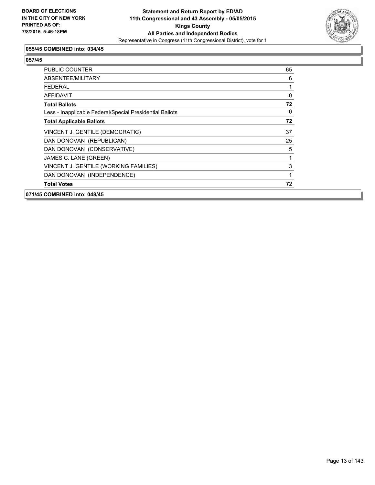

## **055/45 COMBINED into: 034/45**

| 071/45 COMBINED into: 048/45                             |    |
|----------------------------------------------------------|----|
| <b>Total Votes</b>                                       | 72 |
| DAN DONOVAN (INDEPENDENCE)                               | 1  |
| VINCENT J. GENTILE (WORKING FAMILIES)                    | 3  |
| JAMES C. LANE (GREEN)                                    | 1  |
| DAN DONOVAN (CONSERVATIVE)                               | 5  |
| DAN DONOVAN (REPUBLICAN)                                 | 25 |
| VINCENT J. GENTILE (DEMOCRATIC)                          | 37 |
| <b>Total Applicable Ballots</b>                          | 72 |
| Less - Inapplicable Federal/Special Presidential Ballots | 0  |
| <b>Total Ballots</b>                                     | 72 |
| AFFIDAVIT                                                | 0  |
| <b>FEDERAL</b>                                           |    |
| ABSENTEE/MILITARY                                        | 6  |
| <b>PUBLIC COUNTER</b>                                    | 65 |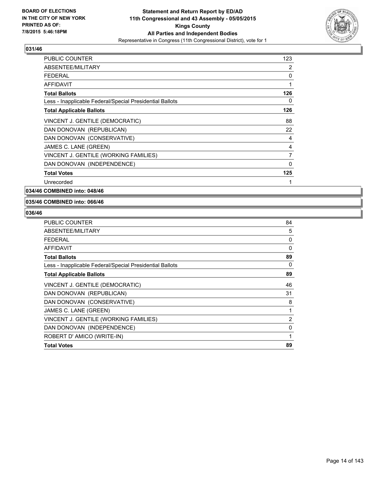

| <b>PUBLIC COUNTER</b>                                    | 123 |
|----------------------------------------------------------|-----|
| ABSENTEE/MILITARY                                        | 2   |
| <b>FEDERAL</b>                                           | 0   |
| <b>AFFIDAVIT</b>                                         | 1   |
| <b>Total Ballots</b>                                     | 126 |
| Less - Inapplicable Federal/Special Presidential Ballots | 0   |
| <b>Total Applicable Ballots</b>                          | 126 |
| VINCENT J. GENTILE (DEMOCRATIC)                          | 88  |
| DAN DONOVAN (REPUBLICAN)                                 | 22  |
| DAN DONOVAN (CONSERVATIVE)                               | 4   |
| JAMES C. LANE (GREEN)                                    | 4   |
| VINCENT J. GENTILE (WORKING FAMILIES)                    | 7   |
| DAN DONOVAN (INDEPENDENCE)                               | 0   |
| <b>Total Votes</b>                                       | 125 |
| Unrecorded                                               | 1   |

**034/46 COMBINED into: 048/46**

#### **035/46 COMBINED into: 066/46**

| PUBLIC COUNTER                                           | 84             |
|----------------------------------------------------------|----------------|
| ABSENTEE/MILITARY                                        | 5              |
| <b>FEDERAL</b>                                           | 0              |
| AFFIDAVIT                                                | 0              |
| <b>Total Ballots</b>                                     | 89             |
| Less - Inapplicable Federal/Special Presidential Ballots | 0              |
| <b>Total Applicable Ballots</b>                          | 89             |
| VINCENT J. GENTILE (DEMOCRATIC)                          | 46             |
| DAN DONOVAN (REPUBLICAN)                                 | 31             |
| DAN DONOVAN (CONSERVATIVE)                               | 8              |
| JAMES C. LANE (GREEN)                                    | 1              |
| VINCENT J. GENTILE (WORKING FAMILIES)                    | $\overline{2}$ |
| DAN DONOVAN (INDEPENDENCE)                               | 0              |
| ROBERT D' AMICO (WRITE-IN)                               | 1              |
| <b>Total Votes</b>                                       | 89             |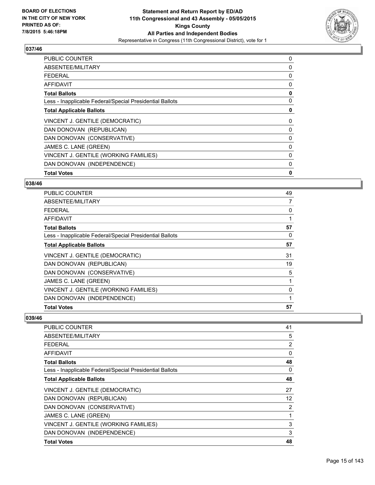

| <b>PUBLIC COUNTER</b>                                    | 0 |
|----------------------------------------------------------|---|
| ABSENTEE/MILITARY                                        | 0 |
| <b>FEDERAL</b>                                           | 0 |
| AFFIDAVIT                                                | 0 |
| <b>Total Ballots</b>                                     | 0 |
| Less - Inapplicable Federal/Special Presidential Ballots | 0 |
| <b>Total Applicable Ballots</b>                          | 0 |
| VINCENT J. GENTILE (DEMOCRATIC)                          | 0 |
| DAN DONOVAN (REPUBLICAN)                                 | 0 |
| DAN DONOVAN (CONSERVATIVE)                               | 0 |
| JAMES C. LANE (GREEN)                                    | 0 |
| VINCENT J. GENTILE (WORKING FAMILIES)                    | 0 |
| DAN DONOVAN (INDEPENDENCE)                               | 0 |
| <b>Total Votes</b>                                       | 0 |

#### **038/46**

| PUBLIC COUNTER                                           | 49 |
|----------------------------------------------------------|----|
| ABSENTEE/MILITARY                                        | 7  |
| <b>FEDERAL</b>                                           | 0  |
| <b>AFFIDAVIT</b>                                         |    |
| <b>Total Ballots</b>                                     | 57 |
| Less - Inapplicable Federal/Special Presidential Ballots | 0  |
| <b>Total Applicable Ballots</b>                          | 57 |
| VINCENT J. GENTILE (DEMOCRATIC)                          | 31 |
| DAN DONOVAN (REPUBLICAN)                                 | 19 |
| DAN DONOVAN (CONSERVATIVE)                               | 5  |
| JAMES C. LANE (GREEN)                                    | 1  |
| VINCENT J. GENTILE (WORKING FAMILIES)                    | 0  |
| DAN DONOVAN (INDEPENDENCE)                               |    |
| <b>Total Votes</b>                                       | 57 |

| <b>PUBLIC COUNTER</b>                                    | 41                |
|----------------------------------------------------------|-------------------|
| ABSENTEE/MILITARY                                        | 5                 |
| <b>FEDERAL</b>                                           | 2                 |
| AFFIDAVIT                                                | 0                 |
| <b>Total Ballots</b>                                     | 48                |
| Less - Inapplicable Federal/Special Presidential Ballots | 0                 |
| <b>Total Applicable Ballots</b>                          | 48                |
| VINCENT J. GENTILE (DEMOCRATIC)                          | 27                |
| DAN DONOVAN (REPUBLICAN)                                 | $12 \overline{ }$ |
| DAN DONOVAN (CONSERVATIVE)                               | 2                 |
| JAMES C. LANE (GREEN)                                    | 1                 |
| VINCENT J. GENTILE (WORKING FAMILIES)                    | 3                 |
| DAN DONOVAN (INDEPENDENCE)                               | 3                 |
| <b>Total Votes</b>                                       | 48                |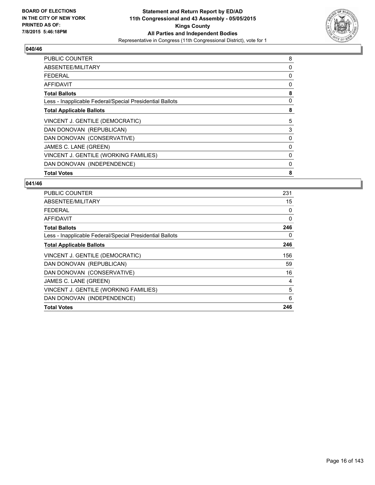

| <b>PUBLIC COUNTER</b>                                    | 8 |
|----------------------------------------------------------|---|
| ABSENTEE/MILITARY                                        | 0 |
| FEDERAL                                                  | 0 |
| AFFIDAVIT                                                | 0 |
| <b>Total Ballots</b>                                     | 8 |
| Less - Inapplicable Federal/Special Presidential Ballots | 0 |
| <b>Total Applicable Ballots</b>                          | 8 |
| VINCENT J. GENTILE (DEMOCRATIC)                          | 5 |
| DAN DONOVAN (REPUBLICAN)                                 | 3 |
| DAN DONOVAN (CONSERVATIVE)                               | 0 |
| JAMES C. LANE (GREEN)                                    | 0 |
| VINCENT J. GENTILE (WORKING FAMILIES)                    | 0 |
| DAN DONOVAN (INDEPENDENCE)                               | 0 |
| <b>Total Votes</b>                                       | 8 |

| <b>PUBLIC COUNTER</b>                                    | 231      |
|----------------------------------------------------------|----------|
| ABSENTEE/MILITARY                                        | 15       |
| <b>FEDERAL</b>                                           | 0        |
| <b>AFFIDAVIT</b>                                         | $\Omega$ |
| <b>Total Ballots</b>                                     | 246      |
| Less - Inapplicable Federal/Special Presidential Ballots | 0        |
| <b>Total Applicable Ballots</b>                          | 246      |
| VINCENT J. GENTILE (DEMOCRATIC)                          | 156      |
| DAN DONOVAN (REPUBLICAN)                                 | 59       |
| DAN DONOVAN (CONSERVATIVE)                               | 16       |
| JAMES C. LANE (GREEN)                                    | 4        |
| VINCENT J. GENTILE (WORKING FAMILIES)                    | 5        |
| DAN DONOVAN (INDEPENDENCE)                               | 6        |
| <b>Total Votes</b>                                       | 246      |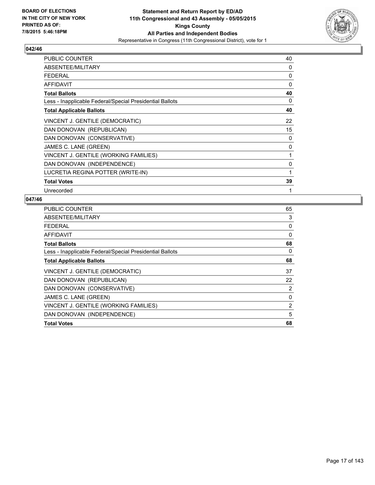

| <b>PUBLIC COUNTER</b>                                    | 40 |
|----------------------------------------------------------|----|
| ABSENTEE/MILITARY                                        | 0  |
| <b>FEDERAL</b>                                           | 0  |
| AFFIDAVIT                                                | 0  |
| <b>Total Ballots</b>                                     | 40 |
| Less - Inapplicable Federal/Special Presidential Ballots | 0  |
| <b>Total Applicable Ballots</b>                          | 40 |
| VINCENT J. GENTILE (DEMOCRATIC)                          | 22 |
| DAN DONOVAN (REPUBLICAN)                                 | 15 |
| DAN DONOVAN (CONSERVATIVE)                               | 0  |
| JAMES C. LANE (GREEN)                                    | 0  |
| VINCENT J. GENTILE (WORKING FAMILIES)                    | 1  |
| DAN DONOVAN (INDEPENDENCE)                               | 0  |
| LUCRETIA REGINA POTTER (WRITE-IN)                        | 1  |
| <b>Total Votes</b>                                       | 39 |
| Unrecorded                                               | 1  |

| PUBLIC COUNTER                                           | 65 |
|----------------------------------------------------------|----|
| ABSENTEE/MILITARY                                        | 3  |
| <b>FEDERAL</b>                                           | 0  |
| AFFIDAVIT                                                | 0  |
| <b>Total Ballots</b>                                     | 68 |
| Less - Inapplicable Federal/Special Presidential Ballots | 0  |
| <b>Total Applicable Ballots</b>                          | 68 |
| VINCENT J. GENTILE (DEMOCRATIC)                          | 37 |
| DAN DONOVAN (REPUBLICAN)                                 | 22 |
| DAN DONOVAN (CONSERVATIVE)                               | 2  |
| JAMES C. LANE (GREEN)                                    | 0  |
| VINCENT J. GENTILE (WORKING FAMILIES)                    | 2  |
| DAN DONOVAN (INDEPENDENCE)                               | 5  |
| <b>Total Votes</b>                                       | 68 |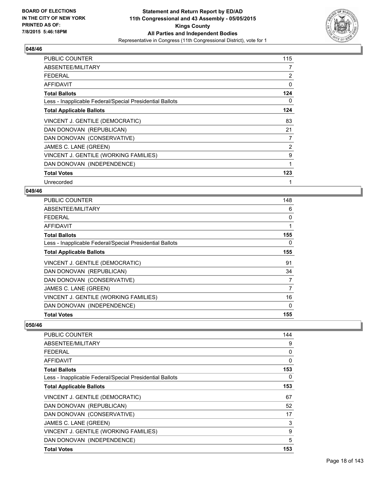

| <b>PUBLIC COUNTER</b>                                    | 115 |
|----------------------------------------------------------|-----|
| ABSENTEE/MILITARY                                        | 7   |
| <b>FEDERAL</b>                                           | 2   |
| <b>AFFIDAVIT</b>                                         | 0   |
| <b>Total Ballots</b>                                     | 124 |
| Less - Inapplicable Federal/Special Presidential Ballots | 0   |
| <b>Total Applicable Ballots</b>                          | 124 |
| VINCENT J. GENTILE (DEMOCRATIC)                          | 83  |
| DAN DONOVAN (REPUBLICAN)                                 | 21  |
| DAN DONOVAN (CONSERVATIVE)                               | 7   |
| JAMES C. LANE (GREEN)                                    | 2   |
| VINCENT J. GENTILE (WORKING FAMILIES)                    | 9   |
| DAN DONOVAN (INDEPENDENCE)                               | 1   |
| <b>Total Votes</b>                                       | 123 |
| Unrecorded                                               | 1   |

#### **049/46**

| <b>PUBLIC COUNTER</b>                                    | 148 |
|----------------------------------------------------------|-----|
| ABSENTEE/MILITARY                                        | 6   |
| <b>FEDERAL</b>                                           | 0   |
| AFFIDAVIT                                                | 1   |
| <b>Total Ballots</b>                                     | 155 |
| Less - Inapplicable Federal/Special Presidential Ballots | 0   |
| <b>Total Applicable Ballots</b>                          | 155 |
| VINCENT J. GENTILE (DEMOCRATIC)                          | 91  |
| DAN DONOVAN (REPUBLICAN)                                 | 34  |
| DAN DONOVAN (CONSERVATIVE)                               | 7   |
| JAMES C. LANE (GREEN)                                    | 7   |
| VINCENT J. GENTILE (WORKING FAMILIES)                    | 16  |
| DAN DONOVAN (INDEPENDENCE)                               | 0   |
| <b>Total Votes</b>                                       | 155 |

| <b>PUBLIC COUNTER</b>                                    | 144 |
|----------------------------------------------------------|-----|
| ABSENTEE/MILITARY                                        | 9   |
| FEDERAL                                                  | 0   |
| AFFIDAVIT                                                | 0   |
| <b>Total Ballots</b>                                     | 153 |
| Less - Inapplicable Federal/Special Presidential Ballots | 0   |
| <b>Total Applicable Ballots</b>                          | 153 |
| VINCENT J. GENTILE (DEMOCRATIC)                          | 67  |
| DAN DONOVAN (REPUBLICAN)                                 | 52  |
| DAN DONOVAN (CONSERVATIVE)                               | 17  |
| JAMES C. LANE (GREEN)                                    | 3   |
| VINCENT J. GENTILE (WORKING FAMILIES)                    | 9   |
| DAN DONOVAN (INDEPENDENCE)                               | 5   |
| <b>Total Votes</b>                                       | 153 |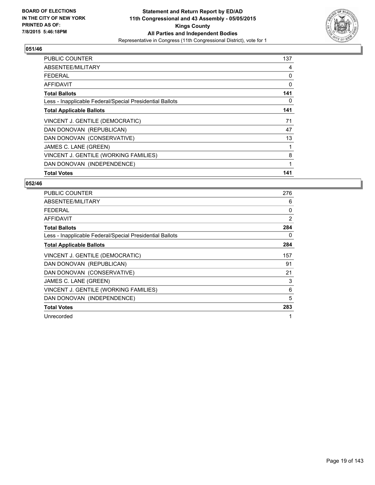

| <b>PUBLIC COUNTER</b>                                    | 137 |
|----------------------------------------------------------|-----|
| ABSENTEE/MILITARY                                        | 4   |
| <b>FEDERAL</b>                                           | 0   |
| AFFIDAVIT                                                | 0   |
| <b>Total Ballots</b>                                     | 141 |
| Less - Inapplicable Federal/Special Presidential Ballots | 0   |
| <b>Total Applicable Ballots</b>                          | 141 |
| VINCENT J. GENTILE (DEMOCRATIC)                          | 71  |
| DAN DONOVAN (REPUBLICAN)                                 | 47  |
| DAN DONOVAN (CONSERVATIVE)                               | 13  |
| JAMES C. LANE (GREEN)                                    | 1   |
| VINCENT J. GENTILE (WORKING FAMILIES)                    | 8   |
| DAN DONOVAN (INDEPENDENCE)                               | 1   |
| <b>Total Votes</b>                                       | 141 |

| <b>PUBLIC COUNTER</b>                                    | 276 |
|----------------------------------------------------------|-----|
| ABSENTEE/MILITARY                                        | 6   |
| <b>FEDERAL</b>                                           | 0   |
| <b>AFFIDAVIT</b>                                         | 2   |
| <b>Total Ballots</b>                                     | 284 |
| Less - Inapplicable Federal/Special Presidential Ballots | 0   |
| <b>Total Applicable Ballots</b>                          | 284 |
| VINCENT J. GENTILE (DEMOCRATIC)                          | 157 |
| DAN DONOVAN (REPUBLICAN)                                 | 91  |
| DAN DONOVAN (CONSERVATIVE)                               | 21  |
| JAMES C. LANE (GREEN)                                    | 3   |
| VINCENT J. GENTILE (WORKING FAMILIES)                    | 6   |
| DAN DONOVAN (INDEPENDENCE)                               | 5   |
| <b>Total Votes</b>                                       | 283 |
| Unrecorded                                               | 1   |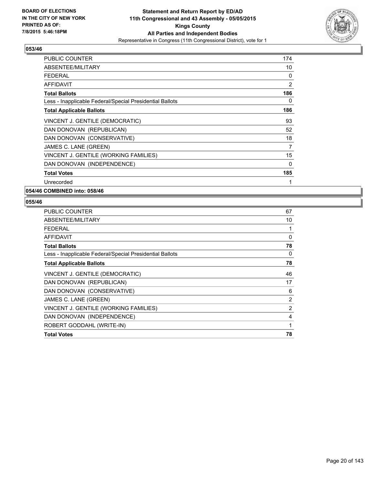

| PUBLIC COUNTER                                           | 174 |
|----------------------------------------------------------|-----|
| ABSENTEE/MILITARY                                        | 10  |
| <b>FEDERAL</b>                                           | 0   |
| <b>AFFIDAVIT</b>                                         | 2   |
| <b>Total Ballots</b>                                     | 186 |
| Less - Inapplicable Federal/Special Presidential Ballots | 0   |
| <b>Total Applicable Ballots</b>                          | 186 |
| VINCENT J. GENTILE (DEMOCRATIC)                          | 93  |
| DAN DONOVAN (REPUBLICAN)                                 | 52  |
| DAN DONOVAN (CONSERVATIVE)                               | 18  |
| JAMES C. LANE (GREEN)                                    | 7   |
| VINCENT J. GENTILE (WORKING FAMILIES)                    | 15  |
| DAN DONOVAN (INDEPENDENCE)                               | 0   |
| <b>Total Votes</b>                                       | 185 |
| Unrecorded                                               | 1   |

**054/46 COMBINED into: 058/46**

| <b>PUBLIC COUNTER</b>                                    | 67 |
|----------------------------------------------------------|----|
| ABSENTEE/MILITARY                                        | 10 |
| <b>FEDERAL</b>                                           | 1  |
| <b>AFFIDAVIT</b>                                         | 0  |
| <b>Total Ballots</b>                                     | 78 |
| Less - Inapplicable Federal/Special Presidential Ballots | 0  |
| <b>Total Applicable Ballots</b>                          | 78 |
| VINCENT J. GENTILE (DEMOCRATIC)                          | 46 |
| DAN DONOVAN (REPUBLICAN)                                 | 17 |
| DAN DONOVAN (CONSERVATIVE)                               | 6  |
| JAMES C. LANE (GREEN)                                    | 2  |
| VINCENT J. GENTILE (WORKING FAMILIES)                    | 2  |
| DAN DONOVAN (INDEPENDENCE)                               | 4  |
| ROBERT GODDAHL (WRITE-IN)                                | 1  |
| <b>Total Votes</b>                                       | 78 |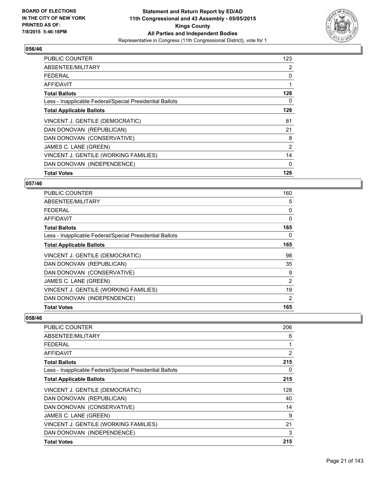

| <b>PUBLIC COUNTER</b>                                    | 123 |
|----------------------------------------------------------|-----|
| ABSENTEE/MILITARY                                        | 2   |
| <b>FEDERAL</b>                                           | 0   |
| AFFIDAVIT                                                | 1   |
| <b>Total Ballots</b>                                     | 126 |
| Less - Inapplicable Federal/Special Presidential Ballots | 0   |
| <b>Total Applicable Ballots</b>                          | 126 |
| VINCENT J. GENTILE (DEMOCRATIC)                          | 81  |
| DAN DONOVAN (REPUBLICAN)                                 | 21  |
| DAN DONOVAN (CONSERVATIVE)                               | 8   |
| JAMES C. LANE (GREEN)                                    | 2   |
| VINCENT J. GENTILE (WORKING FAMILIES)                    | 14  |
| DAN DONOVAN (INDEPENDENCE)                               | 0   |
| <b>Total Votes</b>                                       | 126 |

## **057/46**

| <b>PUBLIC COUNTER</b>                                    | 160      |
|----------------------------------------------------------|----------|
| ABSENTEE/MILITARY                                        | 5        |
| <b>FEDERAL</b>                                           | 0        |
| AFFIDAVIT                                                | $\Omega$ |
| <b>Total Ballots</b>                                     | 165      |
| Less - Inapplicable Federal/Special Presidential Ballots | 0        |
| <b>Total Applicable Ballots</b>                          | 165      |
| VINCENT J. GENTILE (DEMOCRATIC)                          | 98       |
| DAN DONOVAN (REPUBLICAN)                                 | 35       |
| DAN DONOVAN (CONSERVATIVE)                               | 9        |
| JAMES C. LANE (GREEN)                                    | 2        |
| VINCENT J. GENTILE (WORKING FAMILIES)                    | 19       |
| DAN DONOVAN (INDEPENDENCE)                               | 2        |
| <b>Total Votes</b>                                       | 165      |

| PUBLIC COUNTER                                           | 206 |
|----------------------------------------------------------|-----|
| ABSENTEE/MILITARY                                        | 6   |
| FEDERAL                                                  | 1   |
| AFFIDAVIT                                                | 2   |
| <b>Total Ballots</b>                                     | 215 |
| Less - Inapplicable Federal/Special Presidential Ballots | 0   |
| <b>Total Applicable Ballots</b>                          | 215 |
| VINCENT J. GENTILE (DEMOCRATIC)                          | 128 |
| DAN DONOVAN (REPUBLICAN)                                 | 40  |
| DAN DONOVAN (CONSERVATIVE)                               | 14  |
| JAMES C. LANE (GREEN)                                    | 9   |
| VINCENT J. GENTILE (WORKING FAMILIES)                    | 21  |
| DAN DONOVAN (INDEPENDENCE)                               | 3   |
| <b>Total Votes</b>                                       | 215 |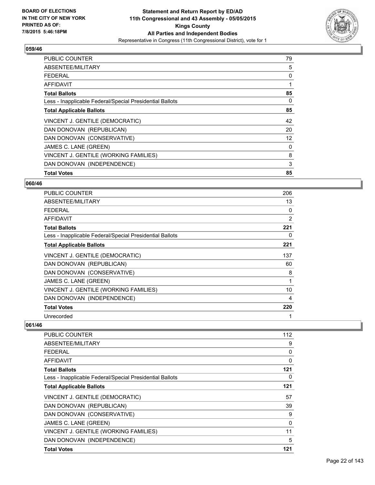

| <b>PUBLIC COUNTER</b>                                    | 79 |
|----------------------------------------------------------|----|
| ABSENTEE/MILITARY                                        | 5  |
| <b>FEDERAL</b>                                           | 0  |
| AFFIDAVIT                                                |    |
| <b>Total Ballots</b>                                     | 85 |
| Less - Inapplicable Federal/Special Presidential Ballots | 0  |
| <b>Total Applicable Ballots</b>                          | 85 |
| VINCENT J. GENTILE (DEMOCRATIC)                          | 42 |
| DAN DONOVAN (REPUBLICAN)                                 | 20 |
| DAN DONOVAN (CONSERVATIVE)                               | 12 |
| JAMES C. LANE (GREEN)                                    | 0  |
| VINCENT J. GENTILE (WORKING FAMILIES)                    | 8  |
| DAN DONOVAN (INDEPENDENCE)                               | 3  |
| <b>Total Votes</b>                                       | 85 |

#### **060/46**

| <b>PUBLIC COUNTER</b>                                    | 206 |
|----------------------------------------------------------|-----|
| ABSENTEE/MILITARY                                        | 13  |
| <b>FEDERAL</b>                                           | 0   |
| AFFIDAVIT                                                | 2   |
| <b>Total Ballots</b>                                     | 221 |
| Less - Inapplicable Federal/Special Presidential Ballots | 0   |
| <b>Total Applicable Ballots</b>                          | 221 |
| VINCENT J. GENTILE (DEMOCRATIC)                          | 137 |
| DAN DONOVAN (REPUBLICAN)                                 | 60  |
| DAN DONOVAN (CONSERVATIVE)                               | 8   |
| JAMES C. LANE (GREEN)                                    | 1   |
| VINCENT J. GENTILE (WORKING FAMILIES)                    | 10  |
| DAN DONOVAN (INDEPENDENCE)                               | 4   |
| <b>Total Votes</b>                                       | 220 |
| Unrecorded                                               |     |

| <b>PUBLIC COUNTER</b>                                    | 112 |
|----------------------------------------------------------|-----|
| ABSENTEE/MILITARY                                        | 9   |
| FFDFRAI                                                  | 0   |
| AFFIDAVIT                                                | 0   |
| <b>Total Ballots</b>                                     | 121 |
| Less - Inapplicable Federal/Special Presidential Ballots | 0   |
| <b>Total Applicable Ballots</b>                          | 121 |
| VINCENT J. GENTILE (DEMOCRATIC)                          | 57  |
| DAN DONOVAN (REPUBLICAN)                                 | 39  |
| DAN DONOVAN (CONSERVATIVE)                               | 9   |
| JAMES C. LANE (GREEN)                                    | 0   |
| VINCENT J. GENTILE (WORKING FAMILIES)                    | 11  |
| DAN DONOVAN (INDEPENDENCE)                               | 5   |
| <b>Total Votes</b>                                       | 121 |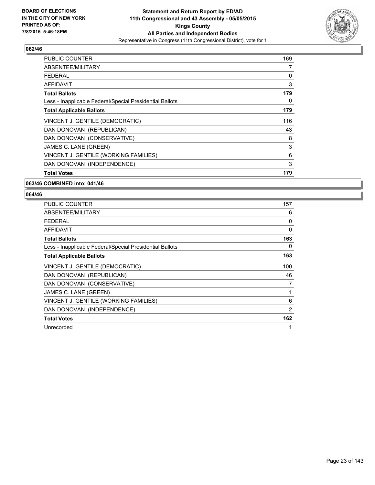

| <b>PUBLIC COUNTER</b>                                    | 169 |
|----------------------------------------------------------|-----|
| ABSENTEE/MILITARY                                        | 7   |
| FEDERAL                                                  | 0   |
| AFFIDAVIT                                                | 3   |
| <b>Total Ballots</b>                                     | 179 |
| Less - Inapplicable Federal/Special Presidential Ballots | 0   |
| <b>Total Applicable Ballots</b>                          | 179 |
| VINCENT J. GENTILE (DEMOCRATIC)                          | 116 |
| DAN DONOVAN (REPUBLICAN)                                 | 43  |
| DAN DONOVAN (CONSERVATIVE)                               | 8   |
| JAMES C. LANE (GREEN)                                    | 3   |
| VINCENT J. GENTILE (WORKING FAMILIES)                    | 6   |
| DAN DONOVAN (INDEPENDENCE)                               | 3   |
| <b>Total Votes</b>                                       | 179 |

#### **063/46 COMBINED into: 041/46**

| <b>PUBLIC COUNTER</b>                                    | 157 |
|----------------------------------------------------------|-----|
| ABSENTEE/MILITARY                                        | 6   |
| <b>FEDERAL</b>                                           | 0   |
| <b>AFFIDAVIT</b>                                         | 0   |
| <b>Total Ballots</b>                                     | 163 |
| Less - Inapplicable Federal/Special Presidential Ballots | 0   |
| <b>Total Applicable Ballots</b>                          | 163 |
| VINCENT J. GENTILE (DEMOCRATIC)                          | 100 |
| DAN DONOVAN (REPUBLICAN)                                 | 46  |
| DAN DONOVAN (CONSERVATIVE)                               | 7   |
| JAMES C. LANE (GREEN)                                    | 1   |
| VINCENT J. GENTILE (WORKING FAMILIES)                    | 6   |
| DAN DONOVAN (INDEPENDENCE)                               | 2   |
| <b>Total Votes</b>                                       | 162 |
| Unrecorded                                               | 1   |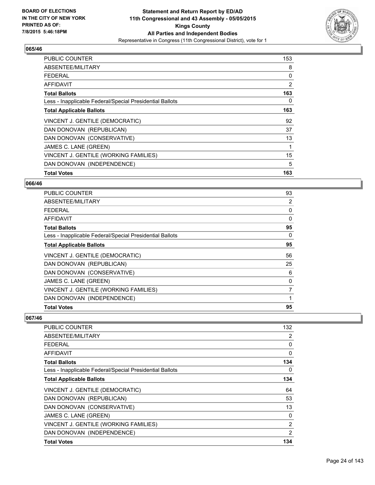

| <b>PUBLIC COUNTER</b>                                    | 153 |
|----------------------------------------------------------|-----|
| ABSENTEE/MILITARY                                        | 8   |
| <b>FEDERAL</b>                                           | 0   |
| <b>AFFIDAVIT</b>                                         | 2   |
| <b>Total Ballots</b>                                     | 163 |
| Less - Inapplicable Federal/Special Presidential Ballots | 0   |
| <b>Total Applicable Ballots</b>                          | 163 |
| VINCENT J. GENTILE (DEMOCRATIC)                          | 92  |
| DAN DONOVAN (REPUBLICAN)                                 | 37  |
| DAN DONOVAN (CONSERVATIVE)                               | 13  |
| JAMES C. LANE (GREEN)                                    | 1   |
| VINCENT J. GENTILE (WORKING FAMILIES)                    | 15  |
| DAN DONOVAN (INDEPENDENCE)                               | 5   |
| <b>Total Votes</b>                                       | 163 |

#### **066/46**

| PUBLIC COUNTER                                           | 93       |
|----------------------------------------------------------|----------|
| ABSENTEE/MILITARY                                        | 2        |
| <b>FEDERAL</b>                                           | 0        |
| AFFIDAVIT                                                | $\Omega$ |
| <b>Total Ballots</b>                                     | 95       |
| Less - Inapplicable Federal/Special Presidential Ballots | 0        |
| <b>Total Applicable Ballots</b>                          | 95       |
| VINCENT J. GENTILE (DEMOCRATIC)                          | 56       |
| DAN DONOVAN (REPUBLICAN)                                 | 25       |
| DAN DONOVAN (CONSERVATIVE)                               | 6        |
| JAMES C. LANE (GREEN)                                    | 0        |
| VINCENT J. GENTILE (WORKING FAMILIES)                    | 7        |
| DAN DONOVAN (INDEPENDENCE)                               |          |
| <b>Total Votes</b>                                       | 95       |

| <b>PUBLIC COUNTER</b>                                    | 132 |
|----------------------------------------------------------|-----|
| ABSENTEE/MILITARY                                        | 2   |
| <b>FEDERAL</b>                                           | 0   |
| AFFIDAVIT                                                | 0   |
| <b>Total Ballots</b>                                     | 134 |
| Less - Inapplicable Federal/Special Presidential Ballots | 0   |
| <b>Total Applicable Ballots</b>                          | 134 |
| VINCENT J. GENTILE (DEMOCRATIC)                          | 64  |
| DAN DONOVAN (REPUBLICAN)                                 | 53  |
| DAN DONOVAN (CONSERVATIVE)                               | 13  |
| JAMES C. LANE (GREEN)                                    | 0   |
| VINCENT J. GENTILE (WORKING FAMILIES)                    | 2   |
| DAN DONOVAN (INDEPENDENCE)                               | 2   |
| <b>Total Votes</b>                                       | 134 |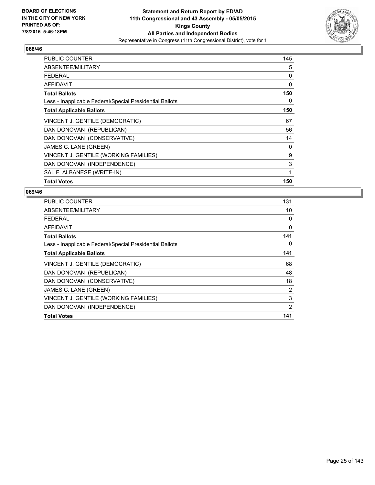

| <b>PUBLIC COUNTER</b>                                    | 145 |
|----------------------------------------------------------|-----|
| ABSENTEE/MILITARY                                        | 5   |
| <b>FEDERAL</b>                                           | 0   |
| <b>AFFIDAVIT</b>                                         | 0   |
| <b>Total Ballots</b>                                     | 150 |
| Less - Inapplicable Federal/Special Presidential Ballots | 0   |
| <b>Total Applicable Ballots</b>                          | 150 |
| VINCENT J. GENTILE (DEMOCRATIC)                          | 67  |
| DAN DONOVAN (REPUBLICAN)                                 | 56  |
| DAN DONOVAN (CONSERVATIVE)                               | 14  |
| JAMES C. LANE (GREEN)                                    | 0   |
| VINCENT J. GENTILE (WORKING FAMILIES)                    | 9   |
| DAN DONOVAN (INDEPENDENCE)                               | 3   |
| SAL F. ALBANESE (WRITE-IN)                               | 1   |
| <b>Total Votes</b>                                       | 150 |

| <b>PUBLIC COUNTER</b>                                    | 131 |
|----------------------------------------------------------|-----|
| ABSENTEE/MILITARY                                        | 10  |
| <b>FEDERAL</b>                                           | 0   |
| AFFIDAVIT                                                | 0   |
| <b>Total Ballots</b>                                     | 141 |
| Less - Inapplicable Federal/Special Presidential Ballots | 0   |
| <b>Total Applicable Ballots</b>                          | 141 |
| VINCENT J. GENTILE (DEMOCRATIC)                          | 68  |
| DAN DONOVAN (REPUBLICAN)                                 | 48  |
| DAN DONOVAN (CONSERVATIVE)                               | 18  |
| JAMES C. LANE (GREEN)                                    | 2   |
| VINCENT J. GENTILE (WORKING FAMILIES)                    | 3   |
| DAN DONOVAN (INDEPENDENCE)                               | 2   |
| <b>Total Votes</b>                                       | 141 |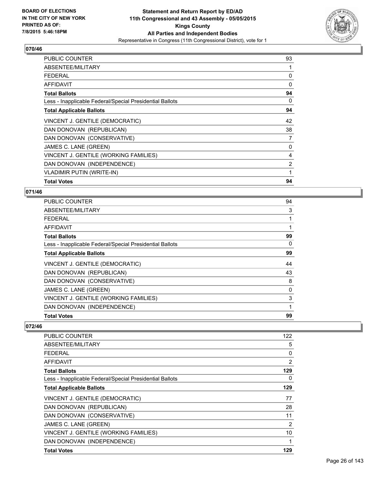

| <b>PUBLIC COUNTER</b>                                    | 93 |
|----------------------------------------------------------|----|
| ABSENTEE/MILITARY                                        | 1  |
| <b>FEDERAL</b>                                           | 0  |
| <b>AFFIDAVIT</b>                                         | 0  |
| <b>Total Ballots</b>                                     | 94 |
| Less - Inapplicable Federal/Special Presidential Ballots | 0  |
| <b>Total Applicable Ballots</b>                          | 94 |
| VINCENT J. GENTILE (DEMOCRATIC)                          | 42 |
| DAN DONOVAN (REPUBLICAN)                                 | 38 |
| DAN DONOVAN (CONSERVATIVE)                               | 7  |
| JAMES C. LANE (GREEN)                                    | 0  |
| VINCENT J. GENTILE (WORKING FAMILIES)                    | 4  |
| DAN DONOVAN (INDEPENDENCE)                               | 2  |
| <b>VLADIMIR PUTIN (WRITE-IN)</b>                         | 1  |
| <b>Total Votes</b>                                       | 94 |

#### **071/46**

| PUBLIC COUNTER                                           | 94 |
|----------------------------------------------------------|----|
| <b>ABSENTEE/MILITARY</b>                                 | 3  |
| FEDERAL                                                  | 1  |
| <b>AFFIDAVIT</b>                                         |    |
| <b>Total Ballots</b>                                     | 99 |
| Less - Inapplicable Federal/Special Presidential Ballots | 0  |
| <b>Total Applicable Ballots</b>                          | 99 |
| VINCENT J. GENTILE (DEMOCRATIC)                          | 44 |
| DAN DONOVAN (REPUBLICAN)                                 | 43 |
| DAN DONOVAN (CONSERVATIVE)                               | 8  |
| JAMES C. LANE (GREEN)                                    | 0  |
| VINCENT J. GENTILE (WORKING FAMILIES)                    | 3  |
| DAN DONOVAN (INDEPENDENCE)                               | 1  |
| <b>Total Votes</b>                                       | 99 |

| <b>PUBLIC COUNTER</b>                                    | 122            |
|----------------------------------------------------------|----------------|
| ABSENTEE/MILITARY                                        | 5              |
| FEDERAL                                                  | 0              |
| AFFIDAVIT                                                | $\overline{2}$ |
| <b>Total Ballots</b>                                     | 129            |
| Less - Inapplicable Federal/Special Presidential Ballots | 0              |
| <b>Total Applicable Ballots</b>                          | 129            |
| VINCENT J. GENTILE (DEMOCRATIC)                          | 77             |
| DAN DONOVAN (REPUBLICAN)                                 | 28             |
| DAN DONOVAN (CONSERVATIVE)                               | 11             |
| JAMES C. LANE (GREEN)                                    | $\overline{2}$ |
| VINCENT J. GENTILE (WORKING FAMILIES)                    | 10             |
| DAN DONOVAN (INDEPENDENCE)                               | 1              |
| <b>Total Votes</b>                                       | 129            |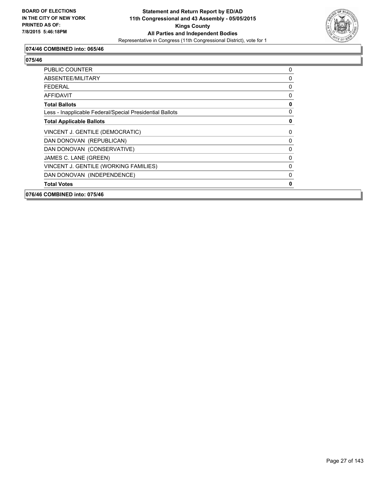

## **074/46 COMBINED into: 065/46**

| <b>PUBLIC COUNTER</b>                                    | 0            |
|----------------------------------------------------------|--------------|
| ABSENTEE/MILITARY                                        | 0            |
| <b>FEDERAL</b>                                           | 0            |
| AFFIDAVIT                                                | 0            |
| <b>Total Ballots</b>                                     | $\mathbf 0$  |
| Less - Inapplicable Federal/Special Presidential Ballots | 0            |
| <b>Total Applicable Ballots</b>                          | $\mathbf 0$  |
| VINCENT J. GENTILE (DEMOCRATIC)                          | 0            |
| DAN DONOVAN (REPUBLICAN)                                 | $\mathbf{0}$ |
| DAN DONOVAN (CONSERVATIVE)                               | 0            |
| JAMES C. LANE (GREEN)                                    | 0            |
| VINCENT J. GENTILE (WORKING FAMILIES)                    | 0            |
| DAN DONOVAN (INDEPENDENCE)                               | 0            |
| <b>Total Votes</b>                                       | 0            |
| 076/46 COMBINED into: 075/46                             |              |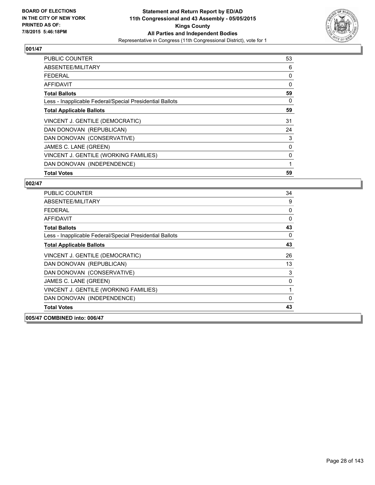

| PUBLIC COUNTER                                           | 53 |
|----------------------------------------------------------|----|
| ABSENTEE/MILITARY                                        | 6  |
| <b>FEDERAL</b>                                           | 0  |
| AFFIDAVIT                                                | 0  |
| <b>Total Ballots</b>                                     | 59 |
| Less - Inapplicable Federal/Special Presidential Ballots | 0  |
| <b>Total Applicable Ballots</b>                          | 59 |
| VINCENT J. GENTILE (DEMOCRATIC)                          | 31 |
| DAN DONOVAN (REPUBLICAN)                                 | 24 |
| DAN DONOVAN (CONSERVATIVE)                               | 3  |
| JAMES C. LANE (GREEN)                                    | 0  |
| VINCENT J. GENTILE (WORKING FAMILIES)                    | 0  |
| DAN DONOVAN (INDEPENDENCE)                               | 1  |
| <b>Total Votes</b>                                       | 59 |

| <b>PUBLIC COUNTER</b>                                    | 34       |
|----------------------------------------------------------|----------|
| ABSENTEE/MILITARY                                        | 9        |
| FFDFRAI                                                  | 0        |
| <b>AFFIDAVIT</b>                                         | 0        |
| <b>Total Ballots</b>                                     | 43       |
| Less - Inapplicable Federal/Special Presidential Ballots | 0        |
| <b>Total Applicable Ballots</b>                          | 43       |
| VINCENT J. GENTILE (DEMOCRATIC)                          | 26       |
| DAN DONOVAN (REPUBLICAN)                                 | 13       |
| DAN DONOVAN (CONSERVATIVE)                               | 3        |
| JAMES C. LANE (GREEN)                                    | 0        |
| VINCENT J. GENTILE (WORKING FAMILIES)                    | 1        |
| DAN DONOVAN (INDEPENDENCE)                               | $\Omega$ |
| <b>Total Votes</b>                                       | 43       |
| 005/47 COMBINED into: 006/47                             |          |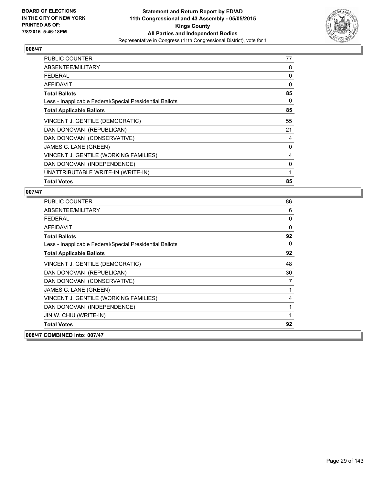

| <b>PUBLIC COUNTER</b>                                    | 77 |
|----------------------------------------------------------|----|
| ABSENTEE/MILITARY                                        | 8  |
| <b>FEDERAL</b>                                           | 0  |
| <b>AFFIDAVIT</b>                                         | 0  |
| <b>Total Ballots</b>                                     | 85 |
| Less - Inapplicable Federal/Special Presidential Ballots | 0  |
| <b>Total Applicable Ballots</b>                          | 85 |
| VINCENT J. GENTILE (DEMOCRATIC)                          | 55 |
| DAN DONOVAN (REPUBLICAN)                                 | 21 |
| DAN DONOVAN (CONSERVATIVE)                               | 4  |
| JAMES C. LANE (GREEN)                                    | 0  |
| VINCENT J. GENTILE (WORKING FAMILIES)                    | 4  |
| DAN DONOVAN (INDEPENDENCE)                               | 0  |
| UNATTRIBUTABLE WRITE-IN (WRITE-IN)                       | 1  |
| <b>Total Votes</b>                                       | 85 |

| <b>PUBLIC COUNTER</b>                                    | 86           |
|----------------------------------------------------------|--------------|
| ABSENTEE/MILITARY                                        | 6            |
| <b>FEDERAL</b>                                           | 0            |
| <b>AFFIDAVIT</b>                                         | $\mathbf{0}$ |
| <b>Total Ballots</b>                                     | 92           |
| Less - Inapplicable Federal/Special Presidential Ballots | 0            |
| <b>Total Applicable Ballots</b>                          | 92           |
| VINCENT J. GENTILE (DEMOCRATIC)                          | 48           |
| DAN DONOVAN (REPUBLICAN)                                 | 30           |
| DAN DONOVAN (CONSERVATIVE)                               | 7            |
| JAMES C. LANE (GREEN)                                    | 1            |
| VINCENT J. GENTILE (WORKING FAMILIES)                    | 4            |
| DAN DONOVAN (INDEPENDENCE)                               | 1            |
| JIN W. CHIU (WRITE-IN)                                   | 1            |
| <b>Total Votes</b>                                       | 92           |
| 008/47 COMBINED into: 007/47                             |              |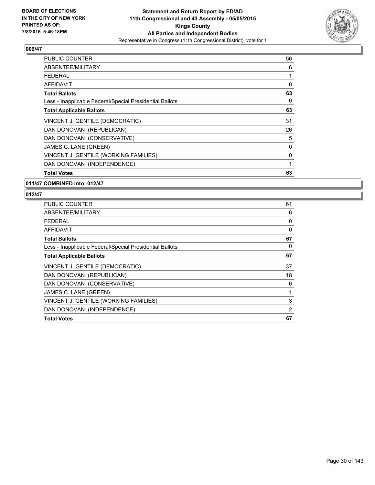

| PUBLIC COUNTER                                           | 56 |
|----------------------------------------------------------|----|
| ABSENTEE/MILITARY                                        | 6  |
| <b>FEDERAL</b>                                           | 1  |
| AFFIDAVIT                                                | 0  |
| <b>Total Ballots</b>                                     | 63 |
| Less - Inapplicable Federal/Special Presidential Ballots | 0  |
| <b>Total Applicable Ballots</b>                          | 63 |
| VINCENT J. GENTILE (DEMOCRATIC)                          | 31 |
| DAN DONOVAN (REPUBLICAN)                                 | 26 |
| DAN DONOVAN (CONSERVATIVE)                               | 5  |
| JAMES C. LANE (GREEN)                                    | 0  |
| VINCENT J. GENTILE (WORKING FAMILIES)                    | 0  |
| DAN DONOVAN (INDEPENDENCE)                               | 1  |
| <b>Total Votes</b>                                       | 63 |

#### **011/47 COMBINED into: 012/47**

| <b>PUBLIC COUNTER</b>                                    | 61 |
|----------------------------------------------------------|----|
| ABSENTEE/MILITARY                                        | 6  |
| FEDERAL                                                  | 0  |
| AFFIDAVIT                                                | 0  |
| <b>Total Ballots</b>                                     | 67 |
| Less - Inapplicable Federal/Special Presidential Ballots | 0  |
| <b>Total Applicable Ballots</b>                          | 67 |
| VINCENT J. GENTILE (DEMOCRATIC)                          | 37 |
| DAN DONOVAN (REPUBLICAN)                                 | 18 |
| DAN DONOVAN (CONSERVATIVE)                               | 6  |
| JAMES C. LANE (GREEN)                                    | 1  |
| VINCENT J. GENTILE (WORKING FAMILIES)                    | 3  |
| DAN DONOVAN (INDEPENDENCE)                               | 2  |
| <b>Total Votes</b>                                       | 67 |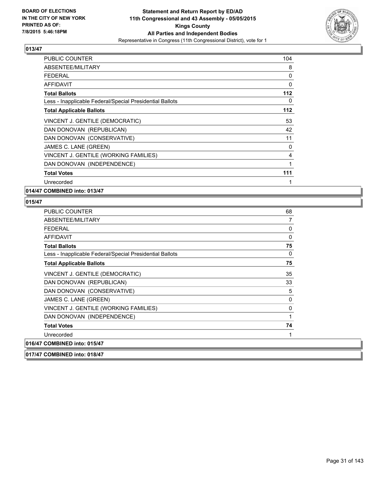

| PUBLIC COUNTER                                           | 104   |
|----------------------------------------------------------|-------|
| ABSENTEE/MILITARY                                        | 8     |
| <b>FEDERAL</b>                                           | 0     |
| AFFIDAVIT                                                | 0     |
| <b>Total Ballots</b>                                     | 112   |
| Less - Inapplicable Federal/Special Presidential Ballots | 0     |
| <b>Total Applicable Ballots</b>                          | $112$ |
| VINCENT J. GENTILE (DEMOCRATIC)                          | 53    |
| DAN DONOVAN (REPUBLICAN)                                 | 42    |
| DAN DONOVAN (CONSERVATIVE)                               | 11    |
| JAMES C. LANE (GREEN)                                    | 0     |
| VINCENT J. GENTILE (WORKING FAMILIES)                    | 4     |
| DAN DONOVAN (INDEPENDENCE)                               | 1     |
| <b>Total Votes</b>                                       | 111   |
| Unrecorded                                               | 1     |

**014/47 COMBINED into: 013/47**

| PUBLIC COUNTER                                           | 68           |
|----------------------------------------------------------|--------------|
| ABSENTEE/MILITARY                                        | 7            |
| <b>FEDERAL</b>                                           | 0            |
| <b>AFFIDAVIT</b>                                         | $\mathbf{0}$ |
| <b>Total Ballots</b>                                     | 75           |
| Less - Inapplicable Federal/Special Presidential Ballots | 0            |
| <b>Total Applicable Ballots</b>                          | 75           |
| VINCENT J. GENTILE (DEMOCRATIC)                          | 35           |
| DAN DONOVAN (REPUBLICAN)                                 | 33           |
| DAN DONOVAN (CONSERVATIVE)                               | 5            |
| JAMES C. LANE (GREEN)                                    | 0            |
| VINCENT J. GENTILE (WORKING FAMILIES)                    | 0            |
| DAN DONOVAN (INDEPENDENCE)                               | 1            |
| <b>Total Votes</b>                                       | 74           |
| Unrecorded                                               | 1            |
| 016/47 COMBINED into: 015/47                             |              |
| 017/47 COMBINED into: 018/47                             |              |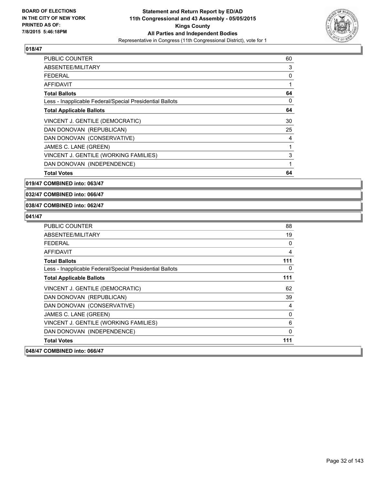

| PUBLIC COUNTER                                           | 60 |
|----------------------------------------------------------|----|
| ABSENTEE/MILITARY                                        | 3  |
| <b>FEDERAL</b>                                           | 0  |
| AFFIDAVIT                                                | 1  |
| <b>Total Ballots</b>                                     | 64 |
| Less - Inapplicable Federal/Special Presidential Ballots | 0  |
| <b>Total Applicable Ballots</b>                          | 64 |
| VINCENT J. GENTILE (DEMOCRATIC)                          | 30 |
| DAN DONOVAN (REPUBLICAN)                                 | 25 |
| DAN DONOVAN (CONSERVATIVE)                               | 4  |
| JAMES C. LANE (GREEN)                                    | 1  |
| VINCENT J. GENTILE (WORKING FAMILIES)                    | 3  |
| DAN DONOVAN (INDEPENDENCE)                               | 1  |
| <b>Total Votes</b>                                       | 64 |

**019/47 COMBINED into: 063/47**

**032/47 COMBINED into: 066/47**

#### **038/47 COMBINED into: 062/47**

| <b>PUBLIC COUNTER</b>                                    | 88  |
|----------------------------------------------------------|-----|
| ABSENTEE/MILITARY                                        | 19  |
| <b>FFDFRAI</b>                                           | 0   |
| <b>AFFIDAVIT</b>                                         | 4   |
| <b>Total Ballots</b>                                     | 111 |
| Less - Inapplicable Federal/Special Presidential Ballots | 0   |
| <b>Total Applicable Ballots</b>                          | 111 |
| VINCENT J. GENTILE (DEMOCRATIC)                          | 62  |
| DAN DONOVAN (REPUBLICAN)                                 | 39  |
| DAN DONOVAN (CONSERVATIVE)                               | 4   |
| JAMES C. LANE (GREEN)                                    | 0   |
| VINCENT J. GENTILE (WORKING FAMILIES)                    | 6   |
| DAN DONOVAN (INDEPENDENCE)                               | 0   |
| <b>Total Votes</b>                                       | 111 |
| 048/47 COMBINED into: 066/47                             |     |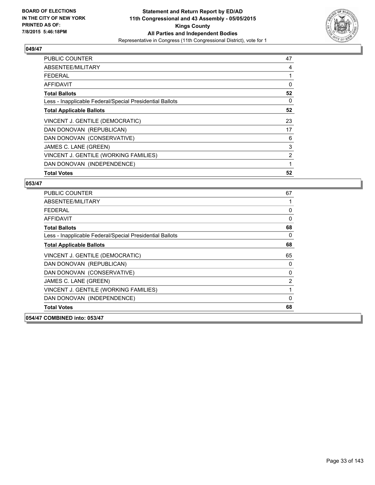

| <b>PUBLIC COUNTER</b>                                    | 47 |
|----------------------------------------------------------|----|
| ABSENTEE/MILITARY                                        | 4  |
| <b>FEDERAL</b>                                           | 1  |
| AFFIDAVIT                                                | 0  |
| <b>Total Ballots</b>                                     | 52 |
| Less - Inapplicable Federal/Special Presidential Ballots | 0  |
| <b>Total Applicable Ballots</b>                          | 52 |
| VINCENT J. GENTILE (DEMOCRATIC)                          | 23 |
| DAN DONOVAN (REPUBLICAN)                                 | 17 |
| DAN DONOVAN (CONSERVATIVE)                               | 6  |
| JAMES C. LANE (GREEN)                                    | 3  |
| VINCENT J. GENTILE (WORKING FAMILIES)                    | 2  |
| DAN DONOVAN (INDEPENDENCE)                               | 1  |
| <b>Total Votes</b>                                       | 52 |

| <b>PUBLIC COUNTER</b>                                    | 67 |
|----------------------------------------------------------|----|
| ABSENTEE/MILITARY                                        |    |
| <b>FEDERAL</b>                                           | 0  |
| <b>AFFIDAVIT</b>                                         | 0  |
| <b>Total Ballots</b>                                     | 68 |
| Less - Inapplicable Federal/Special Presidential Ballots | 0  |
| <b>Total Applicable Ballots</b>                          | 68 |
| VINCENT J. GENTILE (DEMOCRATIC)                          | 65 |
| DAN DONOVAN (REPUBLICAN)                                 | 0  |
| DAN DONOVAN (CONSERVATIVE)                               | 0  |
| JAMES C. LANE (GREEN)                                    | 2  |
| VINCENT J. GENTILE (WORKING FAMILIES)                    | 1  |
| DAN DONOVAN (INDEPENDENCE)                               | 0  |
| <b>Total Votes</b>                                       | 68 |
| 054/47 COMBINED into: 053/47                             |    |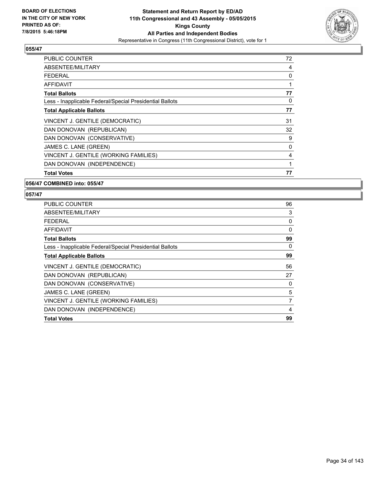

| PUBLIC COUNTER                                           | 72 |
|----------------------------------------------------------|----|
| ABSENTEE/MILITARY                                        | 4  |
| FEDERAL                                                  | 0  |
| AFFIDAVIT                                                | 1  |
| <b>Total Ballots</b>                                     | 77 |
| Less - Inapplicable Federal/Special Presidential Ballots | 0  |
| <b>Total Applicable Ballots</b>                          | 77 |
| VINCENT J. GENTILE (DEMOCRATIC)                          | 31 |
| DAN DONOVAN (REPUBLICAN)                                 | 32 |
| DAN DONOVAN (CONSERVATIVE)                               | 9  |
| JAMES C. LANE (GREEN)                                    | 0  |
| VINCENT J. GENTILE (WORKING FAMILIES)                    | 4  |
| DAN DONOVAN (INDEPENDENCE)                               | 1  |
| <b>Total Votes</b>                                       | 77 |

#### **056/47 COMBINED into: 055/47**

| <b>PUBLIC COUNTER</b>                                    | 96 |
|----------------------------------------------------------|----|
| ABSENTEE/MILITARY                                        | 3  |
| <b>FEDERAL</b>                                           | 0  |
| <b>AFFIDAVIT</b>                                         | 0  |
| <b>Total Ballots</b>                                     | 99 |
| Less - Inapplicable Federal/Special Presidential Ballots | 0  |
| <b>Total Applicable Ballots</b>                          | 99 |
| VINCENT J. GENTILE (DEMOCRATIC)                          | 56 |
| DAN DONOVAN (REPUBLICAN)                                 | 27 |
| DAN DONOVAN (CONSERVATIVE)                               | 0  |
| JAMES C. LANE (GREEN)                                    | 5  |
| VINCENT J. GENTILE (WORKING FAMILIES)                    | 7  |
| DAN DONOVAN (INDEPENDENCE)                               | 4  |
| <b>Total Votes</b>                                       | 99 |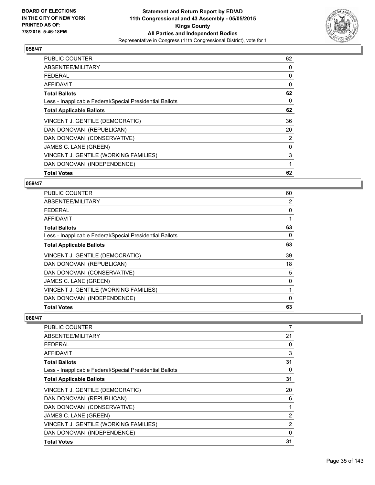

| <b>PUBLIC COUNTER</b>                                    | 62 |
|----------------------------------------------------------|----|
| ABSENTEE/MILITARY                                        | 0  |
| <b>FEDERAL</b>                                           | 0  |
| AFFIDAVIT                                                | 0  |
| <b>Total Ballots</b>                                     | 62 |
| Less - Inapplicable Federal/Special Presidential Ballots | 0  |
| <b>Total Applicable Ballots</b>                          | 62 |
| VINCENT J. GENTILE (DEMOCRATIC)                          | 36 |
| DAN DONOVAN (REPUBLICAN)                                 | 20 |
| DAN DONOVAN (CONSERVATIVE)                               | 2  |
| JAMES C. LANE (GREEN)                                    | 0  |
| VINCENT J. GENTILE (WORKING FAMILIES)                    | 3  |
| DAN DONOVAN (INDEPENDENCE)                               | 1  |
| <b>Total Votes</b>                                       | 62 |

#### **059/47**

| PUBLIC COUNTER                                           | 60       |
|----------------------------------------------------------|----------|
| ABSENTEE/MILITARY                                        | 2        |
| <b>FEDERAL</b>                                           | 0        |
| <b>AFFIDAVIT</b>                                         |          |
| <b>Total Ballots</b>                                     | 63       |
| Less - Inapplicable Federal/Special Presidential Ballots | 0        |
| <b>Total Applicable Ballots</b>                          | 63       |
| VINCENT J. GENTILE (DEMOCRATIC)                          | 39       |
| DAN DONOVAN (REPUBLICAN)                                 | 18       |
| DAN DONOVAN (CONSERVATIVE)                               | 5        |
| JAMES C. LANE (GREEN)                                    | 0        |
| VINCENT J. GENTILE (WORKING FAMILIES)                    |          |
| DAN DONOVAN (INDEPENDENCE)                               | $\Omega$ |
| <b>Total Votes</b>                                       | 63       |

| <b>PUBLIC COUNTER</b>                                    | 7  |
|----------------------------------------------------------|----|
| ABSENTEE/MILITARY                                        | 21 |
| <b>FEDERAL</b>                                           | 0  |
| AFFIDAVIT                                                | 3  |
| <b>Total Ballots</b>                                     | 31 |
| Less - Inapplicable Federal/Special Presidential Ballots | 0  |
| <b>Total Applicable Ballots</b>                          | 31 |
| VINCENT J. GENTILE (DEMOCRATIC)                          | 20 |
| DAN DONOVAN (REPUBLICAN)                                 | 6  |
| DAN DONOVAN (CONSERVATIVE)                               | 1  |
| JAMES C. LANE (GREEN)                                    | 2  |
| VINCENT J. GENTILE (WORKING FAMILIES)                    | 2  |
| DAN DONOVAN (INDEPENDENCE)                               | 0  |
| <b>Total Votes</b>                                       | 31 |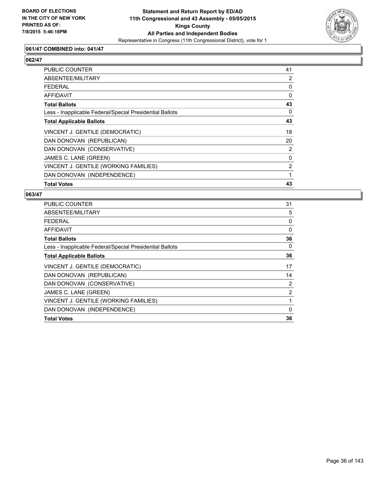

## **061/47 COMBINED into: 041/47**

# **062/47**

| <b>PUBLIC COUNTER</b>                                    | 41       |
|----------------------------------------------------------|----------|
| ABSENTEE/MILITARY                                        | 2        |
| <b>FEDERAL</b>                                           | 0        |
| <b>AFFIDAVIT</b>                                         | $\Omega$ |
| <b>Total Ballots</b>                                     | 43       |
| Less - Inapplicable Federal/Special Presidential Ballots | 0        |
| <b>Total Applicable Ballots</b>                          | 43       |
| VINCENT J. GENTILE (DEMOCRATIC)                          | 18       |
| DAN DONOVAN (REPUBLICAN)                                 | 20       |
| DAN DONOVAN (CONSERVATIVE)                               | 2        |
| JAMES C. LANE (GREEN)                                    | 0        |
| VINCENT J. GENTILE (WORKING FAMILIES)                    | 2        |
| DAN DONOVAN (INDEPENDENCE)                               | 1        |
| <b>Total Votes</b>                                       | 43       |

| <b>PUBLIC COUNTER</b>                                    | 31             |
|----------------------------------------------------------|----------------|
| ABSENTEE/MILITARY                                        | 5              |
| <b>FEDERAL</b>                                           | 0              |
| AFFIDAVIT                                                | 0              |
| <b>Total Ballots</b>                                     | 36             |
| Less - Inapplicable Federal/Special Presidential Ballots | 0              |
| <b>Total Applicable Ballots</b>                          | 36             |
| VINCENT J. GENTILE (DEMOCRATIC)                          | 17             |
| DAN DONOVAN (REPUBLICAN)                                 | 14             |
| DAN DONOVAN (CONSERVATIVE)                               | 2              |
| JAMES C. LANE (GREEN)                                    | $\overline{2}$ |
| VINCENT J. GENTILE (WORKING FAMILIES)                    | 1              |
| DAN DONOVAN (INDEPENDENCE)                               | $\mathbf{0}$   |
| <b>Total Votes</b>                                       | 36             |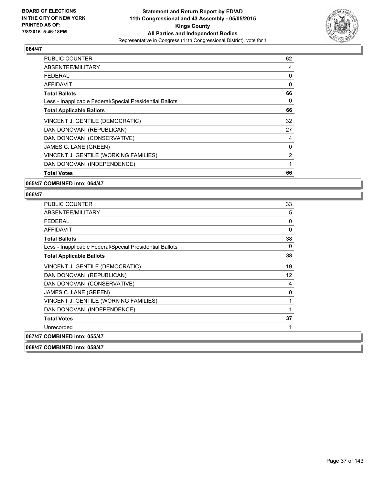

| <b>PUBLIC COUNTER</b>                                    | 62 |
|----------------------------------------------------------|----|
| ABSENTEE/MILITARY                                        | 4  |
| FEDERAL                                                  | 0  |
| AFFIDAVIT                                                | 0  |
| <b>Total Ballots</b>                                     | 66 |
| Less - Inapplicable Federal/Special Presidential Ballots | 0  |
| <b>Total Applicable Ballots</b>                          | 66 |
| VINCENT J. GENTILE (DEMOCRATIC)                          | 32 |
| DAN DONOVAN (REPUBLICAN)                                 | 27 |
| DAN DONOVAN (CONSERVATIVE)                               | 4  |
| JAMES C. LANE (GREEN)                                    | 0  |
| VINCENT J. GENTILE (WORKING FAMILIES)                    | 2  |
| DAN DONOVAN (INDEPENDENCE)                               | 1  |
| <b>Total Votes</b>                                       | 66 |

#### **065/47 COMBINED into: 064/47**

| PUBLIC COUNTER                                           | 33           |
|----------------------------------------------------------|--------------|
| ABSENTEE/MILITARY                                        | 5            |
| <b>FEDERAL</b>                                           | 0            |
| AFFIDAVIT                                                | 0            |
| <b>Total Ballots</b>                                     | 38           |
| Less - Inapplicable Federal/Special Presidential Ballots | $\mathbf{0}$ |
| <b>Total Applicable Ballots</b>                          | 38           |
| VINCENT J. GENTILE (DEMOCRATIC)                          | 19           |
| DAN DONOVAN (REPUBLICAN)                                 | 12           |
| DAN DONOVAN (CONSERVATIVE)                               | 4            |
| JAMES C. LANE (GREEN)                                    | 0            |
| VINCENT J. GENTILE (WORKING FAMILIES)                    | 1            |
| DAN DONOVAN (INDEPENDENCE)                               | 1            |
| <b>Total Votes</b>                                       | 37           |
| Unrecorded                                               | 1            |
| 067/47 COMBINED into: 055/47                             |              |
| 068/47 COMBINED into: 058/47                             |              |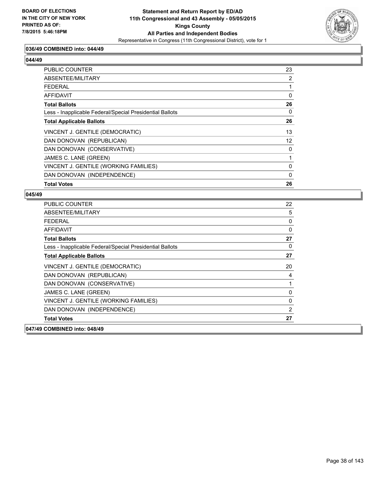

## **036/49 COMBINED into: 044/49**

#### **044/49**

| PUBLIC COUNTER                                           | 23 |
|----------------------------------------------------------|----|
| ABSENTEE/MILITARY                                        | 2  |
| <b>FEDERAL</b>                                           |    |
| AFFIDAVIT                                                | 0  |
| <b>Total Ballots</b>                                     | 26 |
| Less - Inapplicable Federal/Special Presidential Ballots | 0  |
| <b>Total Applicable Ballots</b>                          | 26 |
| VINCENT J. GENTILE (DEMOCRATIC)                          | 13 |
| DAN DONOVAN (REPUBLICAN)                                 | 12 |
| DAN DONOVAN (CONSERVATIVE)                               | 0  |
| JAMES C. LANE (GREEN)                                    |    |
| VINCENT J. GENTILE (WORKING FAMILIES)                    | 0  |
| DAN DONOVAN (INDEPENDENCE)                               | 0  |
| <b>Total Votes</b>                                       | 26 |

| <b>PUBLIC COUNTER</b>                                    | 22           |
|----------------------------------------------------------|--------------|
| ABSENTEE/MILITARY                                        | 5            |
| <b>FEDERAL</b>                                           | 0            |
| <b>AFFIDAVIT</b>                                         | $\mathbf{0}$ |
| <b>Total Ballots</b>                                     | 27           |
| Less - Inapplicable Federal/Special Presidential Ballots | 0            |
| <b>Total Applicable Ballots</b>                          | 27           |
| VINCENT J. GENTILE (DEMOCRATIC)                          | 20           |
| DAN DONOVAN (REPUBLICAN)                                 | 4            |
| DAN DONOVAN (CONSERVATIVE)                               | 1            |
| JAMES C. LANE (GREEN)                                    | $\mathbf{0}$ |
| VINCENT J. GENTILE (WORKING FAMILIES)                    | 0            |
| DAN DONOVAN (INDEPENDENCE)                               | 2            |
| <b>Total Votes</b>                                       | 27           |
| 047/49 COMBINED into: 048/49                             |              |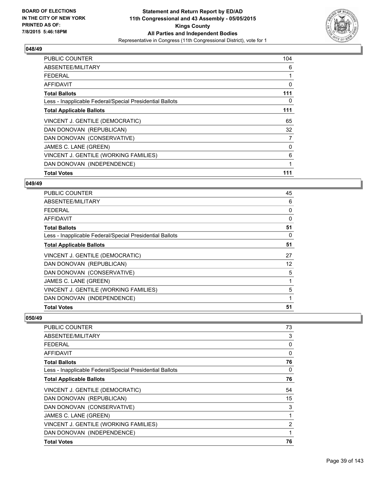

| <b>PUBLIC COUNTER</b>                                    | 104 |
|----------------------------------------------------------|-----|
| ABSENTEE/MILITARY                                        | 6   |
| <b>FEDERAL</b>                                           |     |
| AFFIDAVIT                                                | 0   |
| <b>Total Ballots</b>                                     | 111 |
| Less - Inapplicable Federal/Special Presidential Ballots | 0   |
| <b>Total Applicable Ballots</b>                          | 111 |
| VINCENT J. GENTILE (DEMOCRATIC)                          | 65  |
| DAN DONOVAN (REPUBLICAN)                                 | 32  |
| DAN DONOVAN (CONSERVATIVE)                               | 7   |
| JAMES C. LANE (GREEN)                                    | 0   |
| VINCENT J. GENTILE (WORKING FAMILIES)                    | 6   |
| DAN DONOVAN (INDEPENDENCE)                               | 1   |
| <b>Total Votes</b>                                       | 111 |

#### **049/49**

| <b>PUBLIC COUNTER</b>                                    | 45       |
|----------------------------------------------------------|----------|
| ABSENTEE/MILITARY                                        | 6        |
| <b>FEDERAL</b>                                           | 0        |
| <b>AFFIDAVIT</b>                                         | $\Omega$ |
| <b>Total Ballots</b>                                     | 51       |
| Less - Inapplicable Federal/Special Presidential Ballots | 0        |
| <b>Total Applicable Ballots</b>                          | 51       |
| VINCENT J. GENTILE (DEMOCRATIC)                          | 27       |
| DAN DONOVAN (REPUBLICAN)                                 | 12       |
| DAN DONOVAN (CONSERVATIVE)                               | 5        |
| JAMES C. LANE (GREEN)                                    |          |
| VINCENT J. GENTILE (WORKING FAMILIES)                    | 5        |
| DAN DONOVAN (INDEPENDENCE)                               |          |
| <b>Total Votes</b>                                       | 51       |

| <b>PUBLIC COUNTER</b>                                    | 73             |
|----------------------------------------------------------|----------------|
| ABSENTEE/MILITARY                                        | 3              |
| <b>FEDERAL</b>                                           | 0              |
| AFFIDAVIT                                                | 0              |
| <b>Total Ballots</b>                                     | 76             |
| Less - Inapplicable Federal/Special Presidential Ballots | 0              |
| <b>Total Applicable Ballots</b>                          | 76             |
| VINCENT J. GENTILE (DEMOCRATIC)                          | 54             |
| DAN DONOVAN (REPUBLICAN)                                 | 15             |
| DAN DONOVAN (CONSERVATIVE)                               | 3              |
| JAMES C. LANE (GREEN)                                    | 1              |
| VINCENT J. GENTILE (WORKING FAMILIES)                    | $\overline{2}$ |
| DAN DONOVAN (INDEPENDENCE)                               | 1              |
| <b>Total Votes</b>                                       | 76             |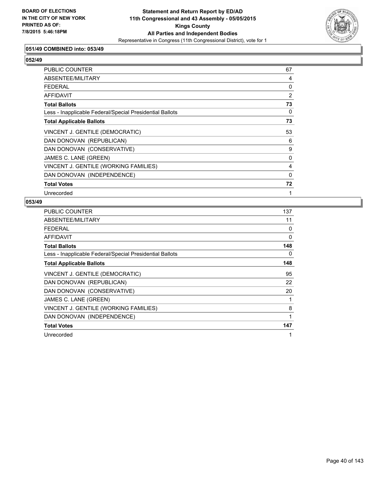

## **051/49 COMBINED into: 053/49**

# **052/49**

| PUBLIC COUNTER                                           | 67       |
|----------------------------------------------------------|----------|
| ABSENTEE/MILITARY                                        | 4        |
| <b>FEDERAL</b>                                           | 0        |
| AFFIDAVIT                                                | 2        |
| <b>Total Ballots</b>                                     | 73       |
| Less - Inapplicable Federal/Special Presidential Ballots | 0        |
| <b>Total Applicable Ballots</b>                          | 73       |
| VINCENT J. GENTILE (DEMOCRATIC)                          | 53       |
| DAN DONOVAN (REPUBLICAN)                                 | 6        |
| DAN DONOVAN (CONSERVATIVE)                               | 9        |
| JAMES C. LANE (GREEN)                                    | 0        |
| VINCENT J. GENTILE (WORKING FAMILIES)                    | 4        |
| DAN DONOVAN (INDEPENDENCE)                               | $\Omega$ |
| <b>Total Votes</b>                                       | 72       |
| Unrecorded                                               | 1        |

| <b>PUBLIC COUNTER</b>                                    | 137 |
|----------------------------------------------------------|-----|
| ABSENTEE/MILITARY                                        | 11  |
| <b>FEDERAL</b>                                           | 0   |
| <b>AFFIDAVIT</b>                                         | 0   |
| <b>Total Ballots</b>                                     | 148 |
| Less - Inapplicable Federal/Special Presidential Ballots | 0   |
| <b>Total Applicable Ballots</b>                          | 148 |
| VINCENT J. GENTILE (DEMOCRATIC)                          | 95  |
| DAN DONOVAN (REPUBLICAN)                                 | 22  |
| DAN DONOVAN (CONSERVATIVE)                               | 20  |
| JAMES C. LANE (GREEN)                                    | 1   |
| VINCENT J. GENTILE (WORKING FAMILIES)                    | 8   |
| DAN DONOVAN (INDEPENDENCE)                               | 1   |
| <b>Total Votes</b>                                       | 147 |
| Unrecorded                                               | 1   |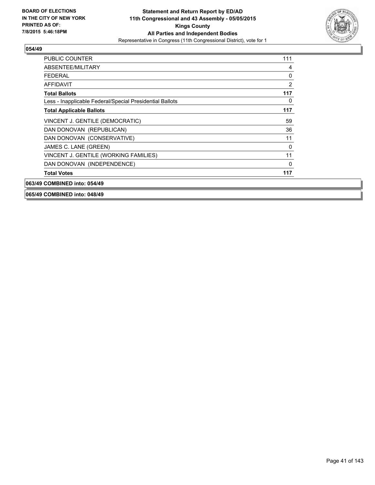

| <b>PUBLIC COUNTER</b>                                    | 111 |
|----------------------------------------------------------|-----|
| ABSENTEE/MILITARY                                        | 4   |
| FFDFRAI                                                  | 0   |
| AFFIDAVIT                                                | 2   |
| <b>Total Ballots</b>                                     | 117 |
| Less - Inapplicable Federal/Special Presidential Ballots | 0   |
| <b>Total Applicable Ballots</b>                          | 117 |
| VINCENT J. GENTILE (DEMOCRATIC)                          | 59  |
| DAN DONOVAN (REPUBLICAN)                                 | 36  |
| DAN DONOVAN (CONSERVATIVE)                               | 11  |
| JAMES C. LANE (GREEN)                                    | 0   |
| VINCENT J. GENTILE (WORKING FAMILIES)                    | 11  |
| DAN DONOVAN (INDEPENDENCE)                               | 0   |
| <b>Total Votes</b>                                       | 117 |
| 063/49 COMBINED into: 054/49                             |     |

**065/49 COMBINED into: 048/49**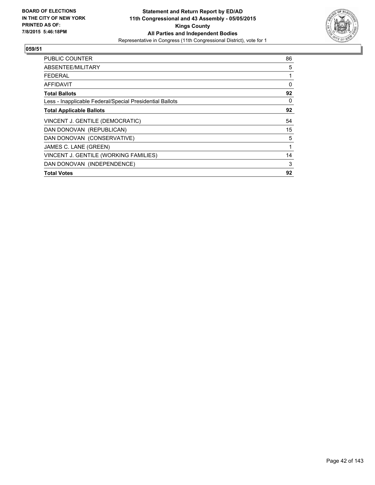

| <b>PUBLIC COUNTER</b>                                    | 86 |
|----------------------------------------------------------|----|
| ABSENTEE/MILITARY                                        | 5  |
| <b>FEDERAL</b>                                           | 1  |
| AFFIDAVIT                                                | 0  |
| <b>Total Ballots</b>                                     | 92 |
| Less - Inapplicable Federal/Special Presidential Ballots | 0  |
| <b>Total Applicable Ballots</b>                          | 92 |
| VINCENT J. GENTILE (DEMOCRATIC)                          | 54 |
| DAN DONOVAN (REPUBLICAN)                                 | 15 |
| DAN DONOVAN (CONSERVATIVE)                               | 5  |
| JAMES C. LANE (GREEN)                                    | 1  |
| VINCENT J. GENTILE (WORKING FAMILIES)                    | 14 |
| DAN DONOVAN (INDEPENDENCE)                               | 3  |
| <b>Total Votes</b>                                       | 92 |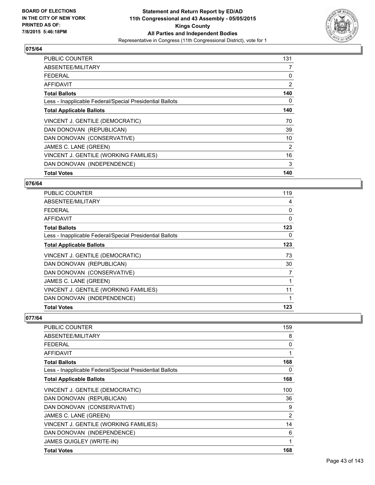

| <b>PUBLIC COUNTER</b>                                    | 131 |
|----------------------------------------------------------|-----|
| ABSENTEE/MILITARY                                        | 7   |
| <b>FEDERAL</b>                                           | 0   |
| AFFIDAVIT                                                | 2   |
| <b>Total Ballots</b>                                     | 140 |
| Less - Inapplicable Federal/Special Presidential Ballots | 0   |
| <b>Total Applicable Ballots</b>                          | 140 |
| VINCENT J. GENTILE (DEMOCRATIC)                          | 70  |
| DAN DONOVAN (REPUBLICAN)                                 | 39  |
| DAN DONOVAN (CONSERVATIVE)                               | 10  |
| JAMES C. LANE (GREEN)                                    | 2   |
| VINCENT J. GENTILE (WORKING FAMILIES)                    | 16  |
| DAN DONOVAN (INDEPENDENCE)                               | 3   |
| <b>Total Votes</b>                                       | 140 |

#### **076/64**

| PUBLIC COUNTER                                           | 119      |
|----------------------------------------------------------|----------|
| ABSENTEE/MILITARY                                        | 4        |
| <b>FEDERAL</b>                                           | 0        |
| <b>AFFIDAVIT</b>                                         | $\Omega$ |
| <b>Total Ballots</b>                                     | 123      |
| Less - Inapplicable Federal/Special Presidential Ballots | 0        |
| <b>Total Applicable Ballots</b>                          | 123      |
| VINCENT J. GENTILE (DEMOCRATIC)                          | 73       |
| DAN DONOVAN (REPUBLICAN)                                 | 30       |
| DAN DONOVAN (CONSERVATIVE)                               | 7        |
| JAMES C. LANE (GREEN)                                    |          |
| VINCENT J. GENTILE (WORKING FAMILIES)                    | 11       |
| DAN DONOVAN (INDEPENDENCE)                               |          |
| <b>Total Votes</b>                                       | 123      |

| PUBLIC COUNTER                                           | 159            |
|----------------------------------------------------------|----------------|
| ABSENTEE/MILITARY                                        | 8              |
| <b>FEDERAL</b>                                           | 0              |
| AFFIDAVIT                                                | 1              |
| <b>Total Ballots</b>                                     | 168            |
| Less - Inapplicable Federal/Special Presidential Ballots | 0              |
| <b>Total Applicable Ballots</b>                          | 168            |
| VINCENT J. GENTILE (DEMOCRATIC)                          | 100            |
| DAN DONOVAN (REPUBLICAN)                                 | 36             |
| DAN DONOVAN (CONSERVATIVE)                               | 9              |
| JAMES C. LANE (GREEN)                                    | $\overline{2}$ |
| VINCENT J. GENTILE (WORKING FAMILIES)                    | 14             |
| DAN DONOVAN (INDEPENDENCE)                               | 6              |
| <b>JAMES QUIGLEY (WRITE-IN)</b>                          | 1              |
| <b>Total Votes</b>                                       | 168            |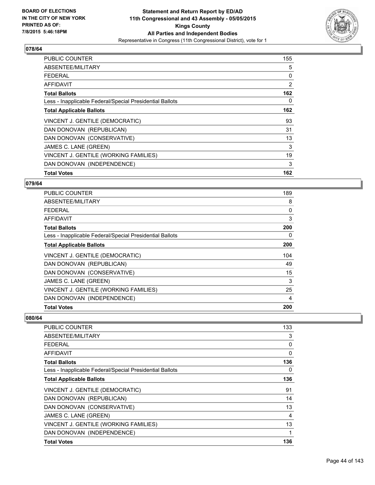

| <b>PUBLIC COUNTER</b>                                    | 155 |
|----------------------------------------------------------|-----|
| ABSENTEE/MILITARY                                        | 5   |
| <b>FEDERAL</b>                                           | 0   |
| AFFIDAVIT                                                | 2   |
| <b>Total Ballots</b>                                     | 162 |
| Less - Inapplicable Federal/Special Presidential Ballots | 0   |
| <b>Total Applicable Ballots</b>                          | 162 |
| VINCENT J. GENTILE (DEMOCRATIC)                          | 93  |
| DAN DONOVAN (REPUBLICAN)                                 | 31  |
| DAN DONOVAN (CONSERVATIVE)                               | 13  |
| JAMES C. LANE (GREEN)                                    | 3   |
| VINCENT J. GENTILE (WORKING FAMILIES)                    | 19  |
| DAN DONOVAN (INDEPENDENCE)                               | 3   |
| <b>Total Votes</b>                                       | 162 |

#### **079/64**

| PUBLIC COUNTER                                           | 189 |
|----------------------------------------------------------|-----|
| ABSENTEE/MILITARY                                        | 8   |
| <b>FEDERAL</b>                                           | 0   |
| <b>AFFIDAVIT</b>                                         | 3   |
| <b>Total Ballots</b>                                     | 200 |
| Less - Inapplicable Federal/Special Presidential Ballots | 0   |
| <b>Total Applicable Ballots</b>                          | 200 |
| VINCENT J. GENTILE (DEMOCRATIC)                          | 104 |
| DAN DONOVAN (REPUBLICAN)                                 | 49  |
| DAN DONOVAN (CONSERVATIVE)                               | 15  |
| JAMES C. LANE (GREEN)                                    | 3   |
| VINCENT J. GENTILE (WORKING FAMILIES)                    | 25  |
| DAN DONOVAN (INDEPENDENCE)                               | 4   |
| <b>Total Votes</b>                                       | 200 |

| <b>PUBLIC COUNTER</b>                                    | 133 |
|----------------------------------------------------------|-----|
| ABSENTEE/MILITARY                                        | 3   |
| <b>FEDERAL</b>                                           | 0   |
| AFFIDAVIT                                                | 0   |
| <b>Total Ballots</b>                                     | 136 |
| Less - Inapplicable Federal/Special Presidential Ballots | 0   |
| <b>Total Applicable Ballots</b>                          | 136 |
| VINCENT J. GENTILE (DEMOCRATIC)                          | 91  |
| DAN DONOVAN (REPUBLICAN)                                 | 14  |
| DAN DONOVAN (CONSERVATIVE)                               | 13  |
| JAMES C. LANE (GREEN)                                    | 4   |
| VINCENT J. GENTILE (WORKING FAMILIES)                    | 13  |
| DAN DONOVAN (INDEPENDENCE)                               | 1   |
| <b>Total Votes</b>                                       | 136 |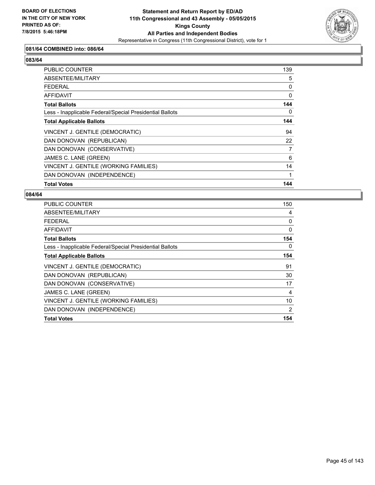

## **081/64 COMBINED into: 086/64**

# **083/64**

| PUBLIC COUNTER                                           | 139      |
|----------------------------------------------------------|----------|
| ABSENTEE/MILITARY                                        | 5        |
| <b>FEDERAL</b>                                           | 0        |
| <b>AFFIDAVIT</b>                                         | $\Omega$ |
| <b>Total Ballots</b>                                     | 144      |
| Less - Inapplicable Federal/Special Presidential Ballots | 0        |
| <b>Total Applicable Ballots</b>                          | 144      |
| VINCENT J. GENTILE (DEMOCRATIC)                          | 94       |
| DAN DONOVAN (REPUBLICAN)                                 | 22       |
| DAN DONOVAN (CONSERVATIVE)                               | 7        |
| JAMES C. LANE (GREEN)                                    | 6        |
| VINCENT J. GENTILE (WORKING FAMILIES)                    | 14       |
| DAN DONOVAN (INDEPENDENCE)                               |          |
| <b>Total Votes</b>                                       | 144      |

| <b>PUBLIC COUNTER</b>                                    | 150 |
|----------------------------------------------------------|-----|
| ABSENTEE/MILITARY                                        | 4   |
| <b>FEDERAL</b>                                           | 0   |
| AFFIDAVIT                                                | 0   |
| <b>Total Ballots</b>                                     | 154 |
| Less - Inapplicable Federal/Special Presidential Ballots | 0   |
| <b>Total Applicable Ballots</b>                          | 154 |
| VINCENT J. GENTILE (DEMOCRATIC)                          | 91  |
| DAN DONOVAN (REPUBLICAN)                                 | 30  |
| DAN DONOVAN (CONSERVATIVE)                               | 17  |
| JAMES C. LANE (GREEN)                                    | 4   |
| VINCENT J. GENTILE (WORKING FAMILIES)                    | 10  |
| DAN DONOVAN (INDEPENDENCE)                               | 2   |
| <b>Total Votes</b>                                       | 154 |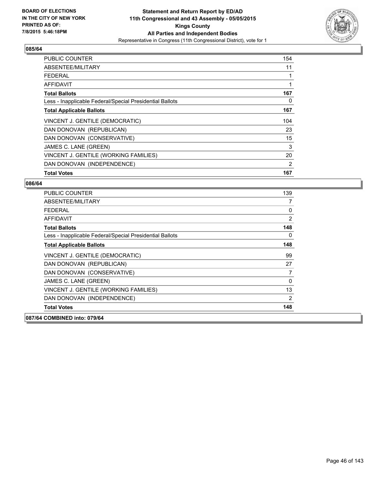

| <b>PUBLIC COUNTER</b>                                    | 154 |
|----------------------------------------------------------|-----|
| ABSENTEE/MILITARY                                        | 11  |
| <b>FEDERAL</b>                                           |     |
| AFFIDAVIT                                                |     |
| <b>Total Ballots</b>                                     | 167 |
| Less - Inapplicable Federal/Special Presidential Ballots | 0   |
| <b>Total Applicable Ballots</b>                          | 167 |
| VINCENT J. GENTILE (DEMOCRATIC)                          | 104 |
| DAN DONOVAN (REPUBLICAN)                                 | 23  |
| DAN DONOVAN (CONSERVATIVE)                               | 15  |
| JAMES C. LANE (GREEN)                                    | 3   |
| VINCENT J. GENTILE (WORKING FAMILIES)                    | 20  |
| DAN DONOVAN (INDEPENDENCE)                               | 2   |
| <b>Total Votes</b>                                       | 167 |

| <b>PUBLIC COUNTER</b>                                    | 139 |
|----------------------------------------------------------|-----|
| ABSENTEE/MILITARY                                        | 7   |
| FFDFRAI                                                  | 0   |
| <b>AFFIDAVIT</b>                                         | 2   |
| <b>Total Ballots</b>                                     | 148 |
| Less - Inapplicable Federal/Special Presidential Ballots | 0   |
| <b>Total Applicable Ballots</b>                          | 148 |
| VINCENT J. GENTILE (DEMOCRATIC)                          | 99  |
| DAN DONOVAN (REPUBLICAN)                                 | 27  |
| DAN DONOVAN (CONSERVATIVE)                               | 7   |
| JAMES C. LANE (GREEN)                                    | 0   |
| VINCENT J. GENTILE (WORKING FAMILIES)                    | 13  |
| DAN DONOVAN (INDEPENDENCE)                               | 2   |
| <b>Total Votes</b>                                       | 148 |
| 087/64 COMBINED into: 079/64                             |     |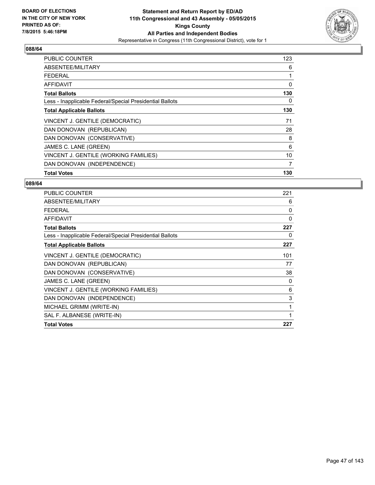

| PUBLIC COUNTER                                           | 123 |
|----------------------------------------------------------|-----|
| ABSENTEE/MILITARY                                        | 6   |
| <b>FEDERAL</b>                                           |     |
| <b>AFFIDAVIT</b>                                         | 0   |
| <b>Total Ballots</b>                                     | 130 |
| Less - Inapplicable Federal/Special Presidential Ballots | 0   |
| <b>Total Applicable Ballots</b>                          | 130 |
| VINCENT J. GENTILE (DEMOCRATIC)                          | 71  |
| DAN DONOVAN (REPUBLICAN)                                 | 28  |
| DAN DONOVAN (CONSERVATIVE)                               | 8   |
| JAMES C. LANE (GREEN)                                    | 6   |
| VINCENT J. GENTILE (WORKING FAMILIES)                    | 10  |
| DAN DONOVAN (INDEPENDENCE)                               | 7   |
| <b>Total Votes</b>                                       | 130 |

| <b>PUBLIC COUNTER</b>                                    | 221 |
|----------------------------------------------------------|-----|
| ABSENTEE/MILITARY                                        | 6   |
| <b>FEDERAL</b>                                           | 0   |
| AFFIDAVIT                                                | 0   |
| <b>Total Ballots</b>                                     | 227 |
| Less - Inapplicable Federal/Special Presidential Ballots | 0   |
| <b>Total Applicable Ballots</b>                          | 227 |
| VINCENT J. GENTILE (DEMOCRATIC)                          | 101 |
| DAN DONOVAN (REPUBLICAN)                                 | 77  |
| DAN DONOVAN (CONSERVATIVE)                               | 38  |
| JAMES C. LANE (GREEN)                                    | 0   |
| VINCENT J. GENTILE (WORKING FAMILIES)                    | 6   |
| DAN DONOVAN (INDEPENDENCE)                               | 3   |
| MICHAEL GRIMM (WRITE-IN)                                 | 1   |
| SAL F. ALBANESE (WRITE-IN)                               | 1   |
| <b>Total Votes</b>                                       | 227 |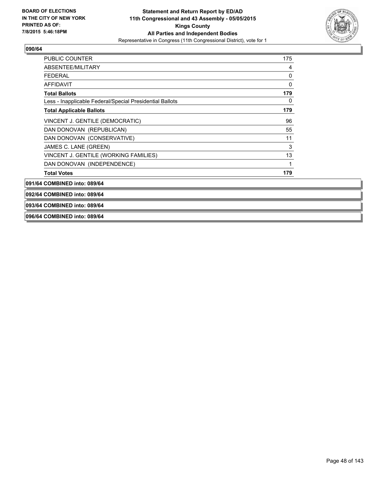

| PUBLIC COUNTER                                           | 175 |
|----------------------------------------------------------|-----|
| ABSENTEE/MILITARY                                        | 4   |
| FEDERAL                                                  | 0   |
| AFFIDAVIT                                                | 0   |
| <b>Total Ballots</b>                                     | 179 |
| Less - Inapplicable Federal/Special Presidential Ballots | 0   |
| <b>Total Applicable Ballots</b>                          | 179 |
| VINCENT J. GENTILE (DEMOCRATIC)                          | 96  |
| DAN DONOVAN (REPUBLICAN)                                 | 55  |
| DAN DONOVAN (CONSERVATIVE)                               | 11  |
| JAMES C. LANE (GREEN)                                    | 3   |
| VINCENT J. GENTILE (WORKING FAMILIES)                    | 13  |
| DAN DONOVAN (INDEPENDENCE)                               | 1   |
| <b>Total Votes</b>                                       | 179 |

**091/64 COMBINED into: 089/64**

**092/64 COMBINED into: 089/64**

**093/64 COMBINED into: 089/64**

**096/64 COMBINED into: 089/64**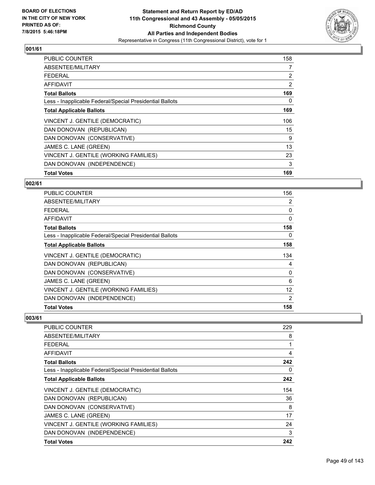

| <b>PUBLIC COUNTER</b>                                    | 158            |
|----------------------------------------------------------|----------------|
| ABSENTEE/MILITARY                                        | 7              |
| <b>FEDERAL</b>                                           | $\overline{2}$ |
| AFFIDAVIT                                                | 2              |
| <b>Total Ballots</b>                                     | 169            |
| Less - Inapplicable Federal/Special Presidential Ballots | 0              |
| <b>Total Applicable Ballots</b>                          | 169            |
| VINCENT J. GENTILE (DEMOCRATIC)                          | 106            |
| DAN DONOVAN (REPUBLICAN)                                 | 15             |
| DAN DONOVAN (CONSERVATIVE)                               | 9              |
| JAMES C. LANE (GREEN)                                    | 13             |
| VINCENT J. GENTILE (WORKING FAMILIES)                    | 23             |
| DAN DONOVAN (INDEPENDENCE)                               | 3              |
| <b>Total Votes</b>                                       | 169            |

#### **002/61**

| <b>PUBLIC COUNTER</b>                                    | 156 |
|----------------------------------------------------------|-----|
| ABSENTEE/MILITARY                                        | 2   |
| <b>FEDERAL</b>                                           | 0   |
| <b>AFFIDAVIT</b>                                         | 0   |
| <b>Total Ballots</b>                                     | 158 |
| Less - Inapplicable Federal/Special Presidential Ballots | 0   |
| <b>Total Applicable Ballots</b>                          | 158 |
| VINCENT J. GENTILE (DEMOCRATIC)                          | 134 |
| DAN DONOVAN (REPUBLICAN)                                 | 4   |
| DAN DONOVAN (CONSERVATIVE)                               | 0   |
| JAMES C. LANE (GREEN)                                    | 6   |
| VINCENT J. GENTILE (WORKING FAMILIES)                    | 12  |
| DAN DONOVAN (INDEPENDENCE)                               | 2   |
| <b>Total Votes</b>                                       | 158 |

| <b>PUBLIC COUNTER</b>                                    | 229 |
|----------------------------------------------------------|-----|
| ABSENTEE/MILITARY                                        | 8   |
| <b>FEDERAL</b>                                           | 1   |
| AFFIDAVIT                                                | 4   |
| <b>Total Ballots</b>                                     | 242 |
| Less - Inapplicable Federal/Special Presidential Ballots | 0   |
| <b>Total Applicable Ballots</b>                          | 242 |
| VINCENT J. GENTILE (DEMOCRATIC)                          | 154 |
| DAN DONOVAN (REPUBLICAN)                                 | 36  |
| DAN DONOVAN (CONSERVATIVE)                               | 8   |
| JAMES C. LANE (GREEN)                                    | 17  |
| VINCENT J. GENTILE (WORKING FAMILIES)                    | 24  |
| DAN DONOVAN (INDEPENDENCE)                               | 3   |
| <b>Total Votes</b>                                       | 242 |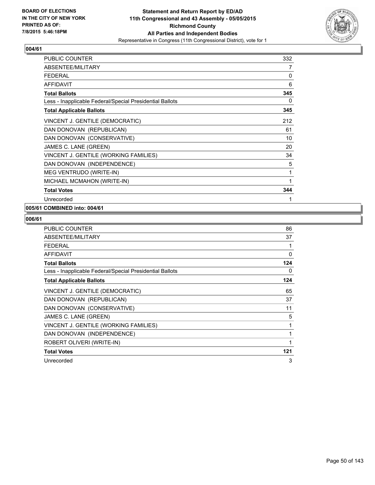

| <b>PUBLIC COUNTER</b>                                    | 332 |
|----------------------------------------------------------|-----|
| ABSENTEE/MILITARY                                        | 7   |
| <b>FEDERAL</b>                                           | 0   |
| <b>AFFIDAVIT</b>                                         | 6   |
| <b>Total Ballots</b>                                     | 345 |
| Less - Inapplicable Federal/Special Presidential Ballots | 0   |
| <b>Total Applicable Ballots</b>                          | 345 |
| VINCENT J. GENTILE (DEMOCRATIC)                          | 212 |
| DAN DONOVAN (REPUBLICAN)                                 | 61  |
| DAN DONOVAN (CONSERVATIVE)                               | 10  |
| JAMES C. LANE (GREEN)                                    | 20  |
| VINCENT J. GENTILE (WORKING FAMILIES)                    | 34  |
| DAN DONOVAN (INDEPENDENCE)                               | 5   |
| MEG VENTRUDO (WRITE-IN)                                  | 1   |
| MICHAEL MCMAHON (WRITE-IN)                               | 1   |
| <b>Total Votes</b>                                       | 344 |
| Unrecorded                                               | 1   |

## **005/61 COMBINED into: 004/61**

| <b>PUBLIC COUNTER</b>                                    | 86       |
|----------------------------------------------------------|----------|
| ABSENTEE/MILITARY                                        | 37       |
| <b>FEDERAL</b>                                           |          |
| <b>AFFIDAVIT</b>                                         | $\Omega$ |
| <b>Total Ballots</b>                                     | 124      |
| Less - Inapplicable Federal/Special Presidential Ballots | 0        |
| <b>Total Applicable Ballots</b>                          | 124      |
| VINCENT J. GENTILE (DEMOCRATIC)                          | 65       |
| DAN DONOVAN (REPUBLICAN)                                 | 37       |
| DAN DONOVAN (CONSERVATIVE)                               | 11       |
| JAMES C. LANE (GREEN)                                    | 5        |
| VINCENT J. GENTILE (WORKING FAMILIES)                    | 1        |
| DAN DONOVAN (INDEPENDENCE)                               | 1        |
| ROBERT OLIVERI (WRITE-IN)                                | 1        |
| <b>Total Votes</b>                                       | 121      |
| Unrecorded                                               | 3        |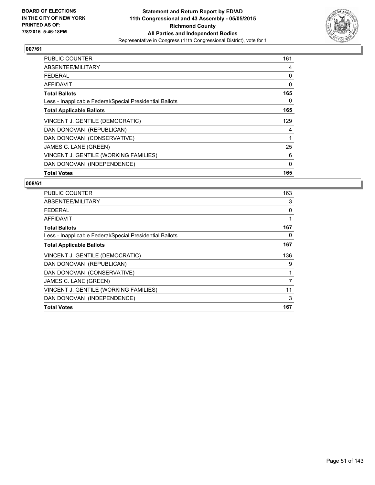

| <b>PUBLIC COUNTER</b>                                    | 161 |
|----------------------------------------------------------|-----|
| ABSENTEE/MILITARY                                        | 4   |
| <b>FEDERAL</b>                                           | 0   |
| AFFIDAVIT                                                | 0   |
| <b>Total Ballots</b>                                     | 165 |
| Less - Inapplicable Federal/Special Presidential Ballots | 0   |
| <b>Total Applicable Ballots</b>                          | 165 |
| VINCENT J. GENTILE (DEMOCRATIC)                          | 129 |
| DAN DONOVAN (REPUBLICAN)                                 | 4   |
| DAN DONOVAN (CONSERVATIVE)                               | 1   |
| JAMES C. LANE (GREEN)                                    | 25  |
| VINCENT J. GENTILE (WORKING FAMILIES)                    | 6   |
| DAN DONOVAN (INDEPENDENCE)                               | 0   |
| <b>Total Votes</b>                                       | 165 |

| <b>PUBLIC COUNTER</b>                                    | 163 |
|----------------------------------------------------------|-----|
| ABSENTEE/MILITARY                                        | 3   |
| FEDERAL                                                  | 0   |
| AFFIDAVIT                                                | 1   |
| <b>Total Ballots</b>                                     | 167 |
| Less - Inapplicable Federal/Special Presidential Ballots | 0   |
| <b>Total Applicable Ballots</b>                          | 167 |
| VINCENT J. GENTILE (DEMOCRATIC)                          | 136 |
| DAN DONOVAN (REPUBLICAN)                                 | 9   |
| DAN DONOVAN (CONSERVATIVE)                               | 1   |
| JAMES C. LANE (GREEN)                                    | 7   |
| VINCENT J. GENTILE (WORKING FAMILIES)                    | 11  |
| DAN DONOVAN (INDEPENDENCE)                               | 3   |
| <b>Total Votes</b>                                       | 167 |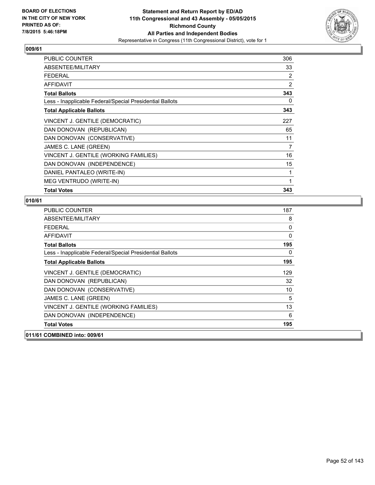

| <b>PUBLIC COUNTER</b>                                    | 306 |
|----------------------------------------------------------|-----|
| ABSENTEE/MILITARY                                        | 33  |
| <b>FEDERAL</b>                                           | 2   |
| <b>AFFIDAVIT</b>                                         | 2   |
| <b>Total Ballots</b>                                     | 343 |
| Less - Inapplicable Federal/Special Presidential Ballots | 0   |
| <b>Total Applicable Ballots</b>                          | 343 |
| VINCENT J. GENTILE (DEMOCRATIC)                          | 227 |
| DAN DONOVAN (REPUBLICAN)                                 | 65  |
| DAN DONOVAN (CONSERVATIVE)                               | 11  |
| JAMES C. LANE (GREEN)                                    | 7   |
| VINCENT J. GENTILE (WORKING FAMILIES)                    | 16  |
| DAN DONOVAN (INDEPENDENCE)                               | 15  |
| DANIEL PANTALEO (WRITE-IN)                               | 1   |
| MEG VENTRUDO (WRITE-IN)                                  | 1   |
| <b>Total Votes</b>                                       | 343 |

| 8<br>0<br>0<br>195<br>0<br>195<br>129 |
|---------------------------------------|
|                                       |
|                                       |
|                                       |
|                                       |
|                                       |
|                                       |
|                                       |
| 32                                    |
| 10                                    |
| 5                                     |
| 13                                    |
| 6                                     |
| 195                                   |
|                                       |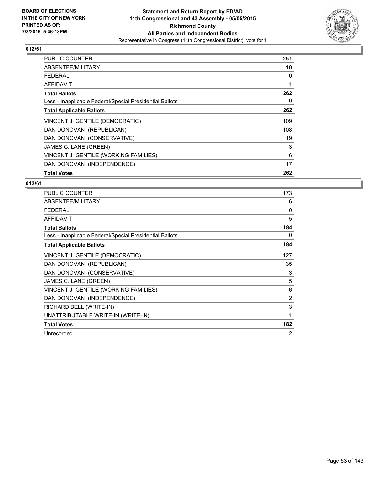

| <b>PUBLIC COUNTER</b>                                    | 251 |
|----------------------------------------------------------|-----|
| ABSENTEE/MILITARY                                        | 10  |
| <b>FEDERAL</b>                                           | 0   |
| AFFIDAVIT                                                | 1   |
| <b>Total Ballots</b>                                     | 262 |
| Less - Inapplicable Federal/Special Presidential Ballots | 0   |
| <b>Total Applicable Ballots</b>                          | 262 |
| VINCENT J. GENTILE (DEMOCRATIC)                          | 109 |
| DAN DONOVAN (REPUBLICAN)                                 | 108 |
| DAN DONOVAN (CONSERVATIVE)                               | 19  |
| JAMES C. LANE (GREEN)                                    | 3   |
| VINCENT J. GENTILE (WORKING FAMILIES)                    | 6   |
| DAN DONOVAN (INDEPENDENCE)                               | 17  |
| <b>Total Votes</b>                                       | 262 |

| PUBLIC COUNTER                                           | 173 |
|----------------------------------------------------------|-----|
| ABSENTEE/MILITARY                                        | 6   |
| <b>FEDERAL</b>                                           | 0   |
| <b>AFFIDAVIT</b>                                         | 5   |
| <b>Total Ballots</b>                                     | 184 |
| Less - Inapplicable Federal/Special Presidential Ballots | 0   |
| <b>Total Applicable Ballots</b>                          | 184 |
| VINCENT J. GENTILE (DEMOCRATIC)                          | 127 |
| DAN DONOVAN (REPUBLICAN)                                 | 35  |
| DAN DONOVAN (CONSERVATIVE)                               | 3   |
| JAMES C. LANE (GREEN)                                    | 5   |
| VINCENT J. GENTILE (WORKING FAMILIES)                    | 6   |
| DAN DONOVAN (INDEPENDENCE)                               | 2   |
| RICHARD BELL (WRITE-IN)                                  | 3   |
| UNATTRIBUTABLE WRITE-IN (WRITE-IN)                       | 1   |
| <b>Total Votes</b>                                       | 182 |
| Unrecorded                                               | 2   |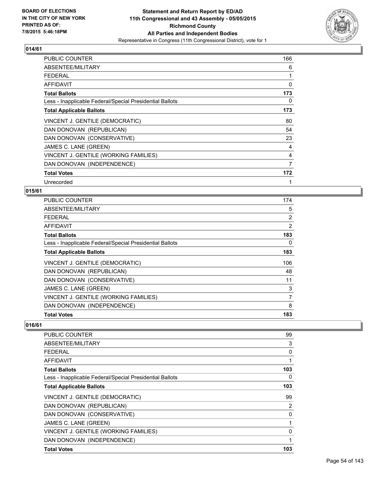

| PUBLIC COUNTER                                           | 166 |
|----------------------------------------------------------|-----|
| ABSENTEE/MILITARY                                        | 6   |
| FEDERAL                                                  | 1   |
| <b>AFFIDAVIT</b>                                         | 0   |
| <b>Total Ballots</b>                                     | 173 |
| Less - Inapplicable Federal/Special Presidential Ballots | 0   |
| <b>Total Applicable Ballots</b>                          | 173 |
| VINCENT J. GENTILE (DEMOCRATIC)                          | 80  |
| DAN DONOVAN (REPUBLICAN)                                 | 54  |
| DAN DONOVAN (CONSERVATIVE)                               | 23  |
| JAMES C. LANE (GREEN)                                    | 4   |
| VINCENT J. GENTILE (WORKING FAMILIES)                    | 4   |
| DAN DONOVAN (INDEPENDENCE)                               | 7   |
| <b>Total Votes</b>                                       | 172 |
| Unrecorded                                               | 1   |

## **015/61**

| <b>PUBLIC COUNTER</b>                                    | 174 |
|----------------------------------------------------------|-----|
| ABSENTEE/MILITARY                                        | 5   |
| <b>FEDERAL</b>                                           | 2   |
| AFFIDAVIT                                                | 2   |
| <b>Total Ballots</b>                                     | 183 |
| Less - Inapplicable Federal/Special Presidential Ballots | 0   |
| <b>Total Applicable Ballots</b>                          | 183 |
| VINCENT J. GENTILE (DEMOCRATIC)                          | 106 |
| DAN DONOVAN (REPUBLICAN)                                 | 48  |
| DAN DONOVAN (CONSERVATIVE)                               | 11  |
| JAMES C. LANE (GREEN)                                    | 3   |
| VINCENT J. GENTILE (WORKING FAMILIES)                    | 7   |
| DAN DONOVAN (INDEPENDENCE)                               | 8   |
| <b>Total Votes</b>                                       | 183 |

| <b>PUBLIC COUNTER</b>                                    | 99  |
|----------------------------------------------------------|-----|
| ABSENTEE/MILITARY                                        | 3   |
| <b>FEDERAL</b>                                           | 0   |
| AFFIDAVIT                                                |     |
| <b>Total Ballots</b>                                     | 103 |
| Less - Inapplicable Federal/Special Presidential Ballots | 0   |
| <b>Total Applicable Ballots</b>                          | 103 |
| VINCENT J. GENTILE (DEMOCRATIC)                          | 99  |
| DAN DONOVAN (REPUBLICAN)                                 | 2   |
| DAN DONOVAN (CONSERVATIVE)                               | 0   |
| JAMES C. LANE (GREEN)                                    | 1   |
| VINCENT J. GENTILE (WORKING FAMILIES)                    | 0   |
| DAN DONOVAN (INDEPENDENCE)                               |     |
| <b>Total Votes</b>                                       | 103 |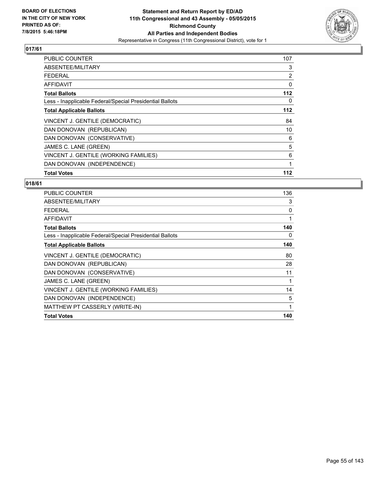

| PUBLIC COUNTER                                           | 107   |
|----------------------------------------------------------|-------|
| ABSENTEE/MILITARY                                        | 3     |
| <b>FEDERAL</b>                                           | 2     |
| AFFIDAVIT                                                | 0     |
| <b>Total Ballots</b>                                     | 112   |
| Less - Inapplicable Federal/Special Presidential Ballots | 0     |
| <b>Total Applicable Ballots</b>                          | $112$ |
| VINCENT J. GENTILE (DEMOCRATIC)                          | 84    |
| DAN DONOVAN (REPUBLICAN)                                 | 10    |
| DAN DONOVAN (CONSERVATIVE)                               | 6     |
| JAMES C. LANE (GREEN)                                    | 5     |
| VINCENT J. GENTILE (WORKING FAMILIES)                    | 6     |
| DAN DONOVAN (INDEPENDENCE)                               | 1     |
| <b>Total Votes</b>                                       | 112   |

| <b>PUBLIC COUNTER</b>                                    | 136 |
|----------------------------------------------------------|-----|
| ABSENTEE/MILITARY                                        | 3   |
| <b>FEDERAL</b>                                           | 0   |
| <b>AFFIDAVIT</b>                                         | 1   |
| <b>Total Ballots</b>                                     | 140 |
| Less - Inapplicable Federal/Special Presidential Ballots | 0   |
| <b>Total Applicable Ballots</b>                          | 140 |
| VINCENT J. GENTILE (DEMOCRATIC)                          | 80  |
| DAN DONOVAN (REPUBLICAN)                                 | 28  |
| DAN DONOVAN (CONSERVATIVE)                               | 11  |
| JAMES C. LANE (GREEN)                                    | 1   |
| VINCENT J. GENTILE (WORKING FAMILIES)                    | 14  |
| DAN DONOVAN (INDEPENDENCE)                               | 5   |
| MATTHEW PT CASSERLY (WRITE-IN)                           | 1   |
| <b>Total Votes</b>                                       | 140 |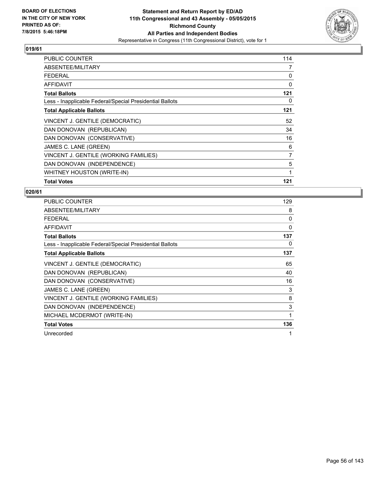

| <b>PUBLIC COUNTER</b>                                    | 114 |
|----------------------------------------------------------|-----|
| ABSENTEE/MILITARY                                        | 7   |
| FEDERAL                                                  | 0   |
| AFFIDAVIT                                                | 0   |
| <b>Total Ballots</b>                                     | 121 |
| Less - Inapplicable Federal/Special Presidential Ballots | 0   |
| <b>Total Applicable Ballots</b>                          | 121 |
| VINCENT J. GENTILE (DEMOCRATIC)                          | 52  |
| DAN DONOVAN (REPUBLICAN)                                 | 34  |
| DAN DONOVAN (CONSERVATIVE)                               | 16  |
| JAMES C. LANE (GREEN)                                    | 6   |
| VINCENT J. GENTILE (WORKING FAMILIES)                    | 7   |
| DAN DONOVAN (INDEPENDENCE)                               | 5   |
| WHITNEY HOUSTON (WRITE-IN)                               | 1   |
| <b>Total Votes</b>                                       | 121 |

| <b>PUBLIC COUNTER</b>                                    | 129 |
|----------------------------------------------------------|-----|
| ABSENTEE/MILITARY                                        | 8   |
| <b>FEDERAL</b>                                           | 0   |
| <b>AFFIDAVIT</b>                                         | 0   |
| <b>Total Ballots</b>                                     | 137 |
| Less - Inapplicable Federal/Special Presidential Ballots | 0   |
| <b>Total Applicable Ballots</b>                          | 137 |
| VINCENT J. GENTILE (DEMOCRATIC)                          | 65  |
| DAN DONOVAN (REPUBLICAN)                                 | 40  |
| DAN DONOVAN (CONSERVATIVE)                               | 16  |
| JAMES C. LANE (GREEN)                                    | 3   |
| VINCENT J. GENTILE (WORKING FAMILIES)                    | 8   |
| DAN DONOVAN (INDEPENDENCE)                               | 3   |
| MICHAEL MCDERMOT (WRITE-IN)                              | 1   |
| <b>Total Votes</b>                                       | 136 |
| Unrecorded                                               | 1   |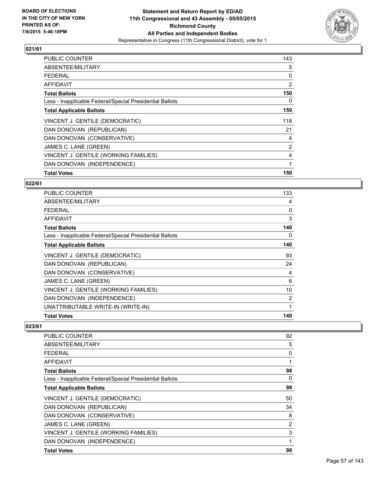

| <b>PUBLIC COUNTER</b>                                    | 143 |
|----------------------------------------------------------|-----|
| ABSENTEE/MILITARY                                        | 5   |
| <b>FEDERAL</b>                                           | 0   |
| AFFIDAVIT                                                | 2   |
| <b>Total Ballots</b>                                     | 150 |
| Less - Inapplicable Federal/Special Presidential Ballots | 0   |
| <b>Total Applicable Ballots</b>                          | 150 |
| VINCENT J. GENTILE (DEMOCRATIC)                          | 118 |
| DAN DONOVAN (REPUBLICAN)                                 | 21  |
| DAN DONOVAN (CONSERVATIVE)                               | 4   |
| JAMES C. LANE (GREEN)                                    | 2   |
| VINCENT J. GENTILE (WORKING FAMILIES)                    | 4   |
| DAN DONOVAN (INDEPENDENCE)                               | 1   |
| <b>Total Votes</b>                                       | 150 |

#### **022/61**

| PUBLIC COUNTER                                           | 133          |
|----------------------------------------------------------|--------------|
| ABSENTEE/MILITARY                                        | 4            |
| <b>FEDERAL</b>                                           | 0            |
| AFFIDAVIT                                                | 3            |
| <b>Total Ballots</b>                                     | 140          |
| Less - Inapplicable Federal/Special Presidential Ballots | 0            |
| <b>Total Applicable Ballots</b>                          | 140          |
| VINCENT J. GENTILE (DEMOCRATIC)                          | 93           |
| DAN DONOVAN (REPUBLICAN)                                 | 24           |
| DAN DONOVAN (CONSERVATIVE)                               | 4            |
| JAMES C. LANE (GREEN)                                    | 6            |
| VINCENT J. GENTILE (WORKING FAMILIES)                    | 10           |
| DAN DONOVAN (INDEPENDENCE)                               | 2            |
| UNATTRIBUTABLE WRITE-IN (WRITE-IN)                       | $\mathbf{1}$ |
| <b>Total Votes</b>                                       | 140          |

| PUBLIC COUNTER                                           | 92             |
|----------------------------------------------------------|----------------|
| ABSENTEE/MILITARY                                        | 5              |
| FFDFRAI                                                  | 0              |
| AFFIDAVIT                                                | 1              |
| <b>Total Ballots</b>                                     | 98             |
| Less - Inapplicable Federal/Special Presidential Ballots | 0              |
| <b>Total Applicable Ballots</b>                          | 98             |
| VINCENT J. GENTILE (DEMOCRATIC)                          | 50             |
| DAN DONOVAN (REPUBLICAN)                                 | 34             |
| DAN DONOVAN (CONSERVATIVE)                               | 8              |
| JAMES C. LANE (GREEN)                                    | $\overline{2}$ |
| VINCENT J. GENTILE (WORKING FAMILIES)                    | 3              |
| DAN DONOVAN (INDEPENDENCE)                               | 1              |
| <b>Total Votes</b>                                       | 98             |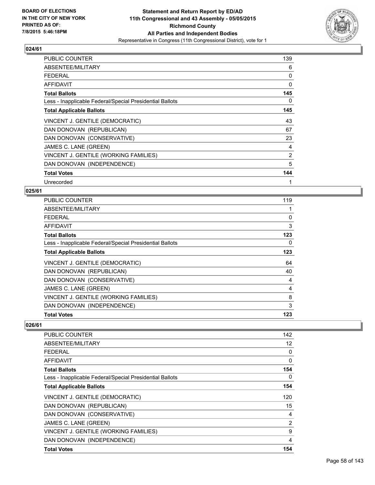

| <b>PUBLIC COUNTER</b>                                    | 139 |
|----------------------------------------------------------|-----|
| ABSENTEE/MILITARY                                        | 6   |
| <b>FEDERAL</b>                                           | 0   |
| <b>AFFIDAVIT</b>                                         | 0   |
| <b>Total Ballots</b>                                     | 145 |
| Less - Inapplicable Federal/Special Presidential Ballots | 0   |
| <b>Total Applicable Ballots</b>                          | 145 |
| VINCENT J. GENTILE (DEMOCRATIC)                          | 43  |
| DAN DONOVAN (REPUBLICAN)                                 | 67  |
| DAN DONOVAN (CONSERVATIVE)                               | 23  |
| JAMES C. LANE (GREEN)                                    | 4   |
| VINCENT J. GENTILE (WORKING FAMILIES)                    | 2   |
| DAN DONOVAN (INDEPENDENCE)                               | 5   |
| <b>Total Votes</b>                                       | 144 |
| Unrecorded                                               | 1   |

#### **025/61**

| PUBLIC COUNTER                                           | 119 |
|----------------------------------------------------------|-----|
| ABSENTEE/MILITARY                                        |     |
| <b>FEDERAL</b>                                           | 0   |
| AFFIDAVIT                                                | 3   |
| <b>Total Ballots</b>                                     | 123 |
| Less - Inapplicable Federal/Special Presidential Ballots | 0   |
| <b>Total Applicable Ballots</b>                          | 123 |
| VINCENT J. GENTILE (DEMOCRATIC)                          | 64  |
| DAN DONOVAN (REPUBLICAN)                                 | 40  |
| DAN DONOVAN (CONSERVATIVE)                               | 4   |
| JAMES C. LANE (GREEN)                                    | 4   |
| VINCENT J. GENTILE (WORKING FAMILIES)                    | 8   |
| DAN DONOVAN (INDEPENDENCE)                               | 3   |
| <b>Total Votes</b>                                       | 123 |

| <b>PUBLIC COUNTER</b>                                    | 142 |
|----------------------------------------------------------|-----|
| ABSENTEE/MILITARY                                        | 12  |
| <b>FEDERAL</b>                                           | 0   |
| AFFIDAVIT                                                | 0   |
| <b>Total Ballots</b>                                     | 154 |
| Less - Inapplicable Federal/Special Presidential Ballots | 0   |
| <b>Total Applicable Ballots</b>                          | 154 |
| VINCENT J. GENTILE (DEMOCRATIC)                          | 120 |
| DAN DONOVAN (REPUBLICAN)                                 | 15  |
| DAN DONOVAN (CONSERVATIVE)                               | 4   |
| JAMES C. LANE (GREEN)                                    | 2   |
| VINCENT J. GENTILE (WORKING FAMILIES)                    | 9   |
| DAN DONOVAN (INDEPENDENCE)                               | 4   |
| <b>Total Votes</b>                                       | 154 |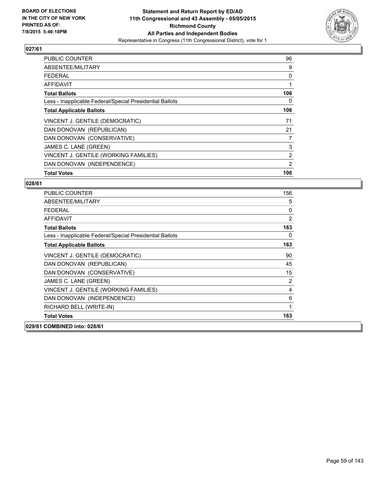

| <b>PUBLIC COUNTER</b>                                    | 96  |
|----------------------------------------------------------|-----|
| ABSENTEE/MILITARY                                        | 9   |
| <b>FEDERAL</b>                                           | 0   |
| AFFIDAVIT                                                | 1   |
| <b>Total Ballots</b>                                     | 106 |
| Less - Inapplicable Federal/Special Presidential Ballots | 0   |
| <b>Total Applicable Ballots</b>                          | 106 |
| VINCENT J. GENTILE (DEMOCRATIC)                          | 71  |
| DAN DONOVAN (REPUBLICAN)                                 | 21  |
| DAN DONOVAN (CONSERVATIVE)                               | 7   |
| JAMES C. LANE (GREEN)                                    | 3   |
| VINCENT J. GENTILE (WORKING FAMILIES)                    | 2   |
| DAN DONOVAN (INDEPENDENCE)                               | 2   |
| <b>Total Votes</b>                                       | 106 |

| <b>PUBLIC COUNTER</b>                                    | 156            |
|----------------------------------------------------------|----------------|
| ABSENTEE/MILITARY                                        | 5              |
| <b>FEDERAL</b>                                           | 0              |
| <b>AFFIDAVIT</b>                                         | $\overline{2}$ |
| <b>Total Ballots</b>                                     | 163            |
| Less - Inapplicable Federal/Special Presidential Ballots | 0              |
| <b>Total Applicable Ballots</b>                          | 163            |
| VINCENT J. GENTILE (DEMOCRATIC)                          | 90             |
| DAN DONOVAN (REPUBLICAN)                                 | 45             |
| DAN DONOVAN (CONSERVATIVE)                               | 15             |
| JAMES C. LANE (GREEN)                                    | $\overline{2}$ |
| VINCENT J. GENTILE (WORKING FAMILIES)                    | 4              |
| DAN DONOVAN (INDEPENDENCE)                               | 6              |
| RICHARD BELL (WRITE-IN)                                  | 1              |
| <b>Total Votes</b>                                       | 163            |
| 029/61 COMBINED into: 028/61                             |                |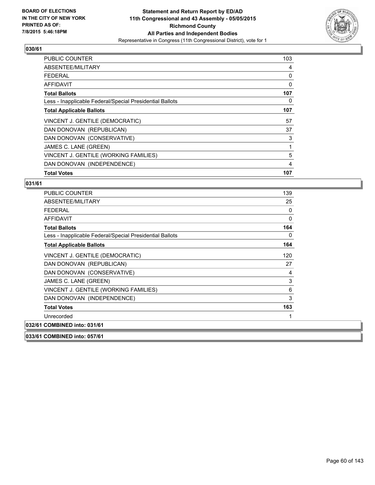

| <b>PUBLIC COUNTER</b>                                    | 103 |
|----------------------------------------------------------|-----|
| ABSENTEE/MILITARY                                        | 4   |
| <b>FEDERAL</b>                                           | 0   |
| AFFIDAVIT                                                | 0   |
| <b>Total Ballots</b>                                     | 107 |
| Less - Inapplicable Federal/Special Presidential Ballots | 0   |
| <b>Total Applicable Ballots</b>                          | 107 |
| VINCENT J. GENTILE (DEMOCRATIC)                          | 57  |
| DAN DONOVAN (REPUBLICAN)                                 | 37  |
| DAN DONOVAN (CONSERVATIVE)                               | 3   |
| JAMES C. LANE (GREEN)                                    | 1   |
| VINCENT J. GENTILE (WORKING FAMILIES)                    | 5   |
| DAN DONOVAN (INDEPENDENCE)                               | 4   |
| <b>Total Votes</b>                                       | 107 |

| <b>PUBLIC COUNTER</b>                                    | 139 |
|----------------------------------------------------------|-----|
| ABSENTEE/MILITARY                                        | 25  |
| <b>FEDERAL</b>                                           | 0   |
| <b>AFFIDAVIT</b>                                         | 0   |
| <b>Total Ballots</b>                                     | 164 |
| Less - Inapplicable Federal/Special Presidential Ballots | 0   |
| <b>Total Applicable Ballots</b>                          | 164 |
| VINCENT J. GENTILE (DEMOCRATIC)                          | 120 |
| DAN DONOVAN (REPUBLICAN)                                 | 27  |
| DAN DONOVAN (CONSERVATIVE)                               | 4   |
| JAMES C. LANE (GREEN)                                    | 3   |
| VINCENT J. GENTILE (WORKING FAMILIES)                    | 6   |
| DAN DONOVAN (INDEPENDENCE)                               | 3   |
| <b>Total Votes</b>                                       | 163 |
| Unrecorded                                               |     |
| 032/61 COMBINED into: 031/61                             |     |
| 033/61 COMBINED into: 057/61                             |     |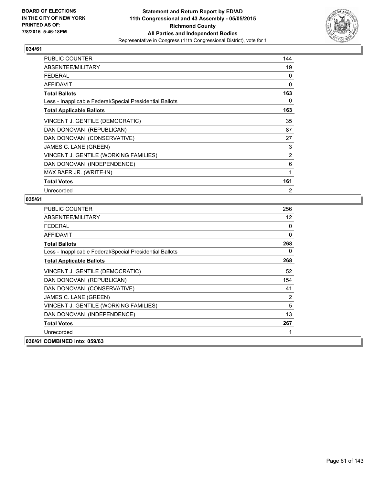

| <b>PUBLIC COUNTER</b>                                    | 144            |
|----------------------------------------------------------|----------------|
| ABSENTEE/MILITARY                                        | 19             |
| <b>FEDERAL</b>                                           | 0              |
| <b>AFFIDAVIT</b>                                         | 0              |
| <b>Total Ballots</b>                                     | 163            |
| Less - Inapplicable Federal/Special Presidential Ballots | 0              |
| <b>Total Applicable Ballots</b>                          | 163            |
| VINCENT J. GENTILE (DEMOCRATIC)                          | 35             |
| DAN DONOVAN (REPUBLICAN)                                 | 87             |
| DAN DONOVAN (CONSERVATIVE)                               | 27             |
| JAMES C. LANE (GREEN)                                    | 3              |
| VINCENT J. GENTILE (WORKING FAMILIES)                    | 2              |
| DAN DONOVAN (INDEPENDENCE)                               | 6              |
| MAX BAER JR. (WRITE-IN)                                  | 1              |
| <b>Total Votes</b>                                       | 161            |
| Unrecorded                                               | $\overline{2}$ |

| <b>PUBLIC COUNTER</b>                                    | 256 |
|----------------------------------------------------------|-----|
| ABSENTEE/MILITARY                                        | 12  |
| <b>FEDERAL</b>                                           | 0   |
| <b>AFFIDAVIT</b>                                         | 0   |
| <b>Total Ballots</b>                                     | 268 |
| Less - Inapplicable Federal/Special Presidential Ballots | 0   |
| <b>Total Applicable Ballots</b>                          | 268 |
| VINCENT J. GENTILE (DEMOCRATIC)                          | 52  |
| DAN DONOVAN (REPUBLICAN)                                 | 154 |
| DAN DONOVAN (CONSERVATIVE)                               | 41  |
| JAMES C. LANE (GREEN)                                    | 2   |
| VINCENT J. GENTILE (WORKING FAMILIES)                    | 5   |
| DAN DONOVAN (INDEPENDENCE)                               | 13  |
| <b>Total Votes</b>                                       | 267 |
| Unrecorded                                               | 1   |
| 036/61 COMBINED into: 059/63                             |     |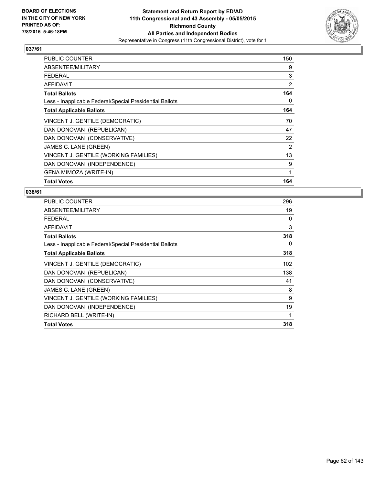

| <b>PUBLIC COUNTER</b>                                    | 150 |
|----------------------------------------------------------|-----|
| ABSENTEE/MILITARY                                        | 9   |
| <b>FEDERAL</b>                                           | 3   |
| <b>AFFIDAVIT</b>                                         | 2   |
| <b>Total Ballots</b>                                     | 164 |
| Less - Inapplicable Federal/Special Presidential Ballots | 0   |
| <b>Total Applicable Ballots</b>                          | 164 |
| VINCENT J. GENTILE (DEMOCRATIC)                          | 70  |
| DAN DONOVAN (REPUBLICAN)                                 | 47  |
| DAN DONOVAN (CONSERVATIVE)                               | 22  |
| JAMES C. LANE (GREEN)                                    | 2   |
| VINCENT J. GENTILE (WORKING FAMILIES)                    | 13  |
| DAN DONOVAN (INDEPENDENCE)                               | 9   |
| <b>GENA MIMOZA (WRITE-IN)</b>                            | 1   |
| <b>Total Votes</b>                                       | 164 |

| <b>PUBLIC COUNTER</b>                                    | 296 |
|----------------------------------------------------------|-----|
| ABSENTEE/MILITARY                                        | 19  |
| FEDERAL                                                  | 0   |
| <b>AFFIDAVIT</b>                                         | 3   |
| <b>Total Ballots</b>                                     | 318 |
| Less - Inapplicable Federal/Special Presidential Ballots | 0   |
| <b>Total Applicable Ballots</b>                          | 318 |
| VINCENT J. GENTILE (DEMOCRATIC)                          | 102 |
| DAN DONOVAN (REPUBLICAN)                                 | 138 |
| DAN DONOVAN (CONSERVATIVE)                               | 41  |
| JAMES C. LANE (GREEN)                                    | 8   |
| VINCENT J. GENTILE (WORKING FAMILIES)                    | 9   |
| DAN DONOVAN (INDEPENDENCE)                               | 19  |
| RICHARD BELL (WRITE-IN)                                  | 1   |
| <b>Total Votes</b>                                       | 318 |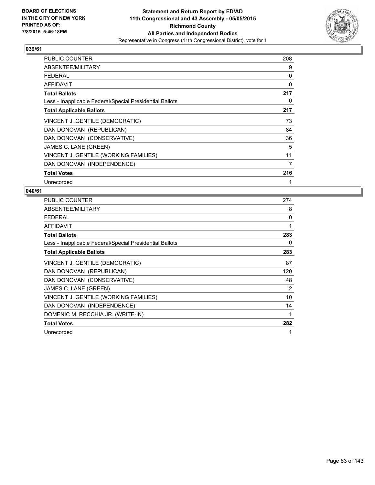

| <b>PUBLIC COUNTER</b>                                    | 208 |
|----------------------------------------------------------|-----|
| ABSENTEE/MILITARY                                        | 9   |
| <b>FEDERAL</b>                                           | 0   |
| <b>AFFIDAVIT</b>                                         | 0   |
| <b>Total Ballots</b>                                     | 217 |
| Less - Inapplicable Federal/Special Presidential Ballots | 0   |
| <b>Total Applicable Ballots</b>                          | 217 |
| VINCENT J. GENTILE (DEMOCRATIC)                          | 73  |
| DAN DONOVAN (REPUBLICAN)                                 | 84  |
| DAN DONOVAN (CONSERVATIVE)                               | 36  |
| JAMES C. LANE (GREEN)                                    | 5   |
| VINCENT J. GENTILE (WORKING FAMILIES)                    | 11  |
| DAN DONOVAN (INDEPENDENCE)                               | 7   |
| <b>Total Votes</b>                                       | 216 |
| Unrecorded                                               | 1   |

| <b>PUBLIC COUNTER</b>                                    | 274         |
|----------------------------------------------------------|-------------|
| ABSENTEE/MILITARY                                        | 8           |
| <b>FEDERAL</b>                                           | 0           |
| <b>AFFIDAVIT</b>                                         | 1           |
| <b>Total Ballots</b>                                     | 283         |
| Less - Inapplicable Federal/Special Presidential Ballots | 0           |
| <b>Total Applicable Ballots</b>                          | 283         |
| VINCENT J. GENTILE (DEMOCRATIC)                          | 87          |
| DAN DONOVAN (REPUBLICAN)                                 | 120         |
| DAN DONOVAN (CONSERVATIVE)                               | 48          |
| JAMES C. LANE (GREEN)                                    | 2           |
| VINCENT J. GENTILE (WORKING FAMILIES)                    | 10          |
| DAN DONOVAN (INDEPENDENCE)                               | 14          |
| DOMENIC M. RECCHIA JR. (WRITE-IN)                        | 1           |
| <b>Total Votes</b>                                       | 282         |
| Unrecorded                                               | $\mathbf 1$ |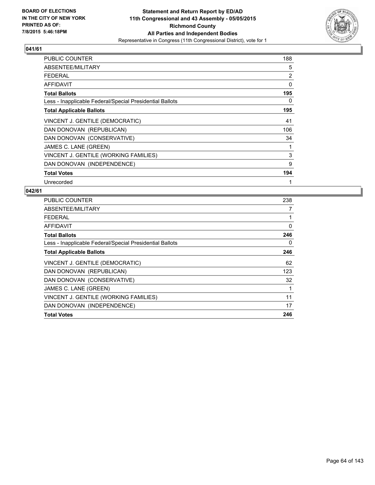

| PUBLIC COUNTER                                           | 188            |
|----------------------------------------------------------|----------------|
| ABSENTEE/MILITARY                                        | 5              |
| <b>FEDERAL</b>                                           | $\overline{2}$ |
| <b>AFFIDAVIT</b>                                         | 0              |
| <b>Total Ballots</b>                                     | 195            |
| Less - Inapplicable Federal/Special Presidential Ballots | 0              |
| <b>Total Applicable Ballots</b>                          | 195            |
| VINCENT J. GENTILE (DEMOCRATIC)                          | 41             |
| DAN DONOVAN (REPUBLICAN)                                 | 106            |
| DAN DONOVAN (CONSERVATIVE)                               | 34             |
| JAMES C. LANE (GREEN)                                    | 1              |
| VINCENT J. GENTILE (WORKING FAMILIES)                    | 3              |
| DAN DONOVAN (INDEPENDENCE)                               | 9              |
| <b>Total Votes</b>                                       | 194            |
| Unrecorded                                               | 1              |

| PUBLIC COUNTER                                           | 238 |
|----------------------------------------------------------|-----|
| ABSENTEE/MILITARY                                        | 7   |
| <b>FEDERAL</b>                                           | 1   |
| AFFIDAVIT                                                | 0   |
| <b>Total Ballots</b>                                     | 246 |
| Less - Inapplicable Federal/Special Presidential Ballots | 0   |
| <b>Total Applicable Ballots</b>                          | 246 |
| VINCENT J. GENTILE (DEMOCRATIC)                          | 62  |
| DAN DONOVAN (REPUBLICAN)                                 | 123 |
| DAN DONOVAN (CONSERVATIVE)                               | 32  |
| JAMES C. LANE (GREEN)                                    | 1   |
| VINCENT J. GENTILE (WORKING FAMILIES)                    | 11  |
| DAN DONOVAN (INDEPENDENCE)                               | 17  |
| <b>Total Votes</b>                                       | 246 |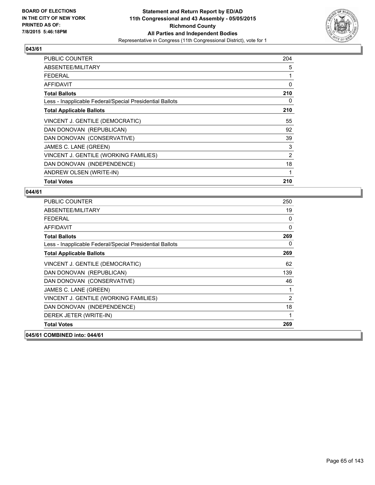

| <b>PUBLIC COUNTER</b>                                    | 204 |
|----------------------------------------------------------|-----|
| ABSENTEE/MILITARY                                        | 5   |
| FEDERAL                                                  | 1   |
| AFFIDAVIT                                                | 0   |
| <b>Total Ballots</b>                                     | 210 |
| Less - Inapplicable Federal/Special Presidential Ballots | 0   |
| <b>Total Applicable Ballots</b>                          | 210 |
| VINCENT J. GENTILE (DEMOCRATIC)                          | 55  |
| DAN DONOVAN (REPUBLICAN)                                 | 92  |
| DAN DONOVAN (CONSERVATIVE)                               | 39  |
| JAMES C. LANE (GREEN)                                    | 3   |
| VINCENT J. GENTILE (WORKING FAMILIES)                    | 2   |
| DAN DONOVAN (INDEPENDENCE)                               | 18  |
| ANDREW OLSEN (WRITE-IN)                                  | 1   |
| <b>Total Votes</b>                                       | 210 |

| <b>PUBLIC COUNTER</b>                                    | 250            |
|----------------------------------------------------------|----------------|
| ABSENTEE/MILITARY                                        | 19             |
| <b>FEDERAL</b>                                           | 0              |
| AFFIDAVIT                                                | 0              |
| <b>Total Ballots</b>                                     | 269            |
| Less - Inapplicable Federal/Special Presidential Ballots | 0              |
| <b>Total Applicable Ballots</b>                          | 269            |
| VINCENT J. GENTILE (DEMOCRATIC)                          | 62             |
| DAN DONOVAN (REPUBLICAN)                                 | 139            |
| DAN DONOVAN (CONSERVATIVE)                               | 46             |
| JAMES C. LANE (GREEN)                                    | 1              |
| VINCENT J. GENTILE (WORKING FAMILIES)                    | $\overline{2}$ |
| DAN DONOVAN (INDEPENDENCE)                               | 18             |
| DEREK JETER (WRITE-IN)                                   | 1              |
| <b>Total Votes</b>                                       | 269            |
| 045/61 COMBINED into: 044/61                             |                |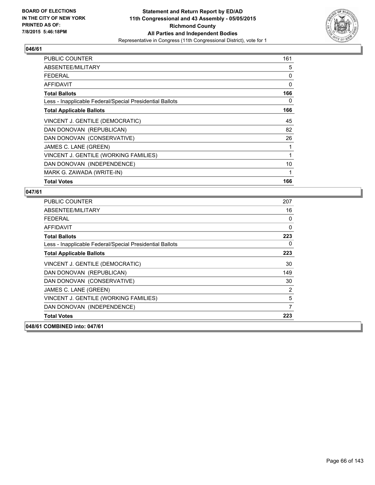

| <b>PUBLIC COUNTER</b>                                    | 161 |
|----------------------------------------------------------|-----|
| ABSENTEE/MILITARY                                        | 5   |
| <b>FEDERAL</b>                                           | 0   |
| <b>AFFIDAVIT</b>                                         | 0   |
| <b>Total Ballots</b>                                     | 166 |
| Less - Inapplicable Federal/Special Presidential Ballots | 0   |
| <b>Total Applicable Ballots</b>                          | 166 |
| VINCENT J. GENTILE (DEMOCRATIC)                          | 45  |
| DAN DONOVAN (REPUBLICAN)                                 | 82  |
| DAN DONOVAN (CONSERVATIVE)                               | 26  |
| JAMES C. LANE (GREEN)                                    | 1   |
| VINCENT J. GENTILE (WORKING FAMILIES)                    | 1   |
| DAN DONOVAN (INDEPENDENCE)                               | 10  |
| MARK G. ZAWADA (WRITE-IN)                                | 1   |
| <b>Total Votes</b>                                       | 166 |

| <b>PUBLIC COUNTER</b>                                    | 207 |
|----------------------------------------------------------|-----|
| ABSENTEE/MILITARY                                        | 16  |
| <b>FFDFRAI</b>                                           | 0   |
| <b>AFFIDAVIT</b>                                         | 0   |
| <b>Total Ballots</b>                                     | 223 |
| Less - Inapplicable Federal/Special Presidential Ballots | 0   |
| <b>Total Applicable Ballots</b>                          | 223 |
| VINCENT J. GENTILE (DEMOCRATIC)                          | 30  |
| DAN DONOVAN (REPUBLICAN)                                 | 149 |
| DAN DONOVAN (CONSERVATIVE)                               | 30  |
| JAMES C. LANE (GREEN)                                    | 2   |
| VINCENT J. GENTILE (WORKING FAMILIES)                    | 5   |
| DAN DONOVAN (INDEPENDENCE)                               | 7   |
| <b>Total Votes</b>                                       | 223 |
| 048/61 COMBINED into: 047/61                             |     |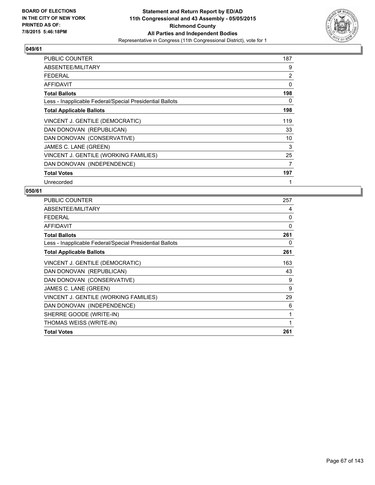

| <b>PUBLIC COUNTER</b>                                    | 187 |
|----------------------------------------------------------|-----|
| ABSENTEE/MILITARY                                        | 9   |
| FFDFRAI                                                  | 2   |
| <b>AFFIDAVIT</b>                                         | 0   |
| <b>Total Ballots</b>                                     | 198 |
| Less - Inapplicable Federal/Special Presidential Ballots | 0   |
| <b>Total Applicable Ballots</b>                          | 198 |
| VINCENT J. GENTILE (DEMOCRATIC)                          | 119 |
| DAN DONOVAN (REPUBLICAN)                                 | 33  |
| DAN DONOVAN (CONSERVATIVE)                               | 10  |
| JAMES C. LANE (GREEN)                                    | 3   |
| VINCENT J. GENTILE (WORKING FAMILIES)                    | 25  |
| DAN DONOVAN (INDEPENDENCE)                               | 7   |
| <b>Total Votes</b>                                       | 197 |
| Unrecorded                                               | 1   |

| PUBLIC COUNTER                                           | 257 |
|----------------------------------------------------------|-----|
| ABSENTEE/MILITARY                                        | 4   |
| <b>FEDERAL</b>                                           | 0   |
| <b>AFFIDAVIT</b>                                         | 0   |
| <b>Total Ballots</b>                                     | 261 |
| Less - Inapplicable Federal/Special Presidential Ballots | 0   |
| <b>Total Applicable Ballots</b>                          | 261 |
| VINCENT J. GENTILE (DEMOCRATIC)                          | 163 |
| DAN DONOVAN (REPUBLICAN)                                 | 43  |
| DAN DONOVAN (CONSERVATIVE)                               | 9   |
| JAMES C. LANE (GREEN)                                    | 9   |
| VINCENT J. GENTILE (WORKING FAMILIES)                    | 29  |
| DAN DONOVAN (INDEPENDENCE)                               | 6   |
| SHERRE GOODE (WRITE-IN)                                  | 1   |
| THOMAS WEISS (WRITE-IN)                                  | 1   |
| <b>Total Votes</b>                                       | 261 |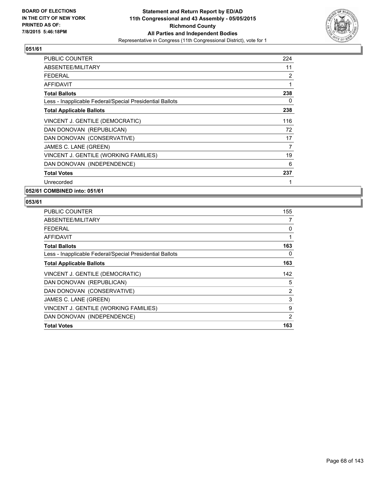

| <b>PUBLIC COUNTER</b>                                    | 224 |
|----------------------------------------------------------|-----|
| ABSENTEE/MILITARY                                        | 11  |
| <b>FEDERAL</b>                                           | 2   |
| <b>AFFIDAVIT</b>                                         | 1   |
| <b>Total Ballots</b>                                     | 238 |
| Less - Inapplicable Federal/Special Presidential Ballots | 0   |
| <b>Total Applicable Ballots</b>                          | 238 |
| VINCENT J. GENTILE (DEMOCRATIC)                          | 116 |
| DAN DONOVAN (REPUBLICAN)                                 | 72  |
| DAN DONOVAN (CONSERVATIVE)                               | 17  |
| JAMES C. LANE (GREEN)                                    | 7   |
| VINCENT J. GENTILE (WORKING FAMILIES)                    | 19  |
| DAN DONOVAN (INDEPENDENCE)                               | 6   |
| <b>Total Votes</b>                                       | 237 |
| Unrecorded                                               | 1   |

**052/61 COMBINED into: 051/61**

| <b>PUBLIC COUNTER</b>                                    | 155 |
|----------------------------------------------------------|-----|
| ABSENTEE/MILITARY                                        | 7   |
| <b>FEDERAL</b>                                           | 0   |
| AFFIDAVIT                                                | 1   |
| <b>Total Ballots</b>                                     | 163 |
| Less - Inapplicable Federal/Special Presidential Ballots | 0   |
| <b>Total Applicable Ballots</b>                          | 163 |
| VINCENT J. GENTILE (DEMOCRATIC)                          | 142 |
| DAN DONOVAN (REPUBLICAN)                                 | 5   |
| DAN DONOVAN (CONSERVATIVE)                               | 2   |
| JAMES C. LANE (GREEN)                                    | 3   |
| VINCENT J. GENTILE (WORKING FAMILIES)                    | 9   |
| DAN DONOVAN (INDEPENDENCE)                               | 2   |
| <b>Total Votes</b>                                       | 163 |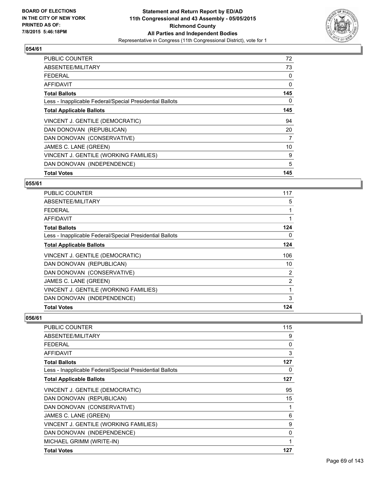

| <b>PUBLIC COUNTER</b>                                    | 72  |
|----------------------------------------------------------|-----|
| ABSENTEE/MILITARY                                        | 73  |
| <b>FEDERAL</b>                                           | 0   |
| AFFIDAVIT                                                | 0   |
| <b>Total Ballots</b>                                     | 145 |
| Less - Inapplicable Federal/Special Presidential Ballots | 0   |
| <b>Total Applicable Ballots</b>                          | 145 |
| VINCENT J. GENTILE (DEMOCRATIC)                          | 94  |
| DAN DONOVAN (REPUBLICAN)                                 | 20  |
| DAN DONOVAN (CONSERVATIVE)                               | 7   |
| JAMES C. LANE (GREEN)                                    | 10  |
| VINCENT J. GENTILE (WORKING FAMILIES)                    | 9   |
| DAN DONOVAN (INDEPENDENCE)                               | 5   |
| <b>Total Votes</b>                                       | 145 |

#### **055/61**

| PUBLIC COUNTER                                           | 117            |
|----------------------------------------------------------|----------------|
| ABSENTEE/MILITARY                                        | 5              |
| <b>FEDERAL</b>                                           |                |
| AFFIDAVIT                                                |                |
| <b>Total Ballots</b>                                     | 124            |
| Less - Inapplicable Federal/Special Presidential Ballots | 0              |
| <b>Total Applicable Ballots</b>                          | 124            |
| VINCENT J. GENTILE (DEMOCRATIC)                          | 106            |
| DAN DONOVAN (REPUBLICAN)                                 | 10             |
| DAN DONOVAN (CONSERVATIVE)                               | 2              |
| JAMES C. LANE (GREEN)                                    | $\overline{2}$ |
| VINCENT J. GENTILE (WORKING FAMILIES)                    | 1              |
| DAN DONOVAN (INDEPENDENCE)                               | 3              |
| <b>Total Votes</b>                                       | 124            |

| PUBLIC COUNTER                                           | 115 |
|----------------------------------------------------------|-----|
| ABSENTEE/MILITARY                                        | 9   |
| <b>FEDERAL</b>                                           | 0   |
| AFFIDAVIT                                                | 3   |
| <b>Total Ballots</b>                                     | 127 |
| Less - Inapplicable Federal/Special Presidential Ballots | 0   |
| <b>Total Applicable Ballots</b>                          | 127 |
| VINCENT J. GENTILE (DEMOCRATIC)                          | 95  |
| DAN DONOVAN (REPUBLICAN)                                 | 15  |
| DAN DONOVAN (CONSERVATIVE)                               | 1   |
| JAMES C. LANE (GREEN)                                    | 6   |
| VINCENT J. GENTILE (WORKING FAMILIES)                    | 9   |
| DAN DONOVAN (INDEPENDENCE)                               | 0   |
| MICHAEL GRIMM (WRITE-IN)                                 |     |
| <b>Total Votes</b>                                       | 127 |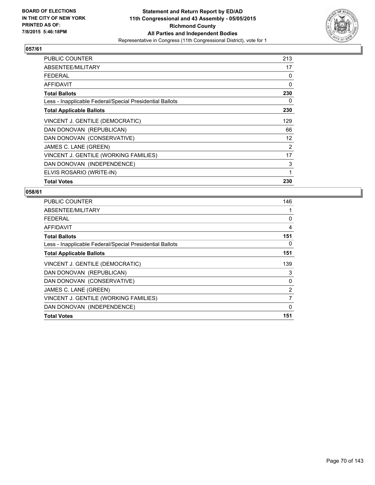

| <b>PUBLIC COUNTER</b>                                    | 213 |
|----------------------------------------------------------|-----|
| ABSENTEE/MILITARY                                        | 17  |
| FEDERAL                                                  | 0   |
| AFFIDAVIT                                                | 0   |
| <b>Total Ballots</b>                                     | 230 |
| Less - Inapplicable Federal/Special Presidential Ballots | 0   |
| <b>Total Applicable Ballots</b>                          | 230 |
| VINCENT J. GENTILE (DEMOCRATIC)                          | 129 |
| DAN DONOVAN (REPUBLICAN)                                 | 66  |
| DAN DONOVAN (CONSERVATIVE)                               | 12  |
| JAMES C. LANE (GREEN)                                    | 2   |
| VINCENT J. GENTILE (WORKING FAMILIES)                    | 17  |
| DAN DONOVAN (INDEPENDENCE)                               | 3   |
| ELVIS ROSARIO (WRITE-IN)                                 | 1   |
| <b>Total Votes</b>                                       | 230 |

| <b>PUBLIC COUNTER</b>                                    | 146         |
|----------------------------------------------------------|-------------|
| ABSENTEE/MILITARY                                        |             |
| <b>FEDERAL</b>                                           | 0           |
| AFFIDAVIT                                                | 4           |
| <b>Total Ballots</b>                                     | 151         |
| Less - Inapplicable Federal/Special Presidential Ballots | 0           |
| <b>Total Applicable Ballots</b>                          | 151         |
| VINCENT J. GENTILE (DEMOCRATIC)                          | 139         |
| DAN DONOVAN (REPUBLICAN)                                 | 3           |
| DAN DONOVAN (CONSERVATIVE)                               | 0           |
| JAMES C. LANE (GREEN)                                    | 2           |
| VINCENT J. GENTILE (WORKING FAMILIES)                    | 7           |
| DAN DONOVAN (INDEPENDENCE)                               | $\mathbf 0$ |
| <b>Total Votes</b>                                       | 151         |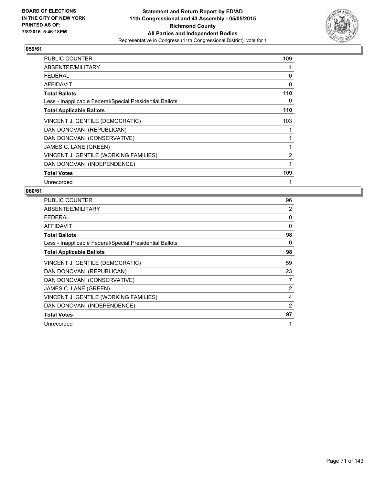

| <b>PUBLIC COUNTER</b>                                    | 109 |
|----------------------------------------------------------|-----|
| ABSENTEE/MILITARY                                        |     |
| <b>FEDERAL</b>                                           | 0   |
| <b>AFFIDAVIT</b>                                         | 0   |
| <b>Total Ballots</b>                                     | 110 |
| Less - Inapplicable Federal/Special Presidential Ballots | 0   |
| <b>Total Applicable Ballots</b>                          | 110 |
| VINCENT J. GENTILE (DEMOCRATIC)                          | 103 |
| DAN DONOVAN (REPUBLICAN)                                 |     |
| DAN DONOVAN (CONSERVATIVE)                               | 1   |
| JAMES C. LANE (GREEN)                                    | 1   |
| VINCENT J. GENTILE (WORKING FAMILIES)                    | 2   |
| DAN DONOVAN (INDEPENDENCE)                               | 1   |
| <b>Total Votes</b>                                       | 109 |
| Unrecorded                                               |     |

| <b>PUBLIC COUNTER</b>                                    | 96 |
|----------------------------------------------------------|----|
| ABSENTEE/MILITARY                                        | 2  |
| <b>FEDERAL</b>                                           | 0  |
| <b>AFFIDAVIT</b>                                         | 0  |
| <b>Total Ballots</b>                                     | 98 |
| Less - Inapplicable Federal/Special Presidential Ballots | 0  |
| <b>Total Applicable Ballots</b>                          | 98 |
| VINCENT J. GENTILE (DEMOCRATIC)                          | 59 |
| DAN DONOVAN (REPUBLICAN)                                 | 23 |
| DAN DONOVAN (CONSERVATIVE)                               | 7  |
| JAMES C. LANE (GREEN)                                    | 2  |
| VINCENT J. GENTILE (WORKING FAMILIES)                    | 4  |
| DAN DONOVAN (INDEPENDENCE)                               | 2  |
| <b>Total Votes</b>                                       | 97 |
| Unrecorded                                               | 1  |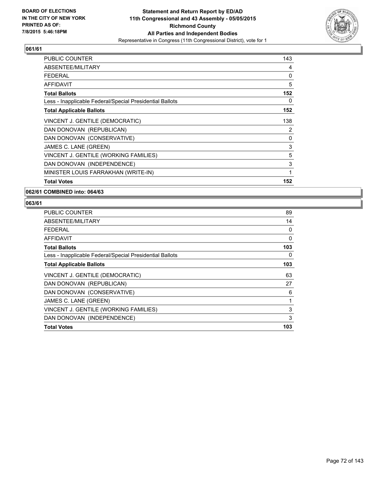

| <b>PUBLIC COUNTER</b>                                    | 143 |
|----------------------------------------------------------|-----|
| ABSENTEE/MILITARY                                        | 4   |
| <b>FEDERAL</b>                                           | 0   |
| AFFIDAVIT                                                | 5   |
| <b>Total Ballots</b>                                     | 152 |
| Less - Inapplicable Federal/Special Presidential Ballots | 0   |
| <b>Total Applicable Ballots</b>                          | 152 |
| VINCENT J. GENTILE (DEMOCRATIC)                          | 138 |
| DAN DONOVAN (REPUBLICAN)                                 | 2   |
| DAN DONOVAN (CONSERVATIVE)                               | 0   |
| JAMES C. LANE (GREEN)                                    | 3   |
| VINCENT J. GENTILE (WORKING FAMILIES)                    | 5   |
| DAN DONOVAN (INDEPENDENCE)                               | 3   |
| MINISTER LOUIS FARRAKHAN (WRITE-IN)                      | 1   |
| <b>Total Votes</b>                                       | 152 |

**062/61 COMBINED into: 064/63**

| <b>PUBLIC COUNTER</b>                                    | 89  |
|----------------------------------------------------------|-----|
| ABSENTEE/MILITARY                                        | 14  |
| <b>FEDERAL</b>                                           | 0   |
| AFFIDAVIT                                                | 0   |
| <b>Total Ballots</b>                                     | 103 |
| Less - Inapplicable Federal/Special Presidential Ballots | 0   |
| <b>Total Applicable Ballots</b>                          | 103 |
| VINCENT J. GENTILE (DEMOCRATIC)                          | 63  |
| DAN DONOVAN (REPUBLICAN)                                 | 27  |
| DAN DONOVAN (CONSERVATIVE)                               | 6   |
| JAMES C. LANE (GREEN)                                    | 1   |
| VINCENT J. GENTILE (WORKING FAMILIES)                    | 3   |
| DAN DONOVAN (INDEPENDENCE)                               | 3   |
| <b>Total Votes</b>                                       | 103 |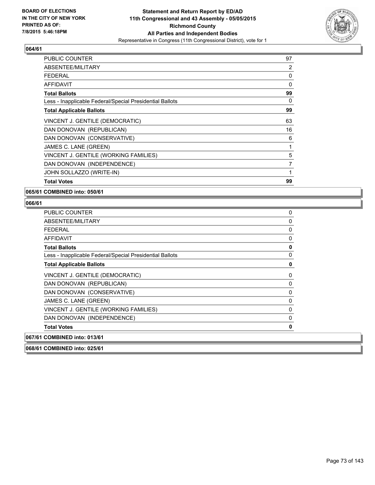

| <b>PUBLIC COUNTER</b>                                    | 97 |
|----------------------------------------------------------|----|
| ABSENTEE/MILITARY                                        | 2  |
| FFDFRAI                                                  | 0  |
| <b>AFFIDAVIT</b>                                         | 0  |
| <b>Total Ballots</b>                                     | 99 |
| Less - Inapplicable Federal/Special Presidential Ballots | 0  |
| <b>Total Applicable Ballots</b>                          | 99 |
| VINCENT J. GENTILE (DEMOCRATIC)                          | 63 |
| DAN DONOVAN (REPUBLICAN)                                 | 16 |
| DAN DONOVAN (CONSERVATIVE)                               | 6  |
| JAMES C. LANE (GREEN)                                    | 1  |
| VINCENT J. GENTILE (WORKING FAMILIES)                    | 5  |
| DAN DONOVAN (INDEPENDENCE)                               | 7  |
| JOHN SOLLAZZO (WRITE-IN)                                 | 1  |
| <b>Total Votes</b>                                       | 99 |

**065/61 COMBINED into: 050/61**

| 0<br>0<br>0 |
|-------------|
|             |
|             |
|             |
| 0           |
| 0           |
| 0           |
| 0           |
| 0           |
| 0           |
| 0           |
|             |
|             |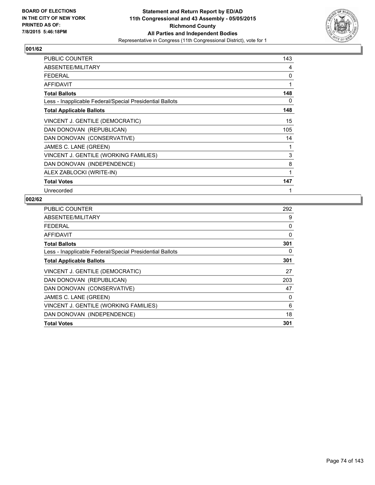

| <b>PUBLIC COUNTER</b>                                    | 143 |
|----------------------------------------------------------|-----|
| ABSENTEE/MILITARY                                        | 4   |
| <b>FEDERAL</b>                                           | 0   |
| <b>AFFIDAVIT</b>                                         | 1   |
| <b>Total Ballots</b>                                     | 148 |
| Less - Inapplicable Federal/Special Presidential Ballots | 0   |
| <b>Total Applicable Ballots</b>                          | 148 |
| VINCENT J. GENTILE (DEMOCRATIC)                          | 15  |
| DAN DONOVAN (REPUBLICAN)                                 | 105 |
| DAN DONOVAN (CONSERVATIVE)                               | 14  |
| JAMES C. LANE (GREEN)                                    | 1   |
| VINCENT J. GENTILE (WORKING FAMILIES)                    | 3   |
| DAN DONOVAN (INDEPENDENCE)                               | 8   |
| ALEX ZABLOCKI (WRITE-IN)                                 | 1   |
| <b>Total Votes</b>                                       | 147 |
| Unrecorded                                               | 1   |

| <b>PUBLIC COUNTER</b>                                    | 292 |
|----------------------------------------------------------|-----|
| ABSENTEE/MILITARY                                        | 9   |
| <b>FEDERAL</b>                                           | 0   |
| AFFIDAVIT                                                | 0   |
| <b>Total Ballots</b>                                     | 301 |
| Less - Inapplicable Federal/Special Presidential Ballots | 0   |
| <b>Total Applicable Ballots</b>                          | 301 |
| VINCENT J. GENTILE (DEMOCRATIC)                          | 27  |
| DAN DONOVAN (REPUBLICAN)                                 | 203 |
| DAN DONOVAN (CONSERVATIVE)                               | 47  |
| JAMES C. LANE (GREEN)                                    | 0   |
| VINCENT J. GENTILE (WORKING FAMILIES)                    | 6   |
| DAN DONOVAN (INDEPENDENCE)                               | 18  |
| <b>Total Votes</b>                                       | 301 |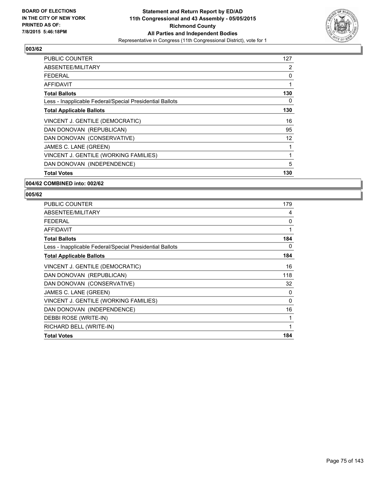

| <b>PUBLIC COUNTER</b>                                    | 127               |
|----------------------------------------------------------|-------------------|
| ABSENTEE/MILITARY                                        | 2                 |
| <b>FEDERAL</b>                                           | 0                 |
| AFFIDAVIT                                                | 1                 |
| <b>Total Ballots</b>                                     | 130               |
| Less - Inapplicable Federal/Special Presidential Ballots | 0                 |
| <b>Total Applicable Ballots</b>                          | 130               |
| VINCENT J. GENTILE (DEMOCRATIC)                          | 16                |
| DAN DONOVAN (REPUBLICAN)                                 | 95                |
| DAN DONOVAN (CONSERVATIVE)                               | $12 \overline{ }$ |
| JAMES C. LANE (GREEN)                                    | 1                 |
| VINCENT J. GENTILE (WORKING FAMILIES)                    | 1                 |
| DAN DONOVAN (INDEPENDENCE)                               | 5                 |
| <b>Total Votes</b>                                       | 130               |

#### **004/62 COMBINED into: 002/62**

| <b>PUBLIC COUNTER</b>                                    | 179 |
|----------------------------------------------------------|-----|
| ABSENTEE/MILITARY                                        | 4   |
| <b>FEDERAL</b>                                           | 0   |
| <b>AFFIDAVIT</b>                                         | 1   |
| <b>Total Ballots</b>                                     | 184 |
| Less - Inapplicable Federal/Special Presidential Ballots | 0   |
| <b>Total Applicable Ballots</b>                          | 184 |
| VINCENT J. GENTILE (DEMOCRATIC)                          | 16  |
| DAN DONOVAN (REPUBLICAN)                                 | 118 |
| DAN DONOVAN (CONSERVATIVE)                               | 32  |
| JAMES C. LANE (GREEN)                                    | 0   |
| VINCENT J. GENTILE (WORKING FAMILIES)                    | 0   |
| DAN DONOVAN (INDEPENDENCE)                               | 16  |
| DEBBI ROSE (WRITE-IN)                                    | 1   |
| RICHARD BELL (WRITE-IN)                                  | 1   |
| <b>Total Votes</b>                                       | 184 |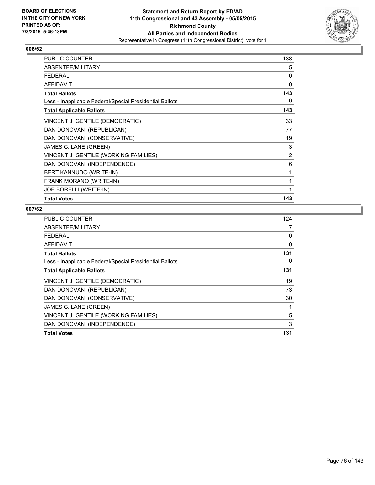

| <b>PUBLIC COUNTER</b>                                    | 138 |
|----------------------------------------------------------|-----|
| ABSENTEE/MILITARY                                        | 5   |
| <b>FEDERAL</b>                                           | 0   |
| <b>AFFIDAVIT</b>                                         | 0   |
| <b>Total Ballots</b>                                     | 143 |
| Less - Inapplicable Federal/Special Presidential Ballots | 0   |
| <b>Total Applicable Ballots</b>                          | 143 |
| VINCENT J. GENTILE (DEMOCRATIC)                          | 33  |
| DAN DONOVAN (REPUBLICAN)                                 | 77  |
| DAN DONOVAN (CONSERVATIVE)                               | 19  |
| JAMES C. LANE (GREEN)                                    | 3   |
| VINCENT J. GENTILE (WORKING FAMILIES)                    | 2   |
| DAN DONOVAN (INDEPENDENCE)                               | 6   |
| BERT KANNUDO (WRITE-IN)                                  | 1   |
| FRANK MORANO (WRITE-IN)                                  | 1   |
| <b>JOE BORELLI (WRITE-IN)</b>                            | 1   |
| <b>Total Votes</b>                                       | 143 |

| PUBLIC COUNTER                                           | 124 |
|----------------------------------------------------------|-----|
| ABSENTEE/MILITARY                                        | 7   |
| <b>FEDERAL</b>                                           | 0   |
| AFFIDAVIT                                                | 0   |
| <b>Total Ballots</b>                                     | 131 |
| Less - Inapplicable Federal/Special Presidential Ballots | 0   |
| <b>Total Applicable Ballots</b>                          | 131 |
| VINCENT J. GENTILE (DEMOCRATIC)                          | 19  |
| DAN DONOVAN (REPUBLICAN)                                 | 73  |
| DAN DONOVAN (CONSERVATIVE)                               | 30  |
| JAMES C. LANE (GREEN)                                    | 1   |
| VINCENT J. GENTILE (WORKING FAMILIES)                    | 5   |
| DAN DONOVAN (INDEPENDENCE)                               | 3   |
| <b>Total Votes</b>                                       | 131 |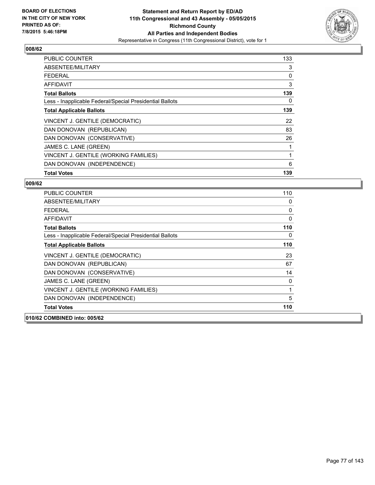

| <b>PUBLIC COUNTER</b>                                    | 133 |
|----------------------------------------------------------|-----|
| ABSENTEE/MILITARY                                        | 3   |
| <b>FEDERAL</b>                                           | 0   |
| AFFIDAVIT                                                | 3   |
| <b>Total Ballots</b>                                     | 139 |
| Less - Inapplicable Federal/Special Presidential Ballots | 0   |
| <b>Total Applicable Ballots</b>                          | 139 |
| VINCENT J. GENTILE (DEMOCRATIC)                          | 22  |
| DAN DONOVAN (REPUBLICAN)                                 | 83  |
| DAN DONOVAN (CONSERVATIVE)                               | 26  |
| JAMES C. LANE (GREEN)                                    |     |
| VINCENT J. GENTILE (WORKING FAMILIES)                    | 1   |
| DAN DONOVAN (INDEPENDENCE)                               | 6   |
| <b>Total Votes</b>                                       | 139 |

| <b>PUBLIC COUNTER</b>                                    | 110 |
|----------------------------------------------------------|-----|
| ABSENTEE/MILITARY                                        | 0   |
| FEDERAL                                                  | 0   |
| <b>AFFIDAVIT</b>                                         | 0   |
| <b>Total Ballots</b>                                     | 110 |
| Less - Inapplicable Federal/Special Presidential Ballots | 0   |
| <b>Total Applicable Ballots</b>                          | 110 |
| VINCENT J. GENTILE (DEMOCRATIC)                          | 23  |
| DAN DONOVAN (REPUBLICAN)                                 | 67  |
| DAN DONOVAN (CONSERVATIVE)                               | 14  |
| JAMES C. LANE (GREEN)                                    | 0   |
| VINCENT J. GENTILE (WORKING FAMILIES)                    | 1   |
| DAN DONOVAN (INDEPENDENCE)                               | 5   |
| <b>Total Votes</b>                                       | 110 |
| 010/62 COMBINED into: 005/62                             |     |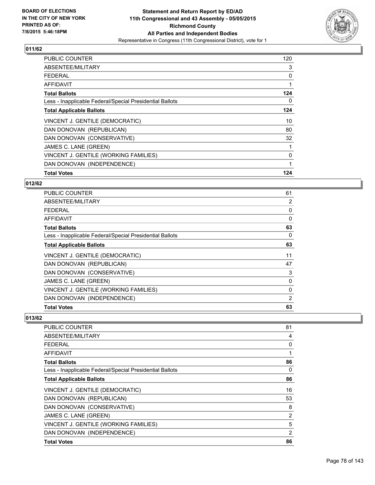

| <b>PUBLIC COUNTER</b>                                    | 120          |
|----------------------------------------------------------|--------------|
| ABSENTEE/MILITARY                                        | 3            |
| <b>FEDERAL</b>                                           | 0            |
| AFFIDAVIT                                                |              |
| <b>Total Ballots</b>                                     | 124          |
| Less - Inapplicable Federal/Special Presidential Ballots | 0            |
| <b>Total Applicable Ballots</b>                          | 124          |
| VINCENT J. GENTILE (DEMOCRATIC)                          | 10           |
| DAN DONOVAN (REPUBLICAN)                                 | 80           |
| DAN DONOVAN (CONSERVATIVE)                               | 32           |
| JAMES C. LANE (GREEN)                                    |              |
| VINCENT J. GENTILE (WORKING FAMILIES)                    | $\mathbf{0}$ |
| DAN DONOVAN (INDEPENDENCE)                               |              |
| <b>Total Votes</b>                                       | 124          |

#### **012/62**

| <b>PUBLIC COUNTER</b>                                    | 61       |
|----------------------------------------------------------|----------|
| ABSENTEE/MILITARY                                        | 2        |
| <b>FEDERAL</b>                                           | 0        |
| <b>AFFIDAVIT</b>                                         | $\Omega$ |
| <b>Total Ballots</b>                                     | 63       |
| Less - Inapplicable Federal/Special Presidential Ballots | 0        |
| <b>Total Applicable Ballots</b>                          | 63       |
| VINCENT J. GENTILE (DEMOCRATIC)                          | 11       |
| DAN DONOVAN (REPUBLICAN)                                 | 47       |
| DAN DONOVAN (CONSERVATIVE)                               | 3        |
| JAMES C. LANE (GREEN)                                    | 0        |
| VINCENT J. GENTILE (WORKING FAMILIES)                    | 0        |
| DAN DONOVAN (INDEPENDENCE)                               | 2        |
| <b>Total Votes</b>                                       | 63       |

| <b>PUBLIC COUNTER</b>                                    | 81 |
|----------------------------------------------------------|----|
| ABSENTEE/MILITARY                                        | 4  |
| <b>FEDERAL</b>                                           | 0  |
| AFFIDAVIT                                                | 1  |
| <b>Total Ballots</b>                                     | 86 |
| Less - Inapplicable Federal/Special Presidential Ballots | 0  |
| <b>Total Applicable Ballots</b>                          | 86 |
| VINCENT J. GENTILE (DEMOCRATIC)                          | 16 |
| DAN DONOVAN (REPUBLICAN)                                 | 53 |
| DAN DONOVAN (CONSERVATIVE)                               | 8  |
| JAMES C. LANE (GREEN)                                    | 2  |
| VINCENT J. GENTILE (WORKING FAMILIES)                    | 5  |
| DAN DONOVAN (INDEPENDENCE)                               | 2  |
| <b>Total Votes</b>                                       | 86 |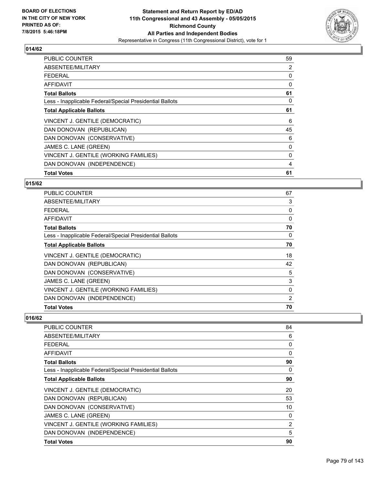

| <b>PUBLIC COUNTER</b>                                    | 59 |
|----------------------------------------------------------|----|
| ABSENTEE/MILITARY                                        | 2  |
| <b>FEDERAL</b>                                           | 0  |
| AFFIDAVIT                                                | 0  |
| <b>Total Ballots</b>                                     | 61 |
| Less - Inapplicable Federal/Special Presidential Ballots | 0  |
| <b>Total Applicable Ballots</b>                          | 61 |
| VINCENT J. GENTILE (DEMOCRATIC)                          | 6  |
| DAN DONOVAN (REPUBLICAN)                                 | 45 |
| DAN DONOVAN (CONSERVATIVE)                               | 6  |
| JAMES C. LANE (GREEN)                                    | 0  |
| VINCENT J. GENTILE (WORKING FAMILIES)                    | 0  |
| DAN DONOVAN (INDEPENDENCE)                               | 4  |
| <b>Total Votes</b>                                       | 61 |

#### **015/62**

| <b>PUBLIC COUNTER</b>                                    | 67       |
|----------------------------------------------------------|----------|
| ABSENTEE/MILITARY                                        | 3        |
| <b>FEDERAL</b>                                           | 0        |
| AFFIDAVIT                                                | $\Omega$ |
| <b>Total Ballots</b>                                     | 70       |
| Less - Inapplicable Federal/Special Presidential Ballots | 0        |
| <b>Total Applicable Ballots</b>                          | 70       |
| VINCENT J. GENTILE (DEMOCRATIC)                          | 18       |
| DAN DONOVAN (REPUBLICAN)                                 | 42       |
| DAN DONOVAN (CONSERVATIVE)                               | 5        |
| JAMES C. LANE (GREEN)                                    | 3        |
| VINCENT J. GENTILE (WORKING FAMILIES)                    | 0        |
| DAN DONOVAN (INDEPENDENCE)                               | 2        |
| <b>Total Votes</b>                                       | 70       |

| PUBLIC COUNTER                                           | 84 |
|----------------------------------------------------------|----|
| ABSENTEE/MILITARY                                        | 6  |
| <b>FEDERAL</b>                                           | 0  |
| AFFIDAVIT                                                | 0  |
| <b>Total Ballots</b>                                     | 90 |
| Less - Inapplicable Federal/Special Presidential Ballots | 0  |
| <b>Total Applicable Ballots</b>                          | 90 |
| VINCENT J. GENTILE (DEMOCRATIC)                          | 20 |
| DAN DONOVAN (REPUBLICAN)                                 | 53 |
| DAN DONOVAN (CONSERVATIVE)                               | 10 |
| JAMES C. LANE (GREEN)                                    | 0  |
| VINCENT J. GENTILE (WORKING FAMILIES)                    | 2  |
| DAN DONOVAN (INDEPENDENCE)                               | 5  |
| <b>Total Votes</b>                                       | 90 |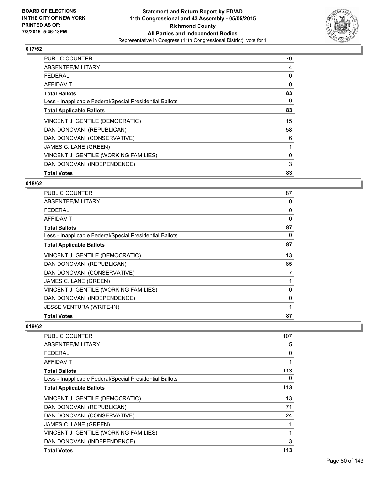

| <b>PUBLIC COUNTER</b>                                    | 79 |
|----------------------------------------------------------|----|
| ABSENTEE/MILITARY                                        | 4  |
| <b>FEDERAL</b>                                           | 0  |
| AFFIDAVIT                                                | 0  |
| <b>Total Ballots</b>                                     | 83 |
| Less - Inapplicable Federal/Special Presidential Ballots | 0  |
| <b>Total Applicable Ballots</b>                          | 83 |
| VINCENT J. GENTILE (DEMOCRATIC)                          | 15 |
| DAN DONOVAN (REPUBLICAN)                                 | 58 |
| DAN DONOVAN (CONSERVATIVE)                               | 6  |
| JAMES C. LANE (GREEN)                                    | 1  |
| VINCENT J. GENTILE (WORKING FAMILIES)                    | 0  |
| DAN DONOVAN (INDEPENDENCE)                               | 3  |
| <b>Total Votes</b>                                       | 83 |

#### **018/62**

| PUBLIC COUNTER                                           | 87 |
|----------------------------------------------------------|----|
| ABSENTEE/MILITARY                                        | 0  |
| <b>FEDERAL</b>                                           | 0  |
| AFFIDAVIT                                                | 0  |
| <b>Total Ballots</b>                                     | 87 |
| Less - Inapplicable Federal/Special Presidential Ballots | 0  |
| <b>Total Applicable Ballots</b>                          | 87 |
| VINCENT J. GENTILE (DEMOCRATIC)                          | 13 |
| DAN DONOVAN (REPUBLICAN)                                 | 65 |
| DAN DONOVAN (CONSERVATIVE)                               | 7  |
| JAMES C. LANE (GREEN)                                    |    |
| VINCENT J. GENTILE (WORKING FAMILIES)                    | 0  |
| DAN DONOVAN (INDEPENDENCE)                               | 0  |
| <b>JESSE VENTURA (WRITE-IN)</b>                          | 1  |
| <b>Total Votes</b>                                       | 87 |

| <b>PUBLIC COUNTER</b>                                    | 107 |
|----------------------------------------------------------|-----|
| ABSENTEE/MILITARY                                        | 5   |
| <b>FEDERAL</b>                                           | 0   |
| AFFIDAVIT                                                |     |
| <b>Total Ballots</b>                                     | 113 |
| Less - Inapplicable Federal/Special Presidential Ballots | 0   |
| <b>Total Applicable Ballots</b>                          | 113 |
| VINCENT J. GENTILE (DEMOCRATIC)                          | 13  |
| DAN DONOVAN (REPUBLICAN)                                 | 71  |
| DAN DONOVAN (CONSERVATIVE)                               | 24  |
| JAMES C. LANE (GREEN)                                    |     |
| VINCENT J. GENTILE (WORKING FAMILIES)                    |     |
| DAN DONOVAN (INDEPENDENCE)                               | 3   |
| <b>Total Votes</b>                                       | 113 |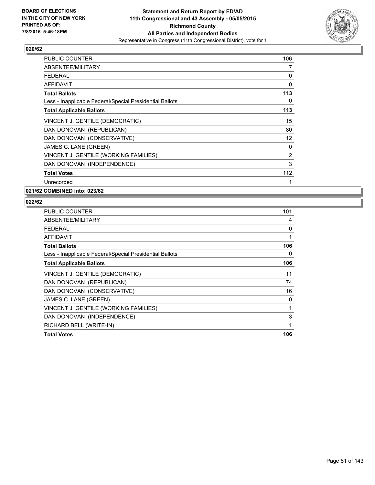

| <b>PUBLIC COUNTER</b>                                    | 106 |
|----------------------------------------------------------|-----|
| ABSENTEE/MILITARY                                        | 7   |
| <b>FEDERAL</b>                                           | 0   |
| AFFIDAVIT                                                | 0   |
| <b>Total Ballots</b>                                     | 113 |
| Less - Inapplicable Federal/Special Presidential Ballots | 0   |
| <b>Total Applicable Ballots</b>                          | 113 |
| VINCENT J. GENTILE (DEMOCRATIC)                          | 15  |
| DAN DONOVAN (REPUBLICAN)                                 | 80  |
| DAN DONOVAN (CONSERVATIVE)                               | 12  |
| JAMES C. LANE (GREEN)                                    | 0   |
| VINCENT J. GENTILE (WORKING FAMILIES)                    | 2   |
| DAN DONOVAN (INDEPENDENCE)                               | 3   |
| <b>Total Votes</b>                                       | 112 |
| Unrecorded                                               | 1   |

**021/62 COMBINED into: 023/62**

| <b>PUBLIC COUNTER</b>                                    | 101 |
|----------------------------------------------------------|-----|
| ABSENTEE/MILITARY                                        | 4   |
| <b>FEDERAL</b>                                           | 0   |
| <b>AFFIDAVIT</b>                                         | 1   |
| <b>Total Ballots</b>                                     | 106 |
| Less - Inapplicable Federal/Special Presidential Ballots | 0   |
| <b>Total Applicable Ballots</b>                          | 106 |
| VINCENT J. GENTILE (DEMOCRATIC)                          | 11  |
| DAN DONOVAN (REPUBLICAN)                                 | 74  |
| DAN DONOVAN (CONSERVATIVE)                               | 16  |
| JAMES C. LANE (GREEN)                                    | 0   |
| VINCENT J. GENTILE (WORKING FAMILIES)                    | 1   |
| DAN DONOVAN (INDEPENDENCE)                               | 3   |
| RICHARD BELL (WRITE-IN)                                  | 1   |
| <b>Total Votes</b>                                       | 106 |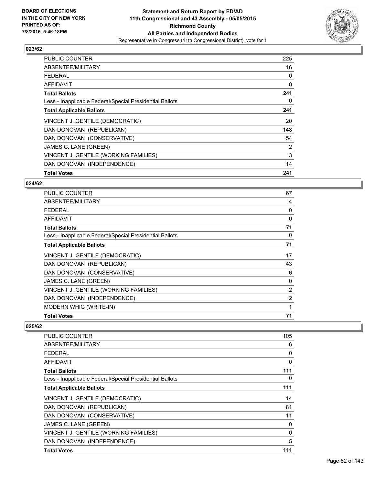

| <b>PUBLIC COUNTER</b>                                    | 225 |
|----------------------------------------------------------|-----|
| ABSENTEE/MILITARY                                        | 16  |
| <b>FEDERAL</b>                                           | 0   |
| AFFIDAVIT                                                | 0   |
| <b>Total Ballots</b>                                     | 241 |
| Less - Inapplicable Federal/Special Presidential Ballots | 0   |
| <b>Total Applicable Ballots</b>                          | 241 |
| VINCENT J. GENTILE (DEMOCRATIC)                          | 20  |
| DAN DONOVAN (REPUBLICAN)                                 | 148 |
| DAN DONOVAN (CONSERVATIVE)                               | 54  |
| JAMES C. LANE (GREEN)                                    | 2   |
| VINCENT J. GENTILE (WORKING FAMILIES)                    | 3   |
| DAN DONOVAN (INDEPENDENCE)                               | 14  |
| <b>Total Votes</b>                                       | 241 |

#### **024/62**

| PUBLIC COUNTER                                           | 67             |
|----------------------------------------------------------|----------------|
| ABSENTEE/MILITARY                                        | 4              |
| <b>FEDERAL</b>                                           | 0              |
| <b>AFFIDAVIT</b>                                         | 0              |
| <b>Total Ballots</b>                                     | 71             |
| Less - Inapplicable Federal/Special Presidential Ballots | 0              |
| <b>Total Applicable Ballots</b>                          | 71             |
| VINCENT J. GENTILE (DEMOCRATIC)                          | 17             |
| DAN DONOVAN (REPUBLICAN)                                 | 43             |
| DAN DONOVAN (CONSERVATIVE)                               | 6              |
| JAMES C. LANE (GREEN)                                    | 0              |
| VINCENT J. GENTILE (WORKING FAMILIES)                    | $\overline{2}$ |
| DAN DONOVAN (INDEPENDENCE)                               | $\overline{2}$ |
| MODERN WHIG (WRITE-IN)                                   | 1              |
| <b>Total Votes</b>                                       | 71             |

| <b>PUBLIC COUNTER</b>                                    | 105 |
|----------------------------------------------------------|-----|
| ABSENTEE/MILITARY                                        | 6   |
| <b>FEDERAL</b>                                           | 0   |
| AFFIDAVIT                                                | 0   |
| <b>Total Ballots</b>                                     | 111 |
| Less - Inapplicable Federal/Special Presidential Ballots | 0   |
| <b>Total Applicable Ballots</b>                          | 111 |
| VINCENT J. GENTILE (DEMOCRATIC)                          | 14  |
| DAN DONOVAN (REPUBLICAN)                                 | 81  |
| DAN DONOVAN (CONSERVATIVE)                               | 11  |
| JAMES C. LANE (GREEN)                                    | 0   |
| VINCENT J. GENTILE (WORKING FAMILIES)                    | 0   |
| DAN DONOVAN (INDEPENDENCE)                               | 5   |
| <b>Total Votes</b>                                       | 111 |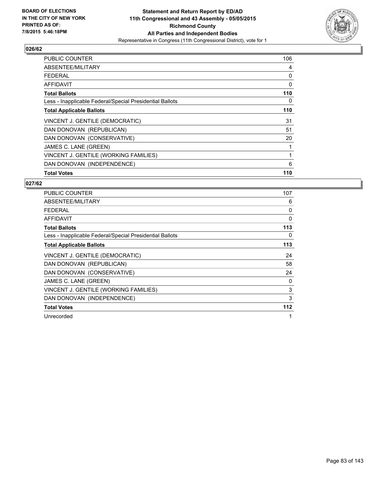

| <b>PUBLIC COUNTER</b>                                    | 106 |
|----------------------------------------------------------|-----|
| ABSENTEE/MILITARY                                        | 4   |
| <b>FEDERAL</b>                                           | 0   |
| AFFIDAVIT                                                | 0   |
| <b>Total Ballots</b>                                     | 110 |
| Less - Inapplicable Federal/Special Presidential Ballots | 0   |
| <b>Total Applicable Ballots</b>                          | 110 |
| VINCENT J. GENTILE (DEMOCRATIC)                          | 31  |
| DAN DONOVAN (REPUBLICAN)                                 | 51  |
| DAN DONOVAN (CONSERVATIVE)                               | 20  |
| JAMES C. LANE (GREEN)                                    | 1   |
| VINCENT J. GENTILE (WORKING FAMILIES)                    | 1   |
| DAN DONOVAN (INDEPENDENCE)                               | 6   |
| <b>Total Votes</b>                                       | 110 |

| <b>PUBLIC COUNTER</b>                                    | 107          |
|----------------------------------------------------------|--------------|
| ABSENTEE/MILITARY                                        | 6            |
| <b>FEDERAL</b>                                           | 0            |
| <b>AFFIDAVIT</b>                                         | 0            |
| <b>Total Ballots</b>                                     | 113          |
| Less - Inapplicable Federal/Special Presidential Ballots | 0            |
| <b>Total Applicable Ballots</b>                          | 113          |
| VINCENT J. GENTILE (DEMOCRATIC)                          | 24           |
| DAN DONOVAN (REPUBLICAN)                                 | 58           |
| DAN DONOVAN (CONSERVATIVE)                               | 24           |
| JAMES C. LANE (GREEN)                                    | 0            |
| VINCENT J. GENTILE (WORKING FAMILIES)                    | 3            |
| DAN DONOVAN (INDEPENDENCE)                               | 3            |
| <b>Total Votes</b>                                       | 112          |
| Unrecorded                                               | $\mathbf{1}$ |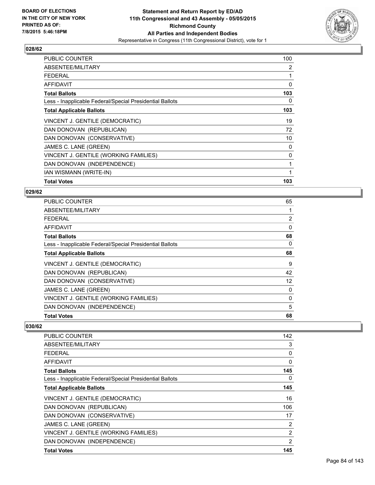

| <b>PUBLIC COUNTER</b>                                    | 100 |
|----------------------------------------------------------|-----|
| ABSENTEE/MILITARY                                        | 2   |
| <b>FEDERAL</b>                                           | 1   |
| <b>AFFIDAVIT</b>                                         | 0   |
| <b>Total Ballots</b>                                     | 103 |
| Less - Inapplicable Federal/Special Presidential Ballots | 0   |
| <b>Total Applicable Ballots</b>                          | 103 |
| VINCENT J. GENTILE (DEMOCRATIC)                          | 19  |
| DAN DONOVAN (REPUBLICAN)                                 | 72  |
| DAN DONOVAN (CONSERVATIVE)                               | 10  |
| JAMES C. LANE (GREEN)                                    | 0   |
| VINCENT J. GENTILE (WORKING FAMILIES)                    | 0   |
| DAN DONOVAN (INDEPENDENCE)                               | 1   |
| IAN WISMANN (WRITE-IN)                                   | 1   |
| <b>Total Votes</b>                                       | 103 |

### **029/62**

| PUBLIC COUNTER                                           | 65 |
|----------------------------------------------------------|----|
| ABSENTEE/MILITARY                                        | 1  |
| FEDERAL                                                  | 2  |
| <b>AFFIDAVIT</b>                                         | 0  |
| <b>Total Ballots</b>                                     | 68 |
| Less - Inapplicable Federal/Special Presidential Ballots | 0  |
| <b>Total Applicable Ballots</b>                          | 68 |
| VINCENT J. GENTILE (DEMOCRATIC)                          | 9  |
| DAN DONOVAN (REPUBLICAN)                                 | 42 |
| DAN DONOVAN (CONSERVATIVE)                               | 12 |
| JAMES C. LANE (GREEN)                                    | 0  |
| VINCENT J. GENTILE (WORKING FAMILIES)                    | 0  |
| DAN DONOVAN (INDEPENDENCE)                               | 5  |
| <b>Total Votes</b>                                       | 68 |

| <b>PUBLIC COUNTER</b>                                    | 142            |
|----------------------------------------------------------|----------------|
| ABSENTEE/MILITARY                                        | 3              |
| FEDERAL                                                  | 0              |
| AFFIDAVIT                                                | 0              |
| <b>Total Ballots</b>                                     | 145            |
| Less - Inapplicable Federal/Special Presidential Ballots | 0              |
| <b>Total Applicable Ballots</b>                          | 145            |
| VINCENT J. GENTILE (DEMOCRATIC)                          | 16             |
| DAN DONOVAN (REPUBLICAN)                                 | 106            |
| DAN DONOVAN (CONSERVATIVE)                               | 17             |
| JAMES C. LANE (GREEN)                                    | 2              |
| VINCENT J. GENTILE (WORKING FAMILIES)                    | 2              |
| DAN DONOVAN (INDEPENDENCE)                               | $\overline{2}$ |
| <b>Total Votes</b>                                       | 145            |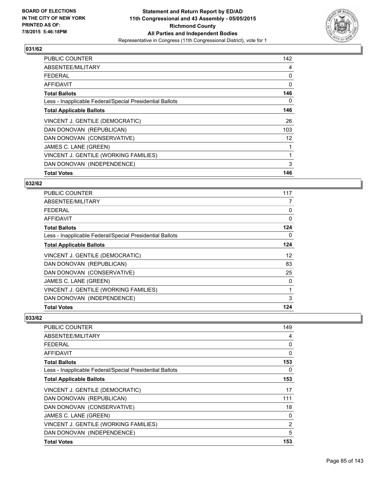

| <b>PUBLIC COUNTER</b>                                    | 142 |
|----------------------------------------------------------|-----|
| ABSENTEE/MILITARY                                        | 4   |
| <b>FEDERAL</b>                                           | 0   |
| AFFIDAVIT                                                | 0   |
| <b>Total Ballots</b>                                     | 146 |
| Less - Inapplicable Federal/Special Presidential Ballots | 0   |
| <b>Total Applicable Ballots</b>                          | 146 |
| VINCENT J. GENTILE (DEMOCRATIC)                          | 26  |
| DAN DONOVAN (REPUBLICAN)                                 | 103 |
| DAN DONOVAN (CONSERVATIVE)                               | 12  |
| JAMES C. LANE (GREEN)                                    | 1   |
| VINCENT J. GENTILE (WORKING FAMILIES)                    | 1   |
| DAN DONOVAN (INDEPENDENCE)                               | 3   |
| <b>Total Votes</b>                                       | 146 |

### **032/62**

| <b>PUBLIC COUNTER</b>                                    | 117      |
|----------------------------------------------------------|----------|
| ABSENTEE/MILITARY                                        | 7        |
| <b>FEDERAL</b>                                           | 0        |
| AFFIDAVIT                                                | $\Omega$ |
| <b>Total Ballots</b>                                     | 124      |
| Less - Inapplicable Federal/Special Presidential Ballots | 0        |
| <b>Total Applicable Ballots</b>                          | 124      |
| VINCENT J. GENTILE (DEMOCRATIC)                          | 12       |
| DAN DONOVAN (REPUBLICAN)                                 | 83       |
| DAN DONOVAN (CONSERVATIVE)                               | 25       |
| JAMES C. LANE (GREEN)                                    | 0        |
| VINCENT J. GENTILE (WORKING FAMILIES)                    | 1        |
| DAN DONOVAN (INDEPENDENCE)                               | 3        |
| <b>Total Votes</b>                                       | 124      |

| <b>PUBLIC COUNTER</b>                                    | 149 |
|----------------------------------------------------------|-----|
| ABSENTEE/MILITARY                                        | 4   |
| <b>FEDERAL</b>                                           | 0   |
| AFFIDAVIT                                                | 0   |
| <b>Total Ballots</b>                                     | 153 |
| Less - Inapplicable Federal/Special Presidential Ballots | 0   |
| <b>Total Applicable Ballots</b>                          | 153 |
| VINCENT J. GENTILE (DEMOCRATIC)                          | 17  |
| DAN DONOVAN (REPUBLICAN)                                 | 111 |
| DAN DONOVAN (CONSERVATIVE)                               | 18  |
| JAMES C. LANE (GREEN)                                    | 0   |
| VINCENT J. GENTILE (WORKING FAMILIES)                    | 2   |
| DAN DONOVAN (INDEPENDENCE)                               | 5   |
| <b>Total Votes</b>                                       | 153 |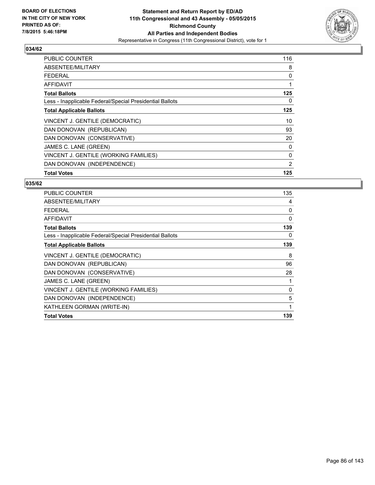

| PUBLIC COUNTER                                           | 116 |
|----------------------------------------------------------|-----|
| ABSENTEE/MILITARY                                        | 8   |
| <b>FEDERAL</b>                                           | 0   |
| <b>AFFIDAVIT</b>                                         |     |
| <b>Total Ballots</b>                                     | 125 |
| Less - Inapplicable Federal/Special Presidential Ballots | 0   |
| <b>Total Applicable Ballots</b>                          | 125 |
| VINCENT J. GENTILE (DEMOCRATIC)                          | 10  |
| DAN DONOVAN (REPUBLICAN)                                 | 93  |
| DAN DONOVAN (CONSERVATIVE)                               | 20  |
| JAMES C. LANE (GREEN)                                    | 0   |
| VINCENT J. GENTILE (WORKING FAMILIES)                    | 0   |
| DAN DONOVAN (INDEPENDENCE)                               | 2   |
| <b>Total Votes</b>                                       | 125 |

| <b>PUBLIC COUNTER</b>                                    | 135 |
|----------------------------------------------------------|-----|
| ABSENTEE/MILITARY                                        | 4   |
| <b>FEDERAL</b>                                           | 0   |
| <b>AFFIDAVIT</b>                                         | 0   |
| <b>Total Ballots</b>                                     | 139 |
| Less - Inapplicable Federal/Special Presidential Ballots | 0   |
| <b>Total Applicable Ballots</b>                          | 139 |
| VINCENT J. GENTILE (DEMOCRATIC)                          | 8   |
| DAN DONOVAN (REPUBLICAN)                                 | 96  |
| DAN DONOVAN (CONSERVATIVE)                               | 28  |
| JAMES C. LANE (GREEN)                                    | 1   |
| VINCENT J. GENTILE (WORKING FAMILIES)                    | 0   |
| DAN DONOVAN (INDEPENDENCE)                               | 5   |
| KATHLEEN GORMAN (WRITE-IN)                               | 1   |
| <b>Total Votes</b>                                       | 139 |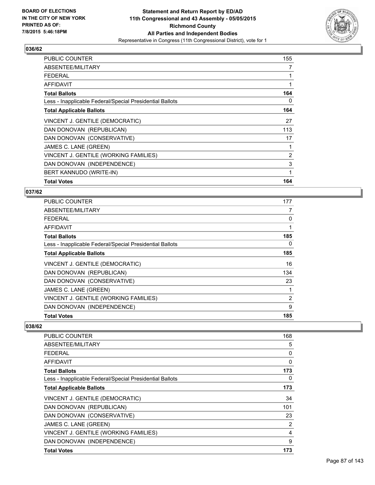

| <b>PUBLIC COUNTER</b>                                    | 155 |
|----------------------------------------------------------|-----|
| ABSENTEE/MILITARY                                        | 7   |
| <b>FEDERAL</b>                                           | 1   |
| AFFIDAVIT                                                | 1   |
| <b>Total Ballots</b>                                     | 164 |
| Less - Inapplicable Federal/Special Presidential Ballots | 0   |
| <b>Total Applicable Ballots</b>                          | 164 |
| VINCENT J. GENTILE (DEMOCRATIC)                          | 27  |
| DAN DONOVAN (REPUBLICAN)                                 | 113 |
| DAN DONOVAN (CONSERVATIVE)                               | 17  |
| JAMES C. LANE (GREEN)                                    | 1   |
| VINCENT J. GENTILE (WORKING FAMILIES)                    | 2   |
| DAN DONOVAN (INDEPENDENCE)                               | 3   |
| BERT KANNUDO (WRITE-IN)                                  | 1   |
| <b>Total Votes</b>                                       | 164 |

### **037/62**

| <b>PUBLIC COUNTER</b>                                    | 177            |
|----------------------------------------------------------|----------------|
| ABSENTEE/MILITARY                                        | 7              |
| <b>FEDERAL</b>                                           | 0              |
| <b>AFFIDAVIT</b>                                         | 1              |
| <b>Total Ballots</b>                                     | 185            |
| Less - Inapplicable Federal/Special Presidential Ballots | 0              |
| <b>Total Applicable Ballots</b>                          | 185            |
| VINCENT J. GENTILE (DEMOCRATIC)                          | 16             |
| DAN DONOVAN (REPUBLICAN)                                 | 134            |
| DAN DONOVAN (CONSERVATIVE)                               | 23             |
| JAMES C. LANE (GREEN)                                    | 1              |
| VINCENT J. GENTILE (WORKING FAMILIES)                    | $\overline{2}$ |
| DAN DONOVAN (INDEPENDENCE)                               | 9              |
| <b>Total Votes</b>                                       | 185            |

| PUBLIC COUNTER                                           | 168 |
|----------------------------------------------------------|-----|
| ABSENTEE/MILITARY                                        | 5   |
| FFDFRAI                                                  | 0   |
| AFFIDAVIT                                                | 0   |
| <b>Total Ballots</b>                                     | 173 |
| Less - Inapplicable Federal/Special Presidential Ballots | 0   |
| <b>Total Applicable Ballots</b>                          | 173 |
| VINCENT J. GENTILE (DEMOCRATIC)                          | 34  |
| DAN DONOVAN (REPUBLICAN)                                 | 101 |
| DAN DONOVAN (CONSERVATIVE)                               | 23  |
| JAMES C. LANE (GREEN)                                    | 2   |
| VINCENT J. GENTILE (WORKING FAMILIES)                    | 4   |
| DAN DONOVAN (INDEPENDENCE)                               | 9   |
| <b>Total Votes</b>                                       | 173 |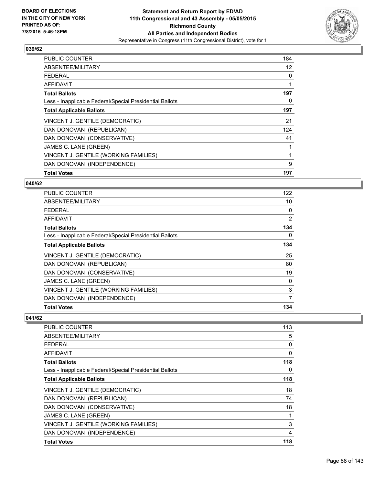

| <b>PUBLIC COUNTER</b>                                    | 184 |
|----------------------------------------------------------|-----|
| ABSENTEE/MILITARY                                        | 12  |
| <b>FEDERAL</b>                                           | 0   |
| AFFIDAVIT                                                | 1   |
| <b>Total Ballots</b>                                     | 197 |
| Less - Inapplicable Federal/Special Presidential Ballots | 0   |
| <b>Total Applicable Ballots</b>                          | 197 |
| VINCENT J. GENTILE (DEMOCRATIC)                          | 21  |
| DAN DONOVAN (REPUBLICAN)                                 | 124 |
| DAN DONOVAN (CONSERVATIVE)                               | 41  |
| JAMES C. LANE (GREEN)                                    | 1   |
| VINCENT J. GENTILE (WORKING FAMILIES)                    | 1   |
| DAN DONOVAN (INDEPENDENCE)                               | 9   |
| <b>Total Votes</b>                                       | 197 |

#### **040/62**

| <b>PUBLIC COUNTER</b>                                    | 122 |
|----------------------------------------------------------|-----|
| ABSENTEE/MILITARY                                        | 10  |
| <b>FEDERAL</b>                                           | 0   |
| AFFIDAVIT                                                | 2   |
| <b>Total Ballots</b>                                     | 134 |
| Less - Inapplicable Federal/Special Presidential Ballots | 0   |
| <b>Total Applicable Ballots</b>                          | 134 |
| VINCENT J. GENTILE (DEMOCRATIC)                          | 25  |
| DAN DONOVAN (REPUBLICAN)                                 | 80  |
| DAN DONOVAN (CONSERVATIVE)                               | 19  |
| JAMES C. LANE (GREEN)                                    | 0   |
| VINCENT J. GENTILE (WORKING FAMILIES)                    | 3   |
| DAN DONOVAN (INDEPENDENCE)                               | 7   |
| <b>Total Votes</b>                                       | 134 |

| <b>PUBLIC COUNTER</b>                                    | 113 |
|----------------------------------------------------------|-----|
| ABSENTEE/MILITARY                                        | 5   |
| <b>FEDERAL</b>                                           | 0   |
| AFFIDAVIT                                                | 0   |
| <b>Total Ballots</b>                                     | 118 |
| Less - Inapplicable Federal/Special Presidential Ballots | 0   |
| <b>Total Applicable Ballots</b>                          | 118 |
| VINCENT J. GENTILE (DEMOCRATIC)                          | 18  |
| DAN DONOVAN (REPUBLICAN)                                 | 74  |
| DAN DONOVAN (CONSERVATIVE)                               | 18  |
| JAMES C. LANE (GREEN)                                    | 1   |
| VINCENT J. GENTILE (WORKING FAMILIES)                    | 3   |
| DAN DONOVAN (INDEPENDENCE)                               | 4   |
| <b>Total Votes</b>                                       | 118 |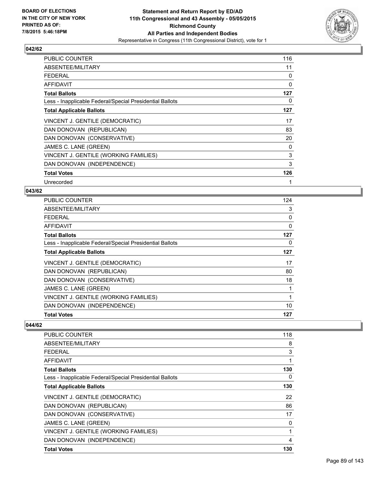

| PUBLIC COUNTER                                           | 116 |
|----------------------------------------------------------|-----|
| ABSENTEE/MILITARY                                        | 11  |
| <b>FEDERAL</b>                                           | 0   |
| AFFIDAVIT                                                | 0   |
| <b>Total Ballots</b>                                     | 127 |
| Less - Inapplicable Federal/Special Presidential Ballots | 0   |
| <b>Total Applicable Ballots</b>                          | 127 |
| VINCENT J. GENTILE (DEMOCRATIC)                          | 17  |
| DAN DONOVAN (REPUBLICAN)                                 | 83  |
| DAN DONOVAN (CONSERVATIVE)                               | 20  |
| JAMES C. LANE (GREEN)                                    | 0   |
| VINCENT J. GENTILE (WORKING FAMILIES)                    | 3   |
| DAN DONOVAN (INDEPENDENCE)                               | 3   |
| <b>Total Votes</b>                                       | 126 |
| Unrecorded                                               | 1   |

#### **043/62**

| PUBLIC COUNTER                                           | 124 |
|----------------------------------------------------------|-----|
| ABSENTEE/MILITARY                                        | 3   |
| <b>FEDERAL</b>                                           | 0   |
| AFFIDAVIT                                                | 0   |
| <b>Total Ballots</b>                                     | 127 |
| Less - Inapplicable Federal/Special Presidential Ballots | 0   |
| <b>Total Applicable Ballots</b>                          | 127 |
| VINCENT J. GENTILE (DEMOCRATIC)                          | 17  |
| DAN DONOVAN (REPUBLICAN)                                 | 80  |
| DAN DONOVAN (CONSERVATIVE)                               | 18  |
| JAMES C. LANE (GREEN)                                    | 1   |
| VINCENT J. GENTILE (WORKING FAMILIES)                    | 1   |
| DAN DONOVAN (INDEPENDENCE)                               | 10  |
| <b>Total Votes</b>                                       | 127 |

| <b>PUBLIC COUNTER</b>                                    | 118 |
|----------------------------------------------------------|-----|
| ABSENTEE/MILITARY                                        | 8   |
| FEDERAL                                                  | 3   |
| AFFIDAVIT                                                | 1   |
| <b>Total Ballots</b>                                     | 130 |
| Less - Inapplicable Federal/Special Presidential Ballots | 0   |
| <b>Total Applicable Ballots</b>                          | 130 |
| VINCENT J. GENTILE (DEMOCRATIC)                          | 22  |
| DAN DONOVAN (REPUBLICAN)                                 | 86  |
| DAN DONOVAN (CONSERVATIVE)                               | 17  |
| JAMES C. LANE (GREEN)                                    | 0   |
| VINCENT J. GENTILE (WORKING FAMILIES)                    | 1   |
| DAN DONOVAN (INDEPENDENCE)                               | 4   |
| <b>Total Votes</b>                                       | 130 |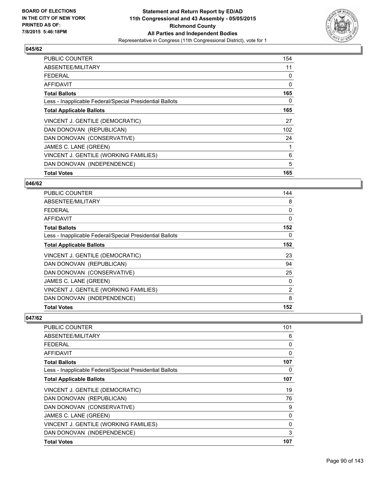

| <b>PUBLIC COUNTER</b>                                    | 154 |
|----------------------------------------------------------|-----|
| ABSENTEE/MILITARY                                        | 11  |
| <b>FEDERAL</b>                                           | 0   |
| AFFIDAVIT                                                | 0   |
| <b>Total Ballots</b>                                     | 165 |
| Less - Inapplicable Federal/Special Presidential Ballots | 0   |
| <b>Total Applicable Ballots</b>                          | 165 |
| VINCENT J. GENTILE (DEMOCRATIC)                          | 27  |
| DAN DONOVAN (REPUBLICAN)                                 | 102 |
| DAN DONOVAN (CONSERVATIVE)                               | 24  |
| JAMES C. LANE (GREEN)                                    | 1   |
| VINCENT J. GENTILE (WORKING FAMILIES)                    | 6   |
| DAN DONOVAN (INDEPENDENCE)                               | 5   |
| <b>Total Votes</b>                                       | 165 |

#### **046/62**

| <b>PUBLIC COUNTER</b>                                    | 144            |
|----------------------------------------------------------|----------------|
| ABSENTEE/MILITARY                                        | 8              |
| <b>FEDERAL</b>                                           | 0              |
| AFFIDAVIT                                                | $\Omega$       |
| <b>Total Ballots</b>                                     | 152            |
| Less - Inapplicable Federal/Special Presidential Ballots | 0              |
| <b>Total Applicable Ballots</b>                          | 152            |
| VINCENT J. GENTILE (DEMOCRATIC)                          | 23             |
| DAN DONOVAN (REPUBLICAN)                                 | 94             |
| DAN DONOVAN (CONSERVATIVE)                               | 25             |
| JAMES C. LANE (GREEN)                                    | 0              |
| VINCENT J. GENTILE (WORKING FAMILIES)                    | $\overline{2}$ |
| DAN DONOVAN (INDEPENDENCE)                               | 8              |
| <b>Total Votes</b>                                       | 152            |

| <b>PUBLIC COUNTER</b>                                    | 101 |
|----------------------------------------------------------|-----|
| ABSENTEE/MILITARY                                        | 6   |
| <b>FEDERAL</b>                                           | 0   |
| <b>AFFIDAVIT</b>                                         | 0   |
| <b>Total Ballots</b>                                     | 107 |
| Less - Inapplicable Federal/Special Presidential Ballots | 0   |
| <b>Total Applicable Ballots</b>                          | 107 |
| VINCENT J. GENTILE (DEMOCRATIC)                          | 19  |
| DAN DONOVAN (REPUBLICAN)                                 | 76  |
| DAN DONOVAN (CONSERVATIVE)                               | 9   |
| JAMES C. LANE (GREEN)                                    | 0   |
| VINCENT J. GENTILE (WORKING FAMILIES)                    | 0   |
| DAN DONOVAN (INDEPENDENCE)                               | 3   |
| <b>Total Votes</b>                                       | 107 |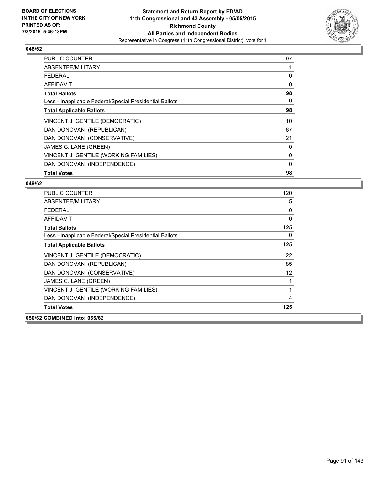

| PUBLIC COUNTER                                           | 97 |
|----------------------------------------------------------|----|
| ABSENTEE/MILITARY                                        |    |
| <b>FEDERAL</b>                                           | 0  |
| AFFIDAVIT                                                | 0  |
| <b>Total Ballots</b>                                     | 98 |
| Less - Inapplicable Federal/Special Presidential Ballots | 0  |
| <b>Total Applicable Ballots</b>                          | 98 |
| VINCENT J. GENTILE (DEMOCRATIC)                          | 10 |
| DAN DONOVAN (REPUBLICAN)                                 | 67 |
| DAN DONOVAN (CONSERVATIVE)                               | 21 |
| JAMES C. LANE (GREEN)                                    | 0  |
| VINCENT J. GENTILE (WORKING FAMILIES)                    | 0  |
| DAN DONOVAN (INDEPENDENCE)                               | 0  |
| <b>Total Votes</b>                                       | 98 |

| <b>PUBLIC COUNTER</b>                                    | 120               |
|----------------------------------------------------------|-------------------|
| ABSENTEE/MILITARY                                        | 5                 |
| FFDFRAL                                                  | 0                 |
| <b>AFFIDAVIT</b>                                         | 0                 |
| <b>Total Ballots</b>                                     | 125               |
| Less - Inapplicable Federal/Special Presidential Ballots | 0                 |
| <b>Total Applicable Ballots</b>                          | 125               |
| VINCENT J. GENTILE (DEMOCRATIC)                          | 22                |
| DAN DONOVAN (REPUBLICAN)                                 | 85                |
| DAN DONOVAN (CONSERVATIVE)                               | $12 \overline{ }$ |
| JAMES C. LANE (GREEN)                                    | 1                 |
| VINCENT J. GENTILE (WORKING FAMILIES)                    | 1                 |
| DAN DONOVAN (INDEPENDENCE)                               | 4                 |
| <b>Total Votes</b>                                       | 125               |
| 050/62 COMBINED into: 055/62                             |                   |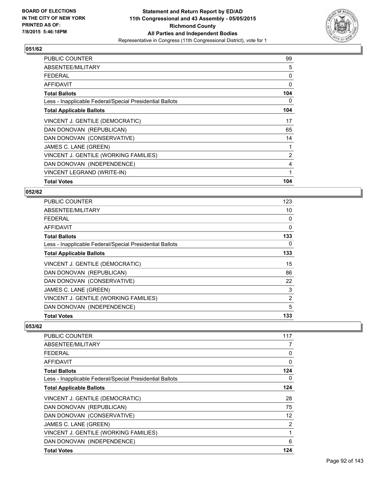

| <b>PUBLIC COUNTER</b>                                    | 99  |
|----------------------------------------------------------|-----|
| ABSENTEE/MILITARY                                        | 5   |
| <b>FEDERAL</b>                                           | 0   |
| <b>AFFIDAVIT</b>                                         | 0   |
| <b>Total Ballots</b>                                     | 104 |
| Less - Inapplicable Federal/Special Presidential Ballots | 0   |
| <b>Total Applicable Ballots</b>                          | 104 |
| VINCENT J. GENTILE (DEMOCRATIC)                          | 17  |
| DAN DONOVAN (REPUBLICAN)                                 | 65  |
| DAN DONOVAN (CONSERVATIVE)                               | 14  |
| JAMES C. LANE (GREEN)                                    | 1   |
| VINCENT J. GENTILE (WORKING FAMILIES)                    | 2   |
| DAN DONOVAN (INDEPENDENCE)                               | 4   |
| VINCENT LEGRAND (WRITE-IN)                               | 1   |
| <b>Total Votes</b>                                       | 104 |

### **052/62**

| <b>PUBLIC COUNTER</b>                                    | 123 |
|----------------------------------------------------------|-----|
| ABSENTEE/MILITARY                                        | 10  |
| <b>FEDERAL</b>                                           | 0   |
| <b>AFFIDAVIT</b>                                         | 0   |
| <b>Total Ballots</b>                                     | 133 |
| Less - Inapplicable Federal/Special Presidential Ballots | 0   |
| <b>Total Applicable Ballots</b>                          | 133 |
| VINCENT J. GENTILE (DEMOCRATIC)                          | 15  |
| DAN DONOVAN (REPUBLICAN)                                 | 86  |
| DAN DONOVAN (CONSERVATIVE)                               | 22  |
| JAMES C. LANE (GREEN)                                    | 3   |
| VINCENT J. GENTILE (WORKING FAMILIES)                    | 2   |
| DAN DONOVAN (INDEPENDENCE)                               | 5   |
| <b>Total Votes</b>                                       | 133 |

| <b>PUBLIC COUNTER</b>                                    | 117            |
|----------------------------------------------------------|----------------|
| ABSENTEE/MILITARY                                        | 7              |
| FFDFRAI                                                  | 0              |
| AFFIDAVIT                                                | 0              |
| <b>Total Ballots</b>                                     | 124            |
| Less - Inapplicable Federal/Special Presidential Ballots | 0              |
| <b>Total Applicable Ballots</b>                          | 124            |
| VINCENT J. GENTILE (DEMOCRATIC)                          | 28             |
| DAN DONOVAN (REPUBLICAN)                                 | 75             |
| DAN DONOVAN (CONSERVATIVE)                               | 12             |
| JAMES C. LANE (GREEN)                                    | $\overline{2}$ |
| VINCENT J. GENTILE (WORKING FAMILIES)                    | 1              |
| DAN DONOVAN (INDEPENDENCE)                               | 6              |
| <b>Total Votes</b>                                       | 124            |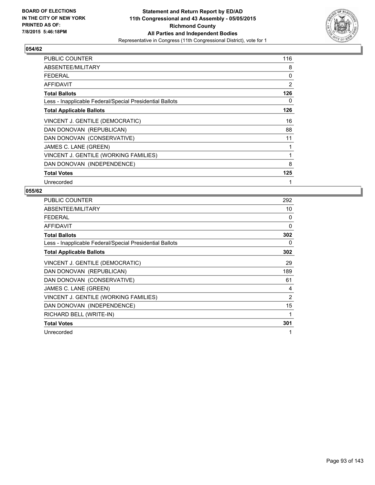

| PUBLIC COUNTER                                           | 116          |
|----------------------------------------------------------|--------------|
| ABSENTEE/MILITARY                                        | 8            |
| <b>FEDERAL</b>                                           | 0            |
| <b>AFFIDAVIT</b>                                         | 2            |
| <b>Total Ballots</b>                                     | 126          |
| Less - Inapplicable Federal/Special Presidential Ballots | 0            |
| <b>Total Applicable Ballots</b>                          | 126          |
| VINCENT J. GENTILE (DEMOCRATIC)                          | 16           |
| DAN DONOVAN (REPUBLICAN)                                 | 88           |
| DAN DONOVAN (CONSERVATIVE)                               | 11           |
| JAMES C. LANE (GREEN)                                    | 1            |
| VINCENT J. GENTILE (WORKING FAMILIES)                    | 1            |
| DAN DONOVAN (INDEPENDENCE)                               | 8            |
| <b>Total Votes</b>                                       | 125          |
| Unrecorded                                               | $\mathbf{1}$ |

| <b>PUBLIC COUNTER</b>                                    | 292 |
|----------------------------------------------------------|-----|
| ABSENTEE/MILITARY                                        | 10  |
| <b>FEDERAL</b>                                           | 0   |
| <b>AFFIDAVIT</b>                                         | 0   |
| <b>Total Ballots</b>                                     | 302 |
| Less - Inapplicable Federal/Special Presidential Ballots | 0   |
| <b>Total Applicable Ballots</b>                          | 302 |
| VINCENT J. GENTILE (DEMOCRATIC)                          | 29  |
| DAN DONOVAN (REPUBLICAN)                                 | 189 |
| DAN DONOVAN (CONSERVATIVE)                               | 61  |
| JAMES C. LANE (GREEN)                                    | 4   |
| VINCENT J. GENTILE (WORKING FAMILIES)                    | 2   |
| DAN DONOVAN (INDEPENDENCE)                               | 15  |
| RICHARD BELL (WRITE-IN)                                  | 1   |
| <b>Total Votes</b>                                       | 301 |
| Unrecorded                                               | 1   |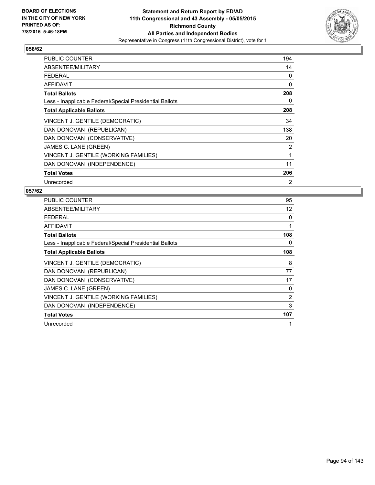

| PUBLIC COUNTER                                           | 194 |
|----------------------------------------------------------|-----|
| ABSENTEE/MILITARY                                        | 14  |
| <b>FEDERAL</b>                                           | 0   |
| <b>AFFIDAVIT</b>                                         | 0   |
| <b>Total Ballots</b>                                     | 208 |
| Less - Inapplicable Federal/Special Presidential Ballots | 0   |
| <b>Total Applicable Ballots</b>                          | 208 |
| VINCENT J. GENTILE (DEMOCRATIC)                          | 34  |
| DAN DONOVAN (REPUBLICAN)                                 | 138 |
| DAN DONOVAN (CONSERVATIVE)                               | 20  |
| JAMES C. LANE (GREEN)                                    | 2   |
| VINCENT J. GENTILE (WORKING FAMILIES)                    | 1   |
| DAN DONOVAN (INDEPENDENCE)                               | 11  |
| <b>Total Votes</b>                                       | 206 |
| Unrecorded                                               | 2   |

| <b>PUBLIC COUNTER</b>                                    | 95  |
|----------------------------------------------------------|-----|
| ABSENTEE/MILITARY                                        | 12  |
| <b>FEDERAL</b>                                           | 0   |
| <b>AFFIDAVIT</b>                                         | 1   |
| <b>Total Ballots</b>                                     | 108 |
| Less - Inapplicable Federal/Special Presidential Ballots | 0   |
| <b>Total Applicable Ballots</b>                          | 108 |
| VINCENT J. GENTILE (DEMOCRATIC)                          | 8   |
| DAN DONOVAN (REPUBLICAN)                                 | 77  |
| DAN DONOVAN (CONSERVATIVE)                               | 17  |
| JAMES C. LANE (GREEN)                                    | 0   |
| VINCENT J. GENTILE (WORKING FAMILIES)                    | 2   |
| DAN DONOVAN (INDEPENDENCE)                               | 3   |
| <b>Total Votes</b>                                       | 107 |
| Unrecorded                                               | 1   |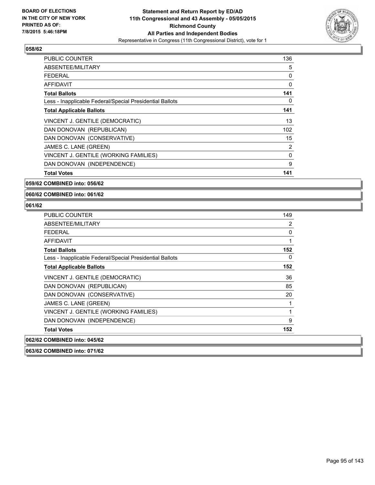

| <b>PUBLIC COUNTER</b>                                    | 136      |
|----------------------------------------------------------|----------|
| ABSENTEE/MILITARY                                        | 5        |
| FEDERAL                                                  | 0        |
| AFFIDAVIT                                                | 0        |
| <b>Total Ballots</b>                                     | 141      |
| Less - Inapplicable Federal/Special Presidential Ballots | 0        |
| <b>Total Applicable Ballots</b>                          | 141      |
| VINCENT J. GENTILE (DEMOCRATIC)                          | 13       |
| DAN DONOVAN (REPUBLICAN)                                 | 102      |
| DAN DONOVAN (CONSERVATIVE)                               | 15       |
| JAMES C. LANE (GREEN)                                    | 2        |
| VINCENT J. GENTILE (WORKING FAMILIES)                    | $\Omega$ |
| DAN DONOVAN (INDEPENDENCE)                               | 9        |
| <b>Total Votes</b>                                       | 141      |

**059/62 COMBINED into: 056/62**

**060/62 COMBINED into: 061/62**

### **061/62**

| <b>PUBLIC COUNTER</b>                                    | 149 |
|----------------------------------------------------------|-----|
| ABSENTEE/MILITARY                                        | 2   |
| <b>FEDERAL</b>                                           | 0   |
| AFFIDAVIT                                                | 1   |
| <b>Total Ballots</b>                                     | 152 |
| Less - Inapplicable Federal/Special Presidential Ballots | 0   |
| <b>Total Applicable Ballots</b>                          | 152 |
| VINCENT J. GENTILE (DEMOCRATIC)                          | 36  |
| DAN DONOVAN (REPUBLICAN)                                 | 85  |
| DAN DONOVAN (CONSERVATIVE)                               | 20  |
| JAMES C. LANE (GREEN)                                    | 1   |
| VINCENT J. GENTILE (WORKING FAMILIES)                    | 1   |
| DAN DONOVAN (INDEPENDENCE)                               | 9   |
| <b>Total Votes</b>                                       | 152 |
| 062/62 COMBINED into: 045/62                             |     |
|                                                          |     |

**063/62 COMBINED into: 071/62**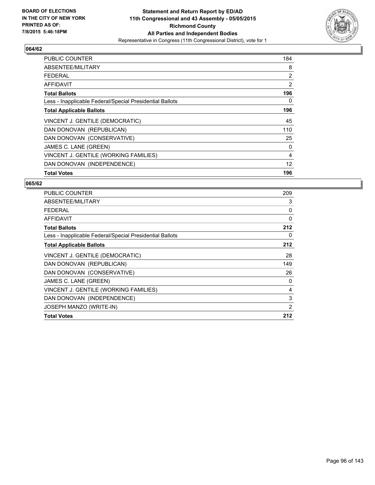

| <b>PUBLIC COUNTER</b>                                    | 184               |
|----------------------------------------------------------|-------------------|
| ABSENTEE/MILITARY                                        | 8                 |
| <b>FEDERAL</b>                                           | 2                 |
| AFFIDAVIT                                                | 2                 |
| <b>Total Ballots</b>                                     | 196               |
| Less - Inapplicable Federal/Special Presidential Ballots | 0                 |
| <b>Total Applicable Ballots</b>                          | 196               |
| VINCENT J. GENTILE (DEMOCRATIC)                          | 45                |
| DAN DONOVAN (REPUBLICAN)                                 | 110               |
| DAN DONOVAN (CONSERVATIVE)                               | 25                |
| JAMES C. LANE (GREEN)                                    | 0                 |
| VINCENT J. GENTILE (WORKING FAMILIES)                    | 4                 |
| DAN DONOVAN (INDEPENDENCE)                               | $12 \overline{ }$ |
| <b>Total Votes</b>                                       | 196               |

| <b>PUBLIC COUNTER</b>                                    | 209 |
|----------------------------------------------------------|-----|
| ABSENTEE/MILITARY                                        | 3   |
| <b>FEDERAL</b>                                           | 0   |
| <b>AFFIDAVIT</b>                                         | 0   |
| <b>Total Ballots</b>                                     | 212 |
| Less - Inapplicable Federal/Special Presidential Ballots | 0   |
| <b>Total Applicable Ballots</b>                          | 212 |
| VINCENT J. GENTILE (DEMOCRATIC)                          | 28  |
| DAN DONOVAN (REPUBLICAN)                                 | 149 |
| DAN DONOVAN (CONSERVATIVE)                               | 26  |
| JAMES C. LANE (GREEN)                                    | 0   |
| VINCENT J. GENTILE (WORKING FAMILIES)                    | 4   |
| DAN DONOVAN (INDEPENDENCE)                               | 3   |
| JOSEPH MANZO (WRITE-IN)                                  | 2   |
| <b>Total Votes</b>                                       | 212 |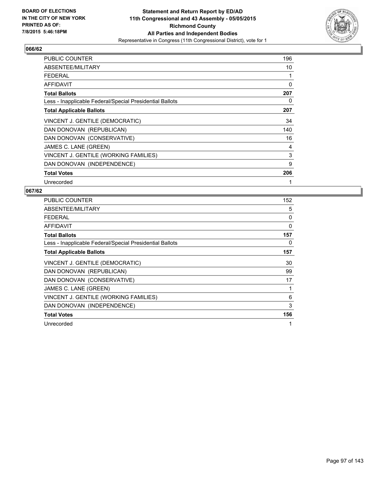

| <b>PUBLIC COUNTER</b>                                    | 196 |
|----------------------------------------------------------|-----|
| ABSENTEE/MILITARY                                        | 10  |
| <b>FEDERAL</b>                                           | 1   |
| AFFIDAVIT                                                | 0   |
| <b>Total Ballots</b>                                     | 207 |
| Less - Inapplicable Federal/Special Presidential Ballots | 0   |
| <b>Total Applicable Ballots</b>                          | 207 |
| VINCENT J. GENTILE (DEMOCRATIC)                          | 34  |
| DAN DONOVAN (REPUBLICAN)                                 | 140 |
| DAN DONOVAN (CONSERVATIVE)                               | 16  |
| JAMES C. LANE (GREEN)                                    | 4   |
| VINCENT J. GENTILE (WORKING FAMILIES)                    | 3   |
| DAN DONOVAN (INDEPENDENCE)                               | 9   |
| <b>Total Votes</b>                                       | 206 |
| Unrecorded                                               | 1   |

| <b>PUBLIC COUNTER</b>                                    | 152 |
|----------------------------------------------------------|-----|
| ABSENTEE/MILITARY                                        | 5   |
| <b>FEDERAL</b>                                           | 0   |
| <b>AFFIDAVIT</b>                                         | 0   |
| <b>Total Ballots</b>                                     | 157 |
| Less - Inapplicable Federal/Special Presidential Ballots | 0   |
| <b>Total Applicable Ballots</b>                          | 157 |
| VINCENT J. GENTILE (DEMOCRATIC)                          | 30  |
| DAN DONOVAN (REPUBLICAN)                                 | 99  |
| DAN DONOVAN (CONSERVATIVE)                               | 17  |
| JAMES C. LANE (GREEN)                                    | 1   |
| VINCENT J. GENTILE (WORKING FAMILIES)                    | 6   |
| DAN DONOVAN (INDEPENDENCE)                               | 3   |
| <b>Total Votes</b>                                       | 156 |
| Unrecorded                                               | 1   |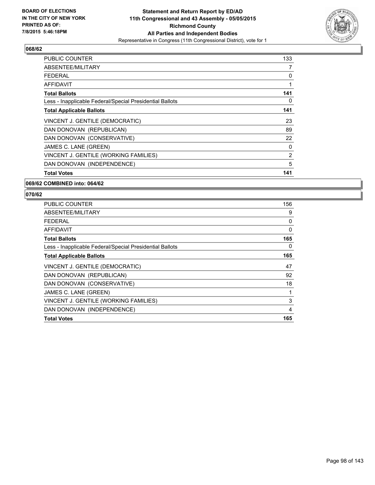

| <b>PUBLIC COUNTER</b>                                    | 133 |
|----------------------------------------------------------|-----|
| ABSENTEE/MILITARY                                        | 7   |
| <b>FEDERAL</b>                                           | 0   |
| AFFIDAVIT                                                | 1   |
| <b>Total Ballots</b>                                     | 141 |
| Less - Inapplicable Federal/Special Presidential Ballots | 0   |
| <b>Total Applicable Ballots</b>                          | 141 |
| VINCENT J. GENTILE (DEMOCRATIC)                          | 23  |
| DAN DONOVAN (REPUBLICAN)                                 | 89  |
| DAN DONOVAN (CONSERVATIVE)                               | 22  |
| JAMES C. LANE (GREEN)                                    | 0   |
| VINCENT J. GENTILE (WORKING FAMILIES)                    | 2   |
| DAN DONOVAN (INDEPENDENCE)                               | 5   |
| <b>Total Votes</b>                                       | 141 |

#### **069/62 COMBINED into: 064/62**

| <b>PUBLIC COUNTER</b>                                    | 156 |
|----------------------------------------------------------|-----|
| ABSENTEE/MILITARY                                        | 9   |
| FEDERAL                                                  | 0   |
| <b>AFFIDAVIT</b>                                         | 0   |
| <b>Total Ballots</b>                                     | 165 |
| Less - Inapplicable Federal/Special Presidential Ballots | 0   |
| <b>Total Applicable Ballots</b>                          | 165 |
| VINCENT J. GENTILE (DEMOCRATIC)                          | 47  |
| DAN DONOVAN (REPUBLICAN)                                 | 92  |
| DAN DONOVAN (CONSERVATIVE)                               | 18  |
| JAMES C. LANE (GREEN)                                    | 1   |
| VINCENT J. GENTILE (WORKING FAMILIES)                    | 3   |
| DAN DONOVAN (INDEPENDENCE)                               | 4   |
| <b>Total Votes</b>                                       | 165 |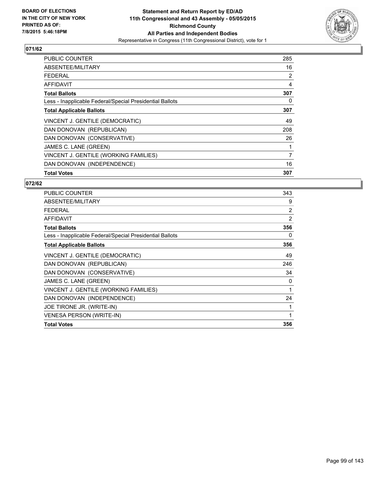

| PUBLIC COUNTER                                           | 285 |
|----------------------------------------------------------|-----|
| ABSENTEE/MILITARY                                        | 16  |
| <b>FEDERAL</b>                                           | 2   |
| AFFIDAVIT                                                | 4   |
| <b>Total Ballots</b>                                     | 307 |
| Less - Inapplicable Federal/Special Presidential Ballots | 0   |
| <b>Total Applicable Ballots</b>                          | 307 |
| VINCENT J. GENTILE (DEMOCRATIC)                          | 49  |
| DAN DONOVAN (REPUBLICAN)                                 | 208 |
| DAN DONOVAN (CONSERVATIVE)                               | 26  |
| JAMES C. LANE (GREEN)                                    |     |
| VINCENT J. GENTILE (WORKING FAMILIES)                    | 7   |
| DAN DONOVAN (INDEPENDENCE)                               | 16  |
| <b>Total Votes</b>                                       | 307 |

| <b>PUBLIC COUNTER</b>                                    | 343            |
|----------------------------------------------------------|----------------|
| ABSENTEE/MILITARY                                        | 9              |
| <b>FEDERAL</b>                                           | $\overline{2}$ |
| <b>AFFIDAVIT</b>                                         | $\overline{2}$ |
| <b>Total Ballots</b>                                     | 356            |
| Less - Inapplicable Federal/Special Presidential Ballots | 0              |
| <b>Total Applicable Ballots</b>                          | 356            |
| VINCENT J. GENTILE (DEMOCRATIC)                          | 49             |
| DAN DONOVAN (REPUBLICAN)                                 | 246            |
| DAN DONOVAN (CONSERVATIVE)                               | 34             |
| JAMES C. LANE (GREEN)                                    | 0              |
| VINCENT J. GENTILE (WORKING FAMILIES)                    | 1              |
| DAN DONOVAN (INDEPENDENCE)                               | 24             |
| JOE TIRONE JR. (WRITE-IN)                                |                |
| <b>VENESA PERSON (WRITE-IN)</b>                          | 1              |
| <b>Total Votes</b>                                       | 356            |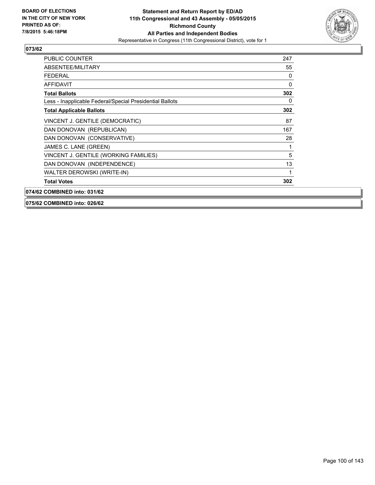

| <b>PUBLIC COUNTER</b>                                    | 247          |
|----------------------------------------------------------|--------------|
| ABSENTEE/MILITARY                                        | 55           |
| <b>FEDERAL</b>                                           | 0            |
| AFFIDAVIT                                                | $\mathbf{0}$ |
| <b>Total Ballots</b>                                     | 302          |
| Less - Inapplicable Federal/Special Presidential Ballots | 0            |
| <b>Total Applicable Ballots</b>                          | 302          |
| VINCENT J. GENTILE (DEMOCRATIC)                          | 87           |
| DAN DONOVAN (REPUBLICAN)                                 | 167          |
| DAN DONOVAN (CONSERVATIVE)                               | 28           |
| JAMES C. LANE (GREEN)                                    |              |
| VINCENT J. GENTILE (WORKING FAMILIES)                    | 5            |
| DAN DONOVAN (INDEPENDENCE)                               | 13           |
| WALTER DEROWSKI (WRITE-IN)                               | 1            |
| <b>Total Votes</b>                                       | 302          |
| 074/62 COMBINED into: 031/62                             |              |

**075/62 COMBINED into: 026/62**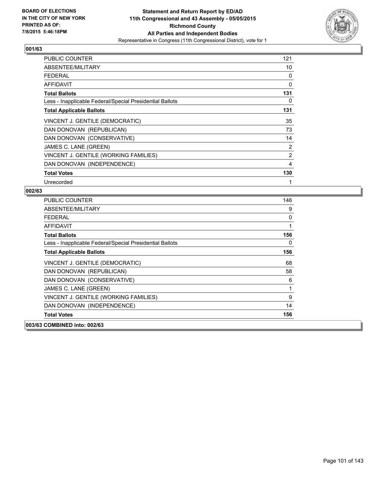

| PUBLIC COUNTER                                           | 121 |
|----------------------------------------------------------|-----|
| ABSENTEE/MILITARY                                        | 10  |
| FEDERAL                                                  | 0   |
| <b>AFFIDAVIT</b>                                         | 0   |
| <b>Total Ballots</b>                                     | 131 |
| Less - Inapplicable Federal/Special Presidential Ballots | 0   |
| <b>Total Applicable Ballots</b>                          | 131 |
| VINCENT J. GENTILE (DEMOCRATIC)                          | 35  |
| DAN DONOVAN (REPUBLICAN)                                 | 73  |
| DAN DONOVAN (CONSERVATIVE)                               | 14  |
| JAMES C. LANE (GREEN)                                    | 2   |
| VINCENT J. GENTILE (WORKING FAMILIES)                    | 2   |
| DAN DONOVAN (INDEPENDENCE)                               | 4   |
| <b>Total Votes</b>                                       | 130 |
| Unrecorded                                               | 1   |

| <b>PUBLIC COUNTER</b>                                    | 146 |
|----------------------------------------------------------|-----|
| ABSENTEE/MILITARY                                        | 9   |
| <b>FEDERAL</b>                                           | 0   |
| <b>AFFIDAVIT</b>                                         | 1   |
| <b>Total Ballots</b>                                     | 156 |
| Less - Inapplicable Federal/Special Presidential Ballots | 0   |
| <b>Total Applicable Ballots</b>                          | 156 |
| VINCENT J. GENTILE (DEMOCRATIC)                          | 68  |
| DAN DONOVAN (REPUBLICAN)                                 | 58  |
| DAN DONOVAN (CONSERVATIVE)                               | 6   |
| JAMES C. LANE (GREEN)                                    | 1   |
| VINCENT J. GENTILE (WORKING FAMILIES)                    | 9   |
| DAN DONOVAN (INDEPENDENCE)                               | 14  |
| <b>Total Votes</b>                                       | 156 |
| 003/63 COMBINED into: 002/63                             |     |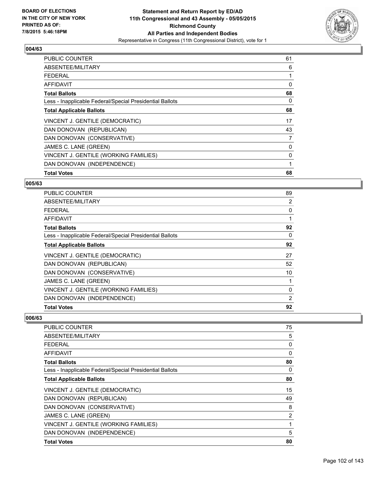

| <b>PUBLIC COUNTER</b>                                    | 61 |
|----------------------------------------------------------|----|
| ABSENTEE/MILITARY                                        | 6  |
| <b>FEDERAL</b>                                           | 1  |
| AFFIDAVIT                                                | 0  |
| <b>Total Ballots</b>                                     | 68 |
| Less - Inapplicable Federal/Special Presidential Ballots | 0  |
| <b>Total Applicable Ballots</b>                          | 68 |
| VINCENT J. GENTILE (DEMOCRATIC)                          | 17 |
| DAN DONOVAN (REPUBLICAN)                                 | 43 |
| DAN DONOVAN (CONSERVATIVE)                               | 7  |
| JAMES C. LANE (GREEN)                                    | 0  |
| VINCENT J. GENTILE (WORKING FAMILIES)                    | 0  |
| DAN DONOVAN (INDEPENDENCE)                               | 1  |
| <b>Total Votes</b>                                       | 68 |

#### **005/63**

| PUBLIC COUNTER                                           | 89 |
|----------------------------------------------------------|----|
| ABSENTEE/MILITARY                                        | 2  |
| <b>FEDERAL</b>                                           | 0  |
| AFFIDAVIT                                                |    |
| <b>Total Ballots</b>                                     | 92 |
| Less - Inapplicable Federal/Special Presidential Ballots | 0  |
| <b>Total Applicable Ballots</b>                          | 92 |
| VINCENT J. GENTILE (DEMOCRATIC)                          | 27 |
| DAN DONOVAN (REPUBLICAN)                                 | 52 |
| DAN DONOVAN (CONSERVATIVE)                               | 10 |
| JAMES C. LANE (GREEN)                                    |    |
| VINCENT J. GENTILE (WORKING FAMILIES)                    | 0  |
| DAN DONOVAN (INDEPENDENCE)                               | 2  |
| <b>Total Votes</b>                                       | 92 |

| <b>PUBLIC COUNTER</b>                                    | 75 |
|----------------------------------------------------------|----|
| ABSENTEE/MILITARY                                        | 5  |
| <b>FEDERAL</b>                                           | 0  |
| AFFIDAVIT                                                | 0  |
| <b>Total Ballots</b>                                     | 80 |
| Less - Inapplicable Federal/Special Presidential Ballots | 0  |
| <b>Total Applicable Ballots</b>                          | 80 |
| VINCENT J. GENTILE (DEMOCRATIC)                          | 15 |
| DAN DONOVAN (REPUBLICAN)                                 | 49 |
| DAN DONOVAN (CONSERVATIVE)                               | 8  |
| JAMES C. LANE (GREEN)                                    | 2  |
| VINCENT J. GENTILE (WORKING FAMILIES)                    | 1  |
| DAN DONOVAN (INDEPENDENCE)                               | 5  |
| <b>Total Votes</b>                                       | 80 |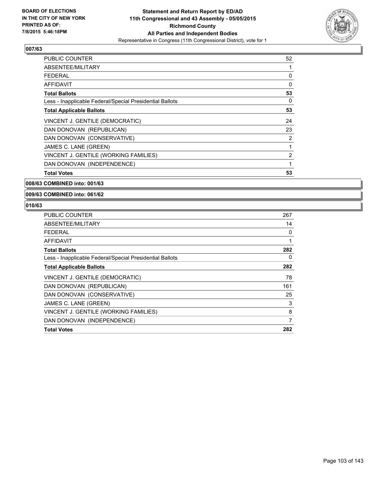

| <b>PUBLIC COUNTER</b>                                    | 52 |
|----------------------------------------------------------|----|
| ABSENTEE/MILITARY                                        | 1  |
| <b>FEDERAL</b>                                           | 0  |
| AFFIDAVIT                                                | 0  |
| <b>Total Ballots</b>                                     | 53 |
| Less - Inapplicable Federal/Special Presidential Ballots | 0  |
| <b>Total Applicable Ballots</b>                          | 53 |
| VINCENT J. GENTILE (DEMOCRATIC)                          | 24 |
| DAN DONOVAN (REPUBLICAN)                                 | 23 |
| DAN DONOVAN (CONSERVATIVE)                               | 2  |
| JAMES C. LANE (GREEN)                                    | 1  |
| VINCENT J. GENTILE (WORKING FAMILIES)                    | 2  |
| DAN DONOVAN (INDEPENDENCE)                               | 1  |
| <b>Total Votes</b>                                       | 53 |

**008/63 COMBINED into: 001/63**

**009/63 COMBINED into: 061/62**

| <b>PUBLIC COUNTER</b>                                    | 267 |
|----------------------------------------------------------|-----|
| ABSENTEE/MILITARY                                        | 14  |
| <b>FEDERAL</b>                                           | 0   |
| AFFIDAVIT                                                |     |
| <b>Total Ballots</b>                                     | 282 |
| Less - Inapplicable Federal/Special Presidential Ballots | 0   |
| <b>Total Applicable Ballots</b>                          | 282 |
| VINCENT J. GENTILE (DEMOCRATIC)                          | 78  |
| DAN DONOVAN (REPUBLICAN)                                 | 161 |
| DAN DONOVAN (CONSERVATIVE)                               | 25  |
| JAMES C. LANE (GREEN)                                    | 3   |
| VINCENT J. GENTILE (WORKING FAMILIES)                    | 8   |
| DAN DONOVAN (INDEPENDENCE)                               | 7   |
| <b>Total Votes</b>                                       | 282 |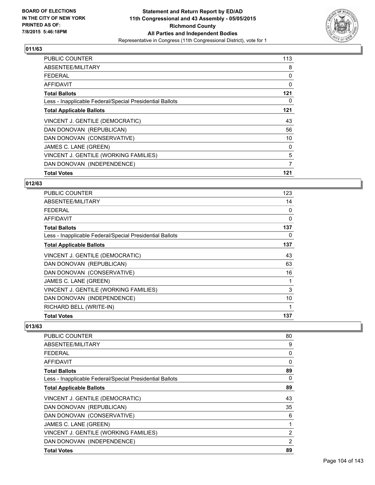

| <b>PUBLIC COUNTER</b>                                    | 113 |
|----------------------------------------------------------|-----|
| ABSENTEE/MILITARY                                        | 8   |
| <b>FEDERAL</b>                                           | 0   |
| AFFIDAVIT                                                | 0   |
| <b>Total Ballots</b>                                     | 121 |
| Less - Inapplicable Federal/Special Presidential Ballots | 0   |
| <b>Total Applicable Ballots</b>                          | 121 |
| VINCENT J. GENTILE (DEMOCRATIC)                          | 43  |
| DAN DONOVAN (REPUBLICAN)                                 | 56  |
| DAN DONOVAN (CONSERVATIVE)                               | 10  |
| JAMES C. LANE (GREEN)                                    | 0   |
| VINCENT J. GENTILE (WORKING FAMILIES)                    | 5   |
| DAN DONOVAN (INDEPENDENCE)                               | 7   |
| <b>Total Votes</b>                                       | 121 |

#### **012/63**

| PUBLIC COUNTER                                           | 123 |
|----------------------------------------------------------|-----|
| ABSENTEE/MILITARY                                        | 14  |
| <b>FEDERAL</b>                                           | 0   |
| <b>AFFIDAVIT</b>                                         | 0   |
| <b>Total Ballots</b>                                     | 137 |
| Less - Inapplicable Federal/Special Presidential Ballots | 0   |
| <b>Total Applicable Ballots</b>                          | 137 |
| VINCENT J. GENTILE (DEMOCRATIC)                          | 43  |
| DAN DONOVAN (REPUBLICAN)                                 | 63  |
| DAN DONOVAN (CONSERVATIVE)                               | 16  |
| JAMES C. LANE (GREEN)                                    | 1   |
| VINCENT J. GENTILE (WORKING FAMILIES)                    | 3   |
| DAN DONOVAN (INDEPENDENCE)                               | 10  |
| RICHARD BELL (WRITE-IN)                                  | 1   |
| <b>Total Votes</b>                                       | 137 |

| <b>PUBLIC COUNTER</b>                                    | 80             |
|----------------------------------------------------------|----------------|
| ABSENTEE/MILITARY                                        | 9              |
| <b>FEDERAL</b>                                           | 0              |
| AFFIDAVIT                                                | 0              |
| <b>Total Ballots</b>                                     | 89             |
| Less - Inapplicable Federal/Special Presidential Ballots | 0              |
| <b>Total Applicable Ballots</b>                          | 89             |
| VINCENT J. GENTILE (DEMOCRATIC)                          | 43             |
| DAN DONOVAN (REPUBLICAN)                                 | 35             |
| DAN DONOVAN (CONSERVATIVE)                               | 6              |
| JAMES C. LANE (GREEN)                                    | 1              |
| VINCENT J. GENTILE (WORKING FAMILIES)                    | $\overline{2}$ |
| DAN DONOVAN (INDEPENDENCE)                               | 2              |
| <b>Total Votes</b>                                       | 89             |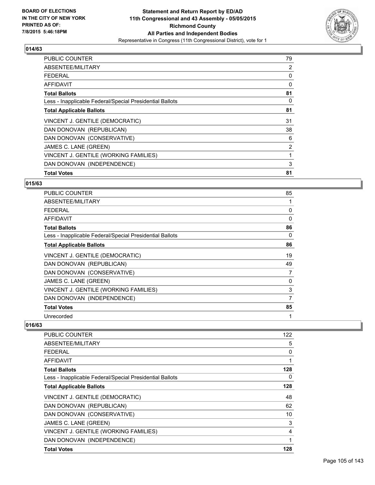

| <b>PUBLIC COUNTER</b>                                    | 79 |
|----------------------------------------------------------|----|
| ABSENTEE/MILITARY                                        | 2  |
| <b>FEDERAL</b>                                           | 0  |
| AFFIDAVIT                                                | 0  |
| <b>Total Ballots</b>                                     | 81 |
| Less - Inapplicable Federal/Special Presidential Ballots | 0  |
| <b>Total Applicable Ballots</b>                          | 81 |
| VINCENT J. GENTILE (DEMOCRATIC)                          | 31 |
| DAN DONOVAN (REPUBLICAN)                                 | 38 |
| DAN DONOVAN (CONSERVATIVE)                               | 6  |
| JAMES C. LANE (GREEN)                                    | 2  |
| VINCENT J. GENTILE (WORKING FAMILIES)                    | 1  |
| DAN DONOVAN (INDEPENDENCE)                               | 3  |
| <b>Total Votes</b>                                       | 81 |

#### **015/63**

| <b>PUBLIC COUNTER</b>                                    | 85 |
|----------------------------------------------------------|----|
| ABSENTEE/MILITARY                                        |    |
| <b>FEDERAL</b>                                           | 0  |
| AFFIDAVIT                                                | 0  |
| <b>Total Ballots</b>                                     | 86 |
| Less - Inapplicable Federal/Special Presidential Ballots | 0  |
| <b>Total Applicable Ballots</b>                          | 86 |
| VINCENT J. GENTILE (DEMOCRATIC)                          | 19 |
| DAN DONOVAN (REPUBLICAN)                                 | 49 |
| DAN DONOVAN (CONSERVATIVE)                               | 7  |
| JAMES C. LANE (GREEN)                                    | 0  |
| VINCENT J. GENTILE (WORKING FAMILIES)                    | 3  |
| DAN DONOVAN (INDEPENDENCE)                               | 7  |
| <b>Total Votes</b>                                       | 85 |
| Unrecorded                                               | 1  |

| <b>PUBLIC COUNTER</b>                                    | 122 |
|----------------------------------------------------------|-----|
| ABSENTEE/MILITARY                                        | 5   |
| <b>FEDERAL</b>                                           | 0   |
| AFFIDAVIT                                                | 1   |
| <b>Total Ballots</b>                                     | 128 |
| Less - Inapplicable Federal/Special Presidential Ballots | 0   |
| <b>Total Applicable Ballots</b>                          | 128 |
| VINCENT J. GENTILE (DEMOCRATIC)                          | 48  |
| DAN DONOVAN (REPUBLICAN)                                 | 62  |
| DAN DONOVAN (CONSERVATIVE)                               | 10  |
| JAMES C. LANE (GREEN)                                    | 3   |
| VINCENT J. GENTILE (WORKING FAMILIES)                    | 4   |
| DAN DONOVAN (INDEPENDENCE)                               | 1   |
| <b>Total Votes</b>                                       | 128 |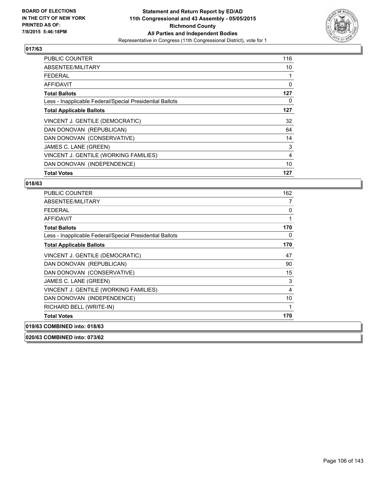

| <b>PUBLIC COUNTER</b>                                    | 116 |
|----------------------------------------------------------|-----|
| ABSENTEE/MILITARY                                        | 10  |
| <b>FEDERAL</b>                                           | 1   |
| AFFIDAVIT                                                | 0   |
| <b>Total Ballots</b>                                     | 127 |
| Less - Inapplicable Federal/Special Presidential Ballots | 0   |
| <b>Total Applicable Ballots</b>                          | 127 |
| VINCENT J. GENTILE (DEMOCRATIC)                          | 32  |
| DAN DONOVAN (REPUBLICAN)                                 | 64  |
| DAN DONOVAN (CONSERVATIVE)                               | 14  |
| JAMES C. LANE (GREEN)                                    | 3   |
| VINCENT J. GENTILE (WORKING FAMILIES)                    | 4   |
| DAN DONOVAN (INDEPENDENCE)                               | 10  |
| <b>Total Votes</b>                                       | 127 |

#### **018/63**

| <b>PUBLIC COUNTER</b>                                    | 162 |
|----------------------------------------------------------|-----|
| ABSENTEE/MILITARY                                        | 7   |
| <b>FEDERAL</b>                                           | 0   |
| <b>AFFIDAVIT</b>                                         | 1   |
| <b>Total Ballots</b>                                     | 170 |
| Less - Inapplicable Federal/Special Presidential Ballots | 0   |
| <b>Total Applicable Ballots</b>                          | 170 |
| VINCENT J. GENTILE (DEMOCRATIC)                          | 47  |
| DAN DONOVAN (REPUBLICAN)                                 | 90  |
| DAN DONOVAN (CONSERVATIVE)                               | 15  |
| JAMES C. LANE (GREEN)                                    | 3   |
| VINCENT J. GENTILE (WORKING FAMILIES)                    | 4   |
| DAN DONOVAN (INDEPENDENCE)                               | 10  |
| RICHARD BELL (WRITE-IN)                                  | 1   |
| <b>Total Votes</b>                                       | 170 |
| 019/63 COMBINED into: 018/63                             |     |

**020/63 COMBINED into: 073/62**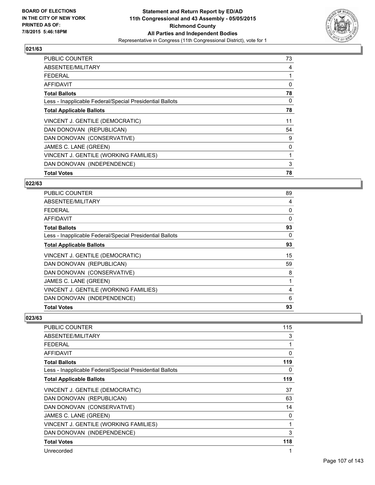

| <b>PUBLIC COUNTER</b>                                    | 73 |
|----------------------------------------------------------|----|
| ABSENTEE/MILITARY                                        | 4  |
| <b>FEDERAL</b>                                           |    |
| AFFIDAVIT                                                | 0  |
| <b>Total Ballots</b>                                     | 78 |
| Less - Inapplicable Federal/Special Presidential Ballots | 0  |
| <b>Total Applicable Ballots</b>                          | 78 |
| VINCENT J. GENTILE (DEMOCRATIC)                          | 11 |
| DAN DONOVAN (REPUBLICAN)                                 | 54 |
| DAN DONOVAN (CONSERVATIVE)                               | 9  |
| JAMES C. LANE (GREEN)                                    | 0  |
| VINCENT J. GENTILE (WORKING FAMILIES)                    | 1  |
| DAN DONOVAN (INDEPENDENCE)                               | 3  |
| <b>Total Votes</b>                                       | 78 |

#### **022/63**

| <b>PUBLIC COUNTER</b>                                    | 89       |
|----------------------------------------------------------|----------|
| ABSENTEE/MILITARY                                        | 4        |
| <b>FEDERAL</b>                                           | 0        |
| <b>AFFIDAVIT</b>                                         | $\Omega$ |
| <b>Total Ballots</b>                                     | 93       |
| Less - Inapplicable Federal/Special Presidential Ballots | 0        |
| <b>Total Applicable Ballots</b>                          | 93       |
| VINCENT J. GENTILE (DEMOCRATIC)                          | 15       |
| DAN DONOVAN (REPUBLICAN)                                 | 59       |
| DAN DONOVAN (CONSERVATIVE)                               | 8        |
| JAMES C. LANE (GREEN)                                    | 1        |
| VINCENT J. GENTILE (WORKING FAMILIES)                    | 4        |
| DAN DONOVAN (INDEPENDENCE)                               | 6        |
| <b>Total Votes</b>                                       | 93       |

| PUBLIC COUNTER                                           | 115 |
|----------------------------------------------------------|-----|
| ABSENTEE/MILITARY                                        | 3   |
| <b>FEDERAL</b>                                           | 1   |
| AFFIDAVIT                                                | 0   |
| <b>Total Ballots</b>                                     | 119 |
| Less - Inapplicable Federal/Special Presidential Ballots | 0   |
| <b>Total Applicable Ballots</b>                          | 119 |
| VINCENT J. GENTILE (DEMOCRATIC)                          | 37  |
| DAN DONOVAN (REPUBLICAN)                                 | 63  |
| DAN DONOVAN (CONSERVATIVE)                               | 14  |
| JAMES C. LANE (GREEN)                                    | 0   |
| VINCENT J. GENTILE (WORKING FAMILIES)                    | 1   |
| DAN DONOVAN (INDEPENDENCE)                               | 3   |
| <b>Total Votes</b>                                       | 118 |
| Unrecorded                                               |     |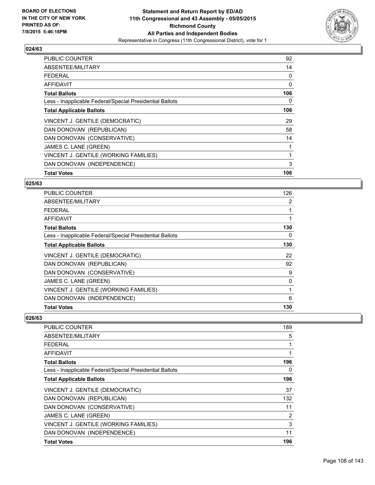

| <b>PUBLIC COUNTER</b>                                    | 92  |
|----------------------------------------------------------|-----|
| ABSENTEE/MILITARY                                        | 14  |
| <b>FEDERAL</b>                                           | 0   |
| AFFIDAVIT                                                | 0   |
| <b>Total Ballots</b>                                     | 106 |
| Less - Inapplicable Federal/Special Presidential Ballots | 0   |
| <b>Total Applicable Ballots</b>                          | 106 |
| VINCENT J. GENTILE (DEMOCRATIC)                          | 29  |
| DAN DONOVAN (REPUBLICAN)                                 | 58  |
| DAN DONOVAN (CONSERVATIVE)                               | 14  |
| JAMES C. LANE (GREEN)                                    |     |
| VINCENT J. GENTILE (WORKING FAMILIES)                    | 1   |
| DAN DONOVAN (INDEPENDENCE)                               | 3   |
| <b>Total Votes</b>                                       | 106 |

#### **025/63**

| <b>PUBLIC COUNTER</b>                                    | 126 |
|----------------------------------------------------------|-----|
| ABSENTEE/MILITARY                                        | 2   |
| <b>FEDERAL</b>                                           |     |
| AFFIDAVIT                                                |     |
| <b>Total Ballots</b>                                     | 130 |
| Less - Inapplicable Federal/Special Presidential Ballots | 0   |
| <b>Total Applicable Ballots</b>                          | 130 |
| VINCENT J. GENTILE (DEMOCRATIC)                          | 22  |
| DAN DONOVAN (REPUBLICAN)                                 | 92  |
| DAN DONOVAN (CONSERVATIVE)                               | 9   |
| JAMES C. LANE (GREEN)                                    | 0   |
| VINCENT J. GENTILE (WORKING FAMILIES)                    | 1   |
| DAN DONOVAN (INDEPENDENCE)                               | 6   |
| <b>Total Votes</b>                                       | 130 |

| <b>PUBLIC COUNTER</b>                                    | 189 |
|----------------------------------------------------------|-----|
| ABSENTEE/MILITARY                                        | 5   |
| <b>FEDERAL</b>                                           | 1   |
| AFFIDAVIT                                                | 1   |
| <b>Total Ballots</b>                                     | 196 |
| Less - Inapplicable Federal/Special Presidential Ballots | 0   |
| <b>Total Applicable Ballots</b>                          | 196 |
| VINCENT J. GENTILE (DEMOCRATIC)                          | 37  |
| DAN DONOVAN (REPUBLICAN)                                 | 132 |
| DAN DONOVAN (CONSERVATIVE)                               | 11  |
| JAMES C. LANE (GREEN)                                    | 2   |
| VINCENT J. GENTILE (WORKING FAMILIES)                    | 3   |
| DAN DONOVAN (INDEPENDENCE)                               | 11  |
| <b>Total Votes</b>                                       | 196 |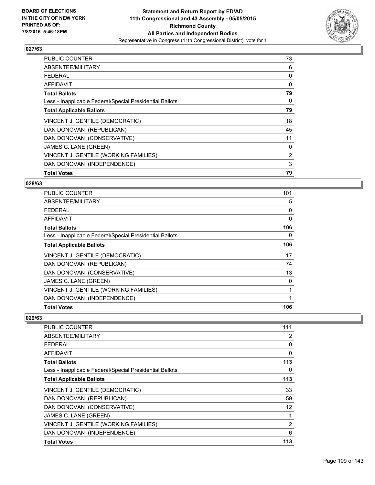

| <b>PUBLIC COUNTER</b>                                    | 73 |
|----------------------------------------------------------|----|
| ABSENTEE/MILITARY                                        | 6  |
| <b>FEDERAL</b>                                           | 0  |
| AFFIDAVIT                                                | 0  |
| <b>Total Ballots</b>                                     | 79 |
| Less - Inapplicable Federal/Special Presidential Ballots | 0  |
| <b>Total Applicable Ballots</b>                          | 79 |
| VINCENT J. GENTILE (DEMOCRATIC)                          | 18 |
| DAN DONOVAN (REPUBLICAN)                                 | 45 |
| DAN DONOVAN (CONSERVATIVE)                               | 11 |
| JAMES C. LANE (GREEN)                                    | 0  |
| VINCENT J. GENTILE (WORKING FAMILIES)                    | 2  |
| DAN DONOVAN (INDEPENDENCE)                               | 3  |
| <b>Total Votes</b>                                       | 79 |

#### **028/63**

| PUBLIC COUNTER                                           | 101      |
|----------------------------------------------------------|----------|
| ABSENTEE/MILITARY                                        | 5        |
| <b>FEDERAL</b>                                           | 0        |
| <b>AFFIDAVIT</b>                                         | $\Omega$ |
| <b>Total Ballots</b>                                     | 106      |
| Less - Inapplicable Federal/Special Presidential Ballots | 0        |
| <b>Total Applicable Ballots</b>                          | 106      |
| VINCENT J. GENTILE (DEMOCRATIC)                          | 17       |
| DAN DONOVAN (REPUBLICAN)                                 | 74       |
| DAN DONOVAN (CONSERVATIVE)                               | 13       |
| JAMES C. LANE (GREEN)                                    | 0        |
| VINCENT J. GENTILE (WORKING FAMILIES)                    | 1        |
| DAN DONOVAN (INDEPENDENCE)                               |          |
| <b>Total Votes</b>                                       | 106      |

| <b>PUBLIC COUNTER</b>                                    | 111               |
|----------------------------------------------------------|-------------------|
| ABSENTEE/MILITARY                                        | 2                 |
| <b>FEDERAL</b>                                           | 0                 |
| AFFIDAVIT                                                | $\mathbf{0}$      |
| <b>Total Ballots</b>                                     | 113               |
| Less - Inapplicable Federal/Special Presidential Ballots | 0                 |
| <b>Total Applicable Ballots</b>                          | 113               |
| VINCENT J. GENTILE (DEMOCRATIC)                          | 33                |
| DAN DONOVAN (REPUBLICAN)                                 | 59                |
| DAN DONOVAN (CONSERVATIVE)                               | $12 \overline{ }$ |
| JAMES C. LANE (GREEN)                                    | 1                 |
| VINCENT J. GENTILE (WORKING FAMILIES)                    | 2                 |
| DAN DONOVAN (INDEPENDENCE)                               | 6                 |
| <b>Total Votes</b>                                       | 113               |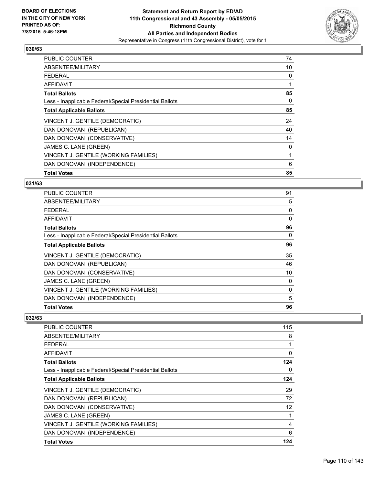

| <b>PUBLIC COUNTER</b>                                    | 74 |
|----------------------------------------------------------|----|
| ABSENTEE/MILITARY                                        | 10 |
| <b>FEDERAL</b>                                           | 0  |
| AFFIDAVIT                                                |    |
| <b>Total Ballots</b>                                     | 85 |
| Less - Inapplicable Federal/Special Presidential Ballots | 0  |
| <b>Total Applicable Ballots</b>                          | 85 |
| VINCENT J. GENTILE (DEMOCRATIC)                          | 24 |
| DAN DONOVAN (REPUBLICAN)                                 | 40 |
| DAN DONOVAN (CONSERVATIVE)                               | 14 |
| JAMES C. LANE (GREEN)                                    | 0  |
| VINCENT J. GENTILE (WORKING FAMILIES)                    | 1  |
| DAN DONOVAN (INDEPENDENCE)                               | 6  |
| <b>Total Votes</b>                                       | 85 |

# **031/63**

| <b>PUBLIC COUNTER</b>                                    | 91       |
|----------------------------------------------------------|----------|
| ABSENTEE/MILITARY                                        | 5        |
| <b>FEDERAL</b>                                           | 0        |
| <b>AFFIDAVIT</b>                                         | $\Omega$ |
| <b>Total Ballots</b>                                     | 96       |
| Less - Inapplicable Federal/Special Presidential Ballots | 0        |
| <b>Total Applicable Ballots</b>                          | 96       |
| VINCENT J. GENTILE (DEMOCRATIC)                          | 35       |
| DAN DONOVAN (REPUBLICAN)                                 | 46       |
| DAN DONOVAN (CONSERVATIVE)                               | 10       |
| JAMES C. LANE (GREEN)                                    | 0        |
| VINCENT J. GENTILE (WORKING FAMILIES)                    | 0        |
| DAN DONOVAN (INDEPENDENCE)                               | 5        |
| <b>Total Votes</b>                                       | 96       |

| <b>PUBLIC COUNTER</b>                                    | 115               |
|----------------------------------------------------------|-------------------|
| ABSENTEE/MILITARY                                        | 8                 |
| <b>FEDERAL</b>                                           | 1                 |
| AFFIDAVIT                                                | 0                 |
| <b>Total Ballots</b>                                     | 124               |
| Less - Inapplicable Federal/Special Presidential Ballots | 0                 |
| <b>Total Applicable Ballots</b>                          | 124               |
| VINCENT J. GENTILE (DEMOCRATIC)                          | 29                |
| DAN DONOVAN (REPUBLICAN)                                 | 72                |
| DAN DONOVAN (CONSERVATIVE)                               | $12 \overline{ }$ |
| JAMES C. LANE (GREEN)                                    | 1                 |
| VINCENT J. GENTILE (WORKING FAMILIES)                    | 4                 |
| DAN DONOVAN (INDEPENDENCE)                               | 6                 |
| <b>Total Votes</b>                                       | 124               |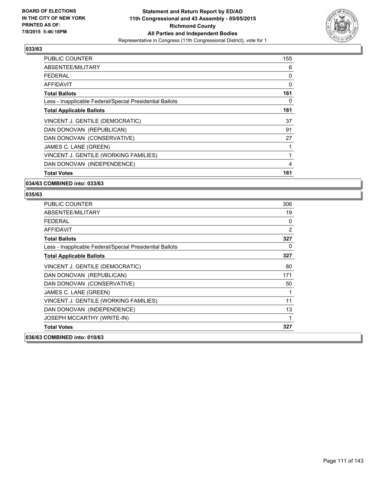

| <b>PUBLIC COUNTER</b>                                    | 155 |
|----------------------------------------------------------|-----|
| ABSENTEE/MILITARY                                        | 6   |
| <b>FEDERAL</b>                                           | 0   |
| AFFIDAVIT                                                | 0   |
| <b>Total Ballots</b>                                     | 161 |
| Less - Inapplicable Federal/Special Presidential Ballots | 0   |
| <b>Total Applicable Ballots</b>                          | 161 |
| VINCENT J. GENTILE (DEMOCRATIC)                          | 37  |
| DAN DONOVAN (REPUBLICAN)                                 | 91  |
| DAN DONOVAN (CONSERVATIVE)                               | 27  |
| JAMES C. LANE (GREEN)                                    | 1   |
| VINCENT J. GENTILE (WORKING FAMILIES)                    | 1   |
| DAN DONOVAN (INDEPENDENCE)                               | 4   |
| <b>Total Votes</b>                                       | 161 |

#### **034/63 COMBINED into: 033/63**

| PUBLIC COUNTER                                           | 306            |
|----------------------------------------------------------|----------------|
| ABSENTEE/MILITARY                                        | 19             |
| <b>FEDERAL</b>                                           | 0              |
| <b>AFFIDAVIT</b>                                         | $\overline{2}$ |
| <b>Total Ballots</b>                                     | 327            |
| Less - Inapplicable Federal/Special Presidential Ballots | 0              |
| <b>Total Applicable Ballots</b>                          | 327            |
| VINCENT J. GENTILE (DEMOCRATIC)                          | 80             |
| DAN DONOVAN (REPUBLICAN)                                 | 171            |
| DAN DONOVAN (CONSERVATIVE)                               | 50             |
| JAMES C. LANE (GREEN)                                    | 1              |
| VINCENT J. GENTILE (WORKING FAMILIES)                    | 11             |
| DAN DONOVAN (INDEPENDENCE)                               | 13             |
| <b>JOSEPH MCCARTHY (WRITE-IN)</b>                        | 1              |
| <b>Total Votes</b>                                       | 327            |
| 036/63 COMBINED into: 010/63                             |                |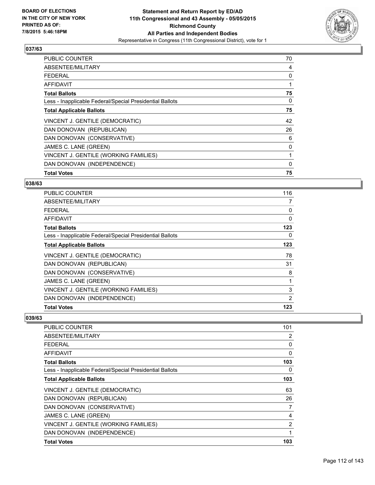

| <b>PUBLIC COUNTER</b>                                    | 70 |
|----------------------------------------------------------|----|
| ABSENTEE/MILITARY                                        | 4  |
| <b>FEDERAL</b>                                           | 0  |
| AFFIDAVIT                                                | 1  |
| <b>Total Ballots</b>                                     | 75 |
| Less - Inapplicable Federal/Special Presidential Ballots | 0  |
| <b>Total Applicable Ballots</b>                          | 75 |
| VINCENT J. GENTILE (DEMOCRATIC)                          | 42 |
| DAN DONOVAN (REPUBLICAN)                                 | 26 |
| DAN DONOVAN (CONSERVATIVE)                               | 6  |
| JAMES C. LANE (GREEN)                                    | 0  |
| VINCENT J. GENTILE (WORKING FAMILIES)                    | 1  |
| DAN DONOVAN (INDEPENDENCE)                               | 0  |
| <b>Total Votes</b>                                       | 75 |

#### **038/63**

| PUBLIC COUNTER                                           | 116            |
|----------------------------------------------------------|----------------|
| ABSENTEE/MILITARY                                        | $\overline{7}$ |
| <b>FEDERAL</b>                                           | 0              |
| <b>AFFIDAVIT</b>                                         | $\Omega$       |
| <b>Total Ballots</b>                                     | 123            |
| Less - Inapplicable Federal/Special Presidential Ballots | 0              |
| <b>Total Applicable Ballots</b>                          | 123            |
| VINCENT J. GENTILE (DEMOCRATIC)                          | 78             |
| DAN DONOVAN (REPUBLICAN)                                 | 31             |
| DAN DONOVAN (CONSERVATIVE)                               | 8              |
| JAMES C. LANE (GREEN)                                    |                |
| VINCENT J. GENTILE (WORKING FAMILIES)                    | 3              |
| DAN DONOVAN (INDEPENDENCE)                               | 2              |
| <b>Total Votes</b>                                       | 123            |

| <b>PUBLIC COUNTER</b>                                    | 101 |
|----------------------------------------------------------|-----|
| ABSENTEE/MILITARY                                        | 2   |
| <b>FEDERAL</b>                                           | 0   |
| AFFIDAVIT                                                | 0   |
| <b>Total Ballots</b>                                     | 103 |
| Less - Inapplicable Federal/Special Presidential Ballots | 0   |
| <b>Total Applicable Ballots</b>                          | 103 |
| VINCENT J. GENTILE (DEMOCRATIC)                          | 63  |
| DAN DONOVAN (REPUBLICAN)                                 | 26  |
| DAN DONOVAN (CONSERVATIVE)                               | 7   |
| JAMES C. LANE (GREEN)                                    | 4   |
| VINCENT J. GENTILE (WORKING FAMILIES)                    | 2   |
| DAN DONOVAN (INDEPENDENCE)                               | 1   |
| <b>Total Votes</b>                                       | 103 |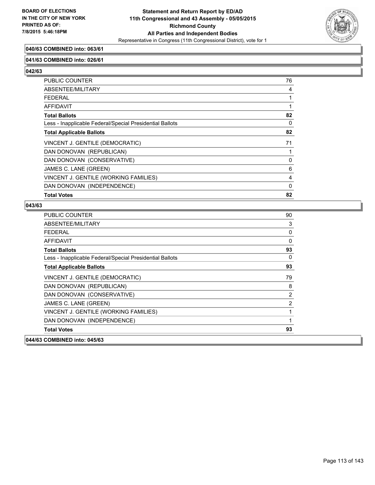

# **040/63 COMBINED into: 063/61**

#### **041/63 COMBINED into: 026/61**

**042/63** 

| <b>PUBLIC COUNTER</b>                                    | 76 |
|----------------------------------------------------------|----|
| ABSENTEE/MILITARY                                        | 4  |
| <b>FEDERAL</b>                                           |    |
| AFFIDAVIT                                                |    |
| <b>Total Ballots</b>                                     | 82 |
| Less - Inapplicable Federal/Special Presidential Ballots | 0  |
| <b>Total Applicable Ballots</b>                          | 82 |
| VINCENT J. GENTILE (DEMOCRATIC)                          | 71 |
| DAN DONOVAN (REPUBLICAN)                                 |    |
| DAN DONOVAN (CONSERVATIVE)                               | 0  |
| JAMES C. LANE (GREEN)                                    | 6  |
| VINCENT J. GENTILE (WORKING FAMILIES)                    | 4  |
| DAN DONOVAN (INDEPENDENCE)                               | 0  |
| <b>Total Votes</b>                                       | 82 |

| 044/63 COMBINED into: 045/63                             |                |
|----------------------------------------------------------|----------------|
| <b>Total Votes</b>                                       | 93             |
| DAN DONOVAN (INDEPENDENCE)                               | 1              |
| VINCENT J. GENTILE (WORKING FAMILIES)                    |                |
| JAMES C. LANE (GREEN)                                    | $\overline{2}$ |
| DAN DONOVAN (CONSERVATIVE)                               | $\overline{2}$ |
| DAN DONOVAN (REPUBLICAN)                                 | 8              |
| VINCENT J. GENTILE (DEMOCRATIC)                          | 79             |
| <b>Total Applicable Ballots</b>                          | 93             |
| Less - Inapplicable Federal/Special Presidential Ballots | 0              |
| <b>Total Ballots</b>                                     | 93             |
| <b>AFFIDAVIT</b>                                         | $\mathbf{0}$   |
| <b>FEDERAL</b>                                           | 0              |
| ABSENTEE/MILITARY                                        | 3              |
| <b>PUBLIC COUNTER</b>                                    | 90             |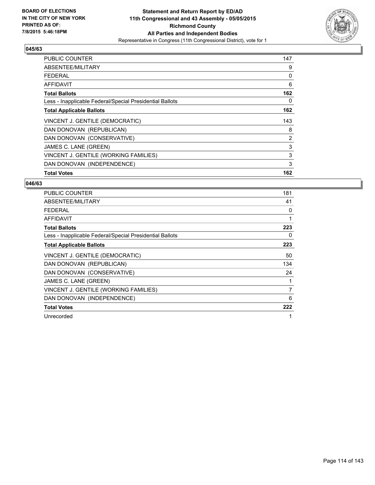

| <b>PUBLIC COUNTER</b>                                    | 147 |
|----------------------------------------------------------|-----|
| ABSENTEE/MILITARY                                        | 9   |
| <b>FEDERAL</b>                                           | 0   |
| AFFIDAVIT                                                | 6   |
| <b>Total Ballots</b>                                     | 162 |
| Less - Inapplicable Federal/Special Presidential Ballots | 0   |
| <b>Total Applicable Ballots</b>                          | 162 |
| VINCENT J. GENTILE (DEMOCRATIC)                          | 143 |
| DAN DONOVAN (REPUBLICAN)                                 | 8   |
| DAN DONOVAN (CONSERVATIVE)                               | 2   |
| JAMES C. LANE (GREEN)                                    | 3   |
| VINCENT J. GENTILE (WORKING FAMILIES)                    | 3   |
| DAN DONOVAN (INDEPENDENCE)                               | 3   |
| <b>Total Votes</b>                                       | 162 |

| <b>PUBLIC COUNTER</b>                                    | 181 |
|----------------------------------------------------------|-----|
| ABSENTEE/MILITARY                                        | 41  |
| <b>FEDERAL</b>                                           | 0   |
| <b>AFFIDAVIT</b>                                         | 1   |
| <b>Total Ballots</b>                                     | 223 |
| Less - Inapplicable Federal/Special Presidential Ballots | 0   |
| <b>Total Applicable Ballots</b>                          | 223 |
| VINCENT J. GENTILE (DEMOCRATIC)                          | 50  |
| DAN DONOVAN (REPUBLICAN)                                 | 134 |
| DAN DONOVAN (CONSERVATIVE)                               | 24  |
| JAMES C. LANE (GREEN)                                    | 1   |
| VINCENT J. GENTILE (WORKING FAMILIES)                    | 7   |
| DAN DONOVAN (INDEPENDENCE)                               | 6   |
| <b>Total Votes</b>                                       | 222 |
| Unrecorded                                               | 1   |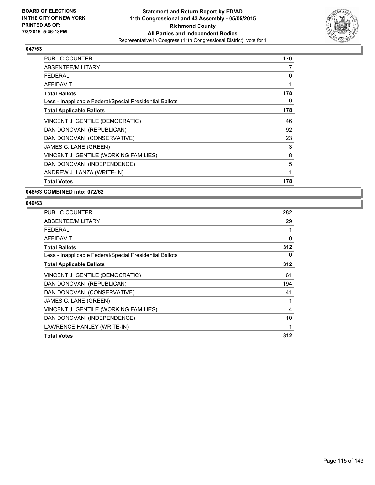

| <b>PUBLIC COUNTER</b>                                    | 170 |
|----------------------------------------------------------|-----|
| ABSENTEE/MILITARY                                        | 7   |
| <b>FEDERAL</b>                                           | 0   |
| <b>AFFIDAVIT</b>                                         | 1   |
| <b>Total Ballots</b>                                     | 178 |
| Less - Inapplicable Federal/Special Presidential Ballots | 0   |
| <b>Total Applicable Ballots</b>                          | 178 |
| VINCENT J. GENTILE (DEMOCRATIC)                          | 46  |
| DAN DONOVAN (REPUBLICAN)                                 | 92  |
| DAN DONOVAN (CONSERVATIVE)                               | 23  |
| JAMES C. LANE (GREEN)                                    | 3   |
| VINCENT J. GENTILE (WORKING FAMILIES)                    | 8   |
| DAN DONOVAN (INDEPENDENCE)                               | 5   |
| ANDREW J. LANZA (WRITE-IN)                               | 1   |
| <b>Total Votes</b>                                       | 178 |

**048/63 COMBINED into: 072/62**

| <b>PUBLIC COUNTER</b>                                    | 282 |
|----------------------------------------------------------|-----|
| ABSENTEE/MILITARY                                        | 29  |
| <b>FEDERAL</b>                                           |     |
| <b>AFFIDAVIT</b>                                         | 0   |
| <b>Total Ballots</b>                                     | 312 |
| Less - Inapplicable Federal/Special Presidential Ballots | 0   |
| <b>Total Applicable Ballots</b>                          | 312 |
| VINCENT J. GENTILE (DEMOCRATIC)                          | 61  |
| DAN DONOVAN (REPUBLICAN)                                 | 194 |
| DAN DONOVAN (CONSERVATIVE)                               | 41  |
| JAMES C. LANE (GREEN)                                    | 1   |
| VINCENT J. GENTILE (WORKING FAMILIES)                    | 4   |
| DAN DONOVAN (INDEPENDENCE)                               | 10  |
| LAWRENCE HANLEY (WRITE-IN)                               | 1   |
| <b>Total Votes</b>                                       | 312 |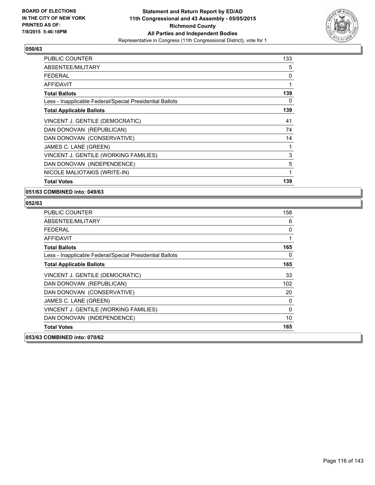

| <b>PUBLIC COUNTER</b>                                    | 133 |
|----------------------------------------------------------|-----|
| ABSENTEE/MILITARY                                        | 5   |
| <b>FEDERAL</b>                                           | 0   |
| <b>AFFIDAVIT</b>                                         | 1   |
| <b>Total Ballots</b>                                     | 139 |
| Less - Inapplicable Federal/Special Presidential Ballots | 0   |
| <b>Total Applicable Ballots</b>                          | 139 |
| VINCENT J. GENTILE (DEMOCRATIC)                          | 41  |
| DAN DONOVAN (REPUBLICAN)                                 | 74  |
| DAN DONOVAN (CONSERVATIVE)                               | 14  |
| JAMES C. LANE (GREEN)                                    | 1   |
| VINCENT J. GENTILE (WORKING FAMILIES)                    | 3   |
| DAN DONOVAN (INDEPENDENCE)                               | 5   |
| NICOLE MALIOTAKIS (WRITE-IN)                             | 1   |
| <b>Total Votes</b>                                       | 139 |

**051/63 COMBINED into: 049/63**

| <b>PUBLIC COUNTER</b>                                    | 158 |
|----------------------------------------------------------|-----|
| ABSENTEE/MILITARY                                        | 6   |
| FEDERAL                                                  | 0   |
| AFFIDAVIT                                                | 1   |
| <b>Total Ballots</b>                                     | 165 |
| Less - Inapplicable Federal/Special Presidential Ballots | 0   |
| <b>Total Applicable Ballots</b>                          | 165 |
| VINCENT J. GENTILE (DEMOCRATIC)                          | 33  |
| DAN DONOVAN (REPUBLICAN)                                 | 102 |
| DAN DONOVAN (CONSERVATIVE)                               | 20  |
| JAMES C. LANE (GREEN)                                    | 0   |
| VINCENT J. GENTILE (WORKING FAMILIES)                    | 0   |
| DAN DONOVAN (INDEPENDENCE)                               | 10  |
| <b>Total Votes</b>                                       | 165 |
| 053/63 COMBINED into: 070/62                             |     |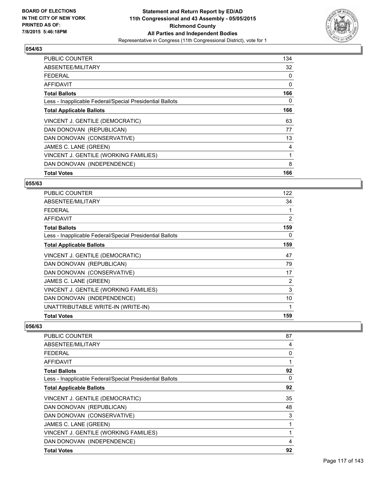

| <b>PUBLIC COUNTER</b>                                    | 134 |
|----------------------------------------------------------|-----|
| ABSENTEE/MILITARY                                        | 32  |
| <b>FEDERAL</b>                                           | 0   |
| AFFIDAVIT                                                | 0   |
| <b>Total Ballots</b>                                     | 166 |
| Less - Inapplicable Federal/Special Presidential Ballots | 0   |
| <b>Total Applicable Ballots</b>                          | 166 |
| VINCENT J. GENTILE (DEMOCRATIC)                          | 63  |
| DAN DONOVAN (REPUBLICAN)                                 | 77  |
| DAN DONOVAN (CONSERVATIVE)                               | 13  |
| JAMES C. LANE (GREEN)                                    | 4   |
| VINCENT J. GENTILE (WORKING FAMILIES)                    | 1   |
| DAN DONOVAN (INDEPENDENCE)                               | 8   |
| <b>Total Votes</b>                                       | 166 |

#### **055/63**

| <b>PUBLIC COUNTER</b>                                    | 122 |
|----------------------------------------------------------|-----|
| ABSENTEE/MILITARY                                        | 34  |
| <b>FEDERAL</b>                                           |     |
| AFFIDAVIT                                                | 2   |
| <b>Total Ballots</b>                                     | 159 |
| Less - Inapplicable Federal/Special Presidential Ballots | 0   |
| <b>Total Applicable Ballots</b>                          | 159 |
| VINCENT J. GENTILE (DEMOCRATIC)                          | 47  |
| DAN DONOVAN (REPUBLICAN)                                 | 79  |
| DAN DONOVAN (CONSERVATIVE)                               | 17  |
| JAMES C. LANE (GREEN)                                    | 2   |
| VINCENT J. GENTILE (WORKING FAMILIES)                    | 3   |
| DAN DONOVAN (INDEPENDENCE)                               | 10  |
| UNATTRIBUTABLE WRITE-IN (WRITE-IN)                       | 1   |
| <b>Total Votes</b>                                       | 159 |

| <b>PUBLIC COUNTER</b>                                    | 87 |
|----------------------------------------------------------|----|
| ABSENTEE/MILITARY                                        | 4  |
| <b>FEDERAL</b>                                           | 0  |
| AFFIDAVIT                                                |    |
| <b>Total Ballots</b>                                     | 92 |
| Less - Inapplicable Federal/Special Presidential Ballots | 0  |
| <b>Total Applicable Ballots</b>                          | 92 |
| VINCENT J. GENTILE (DEMOCRATIC)                          | 35 |
| DAN DONOVAN (REPUBLICAN)                                 | 48 |
| DAN DONOVAN (CONSERVATIVE)                               | 3  |
| JAMES C. LANE (GREEN)                                    |    |
| VINCENT J. GENTILE (WORKING FAMILIES)                    |    |
| DAN DONOVAN (INDEPENDENCE)                               | 4  |
| <b>Total Votes</b>                                       | 92 |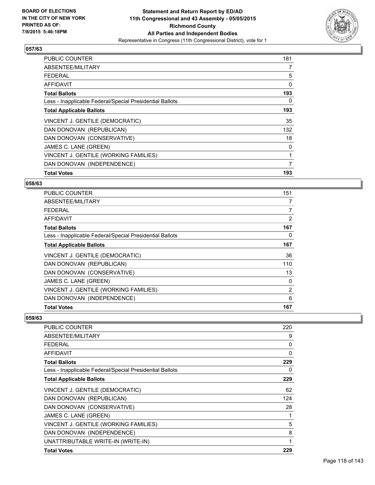

| <b>PUBLIC COUNTER</b>                                    | 181 |
|----------------------------------------------------------|-----|
| ABSENTEE/MILITARY                                        | 7   |
| <b>FEDERAL</b>                                           | 5   |
| AFFIDAVIT                                                | 0   |
| <b>Total Ballots</b>                                     | 193 |
| Less - Inapplicable Federal/Special Presidential Ballots | 0   |
| <b>Total Applicable Ballots</b>                          | 193 |
| VINCENT J. GENTILE (DEMOCRATIC)                          | 35  |
| DAN DONOVAN (REPUBLICAN)                                 | 132 |
| DAN DONOVAN (CONSERVATIVE)                               | 18  |
| JAMES C. LANE (GREEN)                                    | 0   |
| VINCENT J. GENTILE (WORKING FAMILIES)                    | 1   |
| DAN DONOVAN (INDEPENDENCE)                               | 7   |
| <b>Total Votes</b>                                       | 193 |

#### **058/63**

| <b>PUBLIC COUNTER</b>                                    | 151            |
|----------------------------------------------------------|----------------|
| ABSENTEE/MILITARY                                        | 7              |
| <b>FEDERAL</b>                                           | $\overline{7}$ |
| AFFIDAVIT                                                | 2              |
| <b>Total Ballots</b>                                     | 167            |
| Less - Inapplicable Federal/Special Presidential Ballots | 0              |
| <b>Total Applicable Ballots</b>                          | 167            |
| VINCENT J. GENTILE (DEMOCRATIC)                          | 36             |
| DAN DONOVAN (REPUBLICAN)                                 | 110            |
| DAN DONOVAN (CONSERVATIVE)                               | 13             |
| JAMES C. LANE (GREEN)                                    | 0              |
| VINCENT J. GENTILE (WORKING FAMILIES)                    | 2              |
| DAN DONOVAN (INDEPENDENCE)                               | 6              |
| <b>Total Votes</b>                                       | 167            |

| <b>PUBLIC COUNTER</b>                                    | 220 |
|----------------------------------------------------------|-----|
| ABSENTEE/MILITARY                                        | 9   |
| <b>FEDERAL</b>                                           | 0   |
| AFFIDAVIT                                                | 0   |
| <b>Total Ballots</b>                                     | 229 |
| Less - Inapplicable Federal/Special Presidential Ballots | 0   |
| <b>Total Applicable Ballots</b>                          | 229 |
| VINCENT J. GENTILE (DEMOCRATIC)                          | 62  |
| DAN DONOVAN (REPUBLICAN)                                 | 124 |
| DAN DONOVAN (CONSERVATIVE)                               | 28  |
| JAMES C. LANE (GREEN)                                    |     |
| VINCENT J. GENTILE (WORKING FAMILIES)                    | 5   |
| DAN DONOVAN (INDEPENDENCE)                               | 8   |
| UNATTRIBUTABLE WRITE-IN (WRITE-IN)                       | 1   |
| <b>Total Votes</b>                                       | 229 |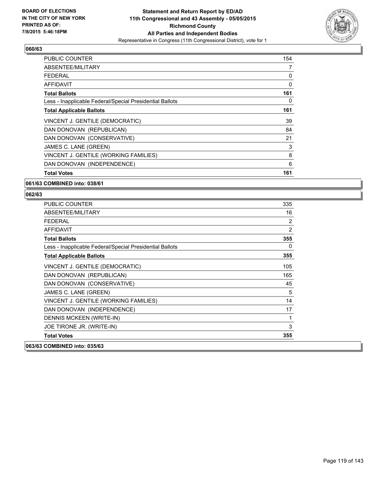

| <b>PUBLIC COUNTER</b>                                    | 154 |
|----------------------------------------------------------|-----|
| ABSENTEE/MILITARY                                        | 7   |
| <b>FEDERAL</b>                                           | 0   |
| AFFIDAVIT                                                | 0   |
| <b>Total Ballots</b>                                     | 161 |
| Less - Inapplicable Federal/Special Presidential Ballots | 0   |
| <b>Total Applicable Ballots</b>                          | 161 |
| VINCENT J. GENTILE (DEMOCRATIC)                          | 39  |
| DAN DONOVAN (REPUBLICAN)                                 | 84  |
| DAN DONOVAN (CONSERVATIVE)                               | 21  |
| JAMES C. LANE (GREEN)                                    | 3   |
| VINCENT J. GENTILE (WORKING FAMILIES)                    | 8   |
| DAN DONOVAN (INDEPENDENCE)                               | 6   |
| <b>Total Votes</b>                                       | 161 |

#### **061/63 COMBINED into: 038/61**

| <b>PUBLIC COUNTER</b>                                    | 335 |
|----------------------------------------------------------|-----|
| ABSENTEE/MILITARY                                        | 16  |
| <b>FEDERAL</b>                                           | 2   |
| <b>AFFIDAVIT</b>                                         | 2   |
| <b>Total Ballots</b>                                     | 355 |
| Less - Inapplicable Federal/Special Presidential Ballots | 0   |
| <b>Total Applicable Ballots</b>                          | 355 |
| VINCENT J. GENTILE (DEMOCRATIC)                          | 105 |
| DAN DONOVAN (REPUBLICAN)                                 | 165 |
| DAN DONOVAN (CONSERVATIVE)                               | 45  |
| JAMES C. LANE (GREEN)                                    | 5   |
| VINCENT J. GENTILE (WORKING FAMILIES)                    | 14  |
| DAN DONOVAN (INDEPENDENCE)                               | 17  |
| DENNIS MCKEEN (WRITE-IN)                                 | 1   |
| JOE TIRONE JR. (WRITE-IN)                                | 3   |
| <b>Total Votes</b>                                       | 355 |
| 063/63 COMBINED into: 035/63                             |     |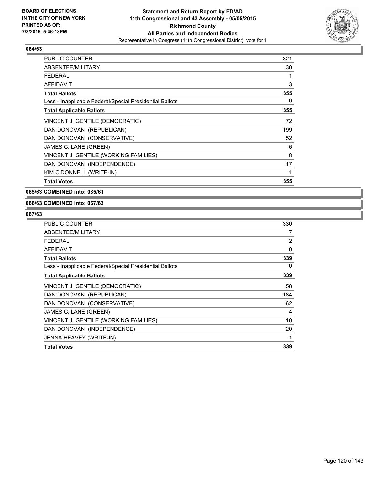

| <b>PUBLIC COUNTER</b>                                    | 321 |
|----------------------------------------------------------|-----|
| ABSENTEE/MILITARY                                        | 30  |
| <b>FEDERAL</b>                                           | 1   |
| <b>AFFIDAVIT</b>                                         | 3   |
| <b>Total Ballots</b>                                     | 355 |
| Less - Inapplicable Federal/Special Presidential Ballots | 0   |
| <b>Total Applicable Ballots</b>                          | 355 |
| VINCENT J. GENTILE (DEMOCRATIC)                          | 72  |
| DAN DONOVAN (REPUBLICAN)                                 | 199 |
| DAN DONOVAN (CONSERVATIVE)                               | 52  |
| JAMES C. LANE (GREEN)                                    | 6   |
| VINCENT J. GENTILE (WORKING FAMILIES)                    | 8   |
| DAN DONOVAN (INDEPENDENCE)                               | 17  |
| KIM O'DONNELL (WRITE-IN)                                 | 1   |
| <b>Total Votes</b>                                       | 355 |

**065/63 COMBINED into: 035/61**

#### **066/63 COMBINED into: 067/63**

| <b>PUBLIC COUNTER</b>                                    | 330            |
|----------------------------------------------------------|----------------|
| ABSENTEE/MILITARY                                        | 7              |
| <b>FEDERAL</b>                                           | $\overline{2}$ |
| AFFIDAVIT                                                | 0              |
| <b>Total Ballots</b>                                     | 339            |
| Less - Inapplicable Federal/Special Presidential Ballots | 0              |
| <b>Total Applicable Ballots</b>                          | 339            |
| VINCENT J. GENTILE (DEMOCRATIC)                          | 58             |
| DAN DONOVAN (REPUBLICAN)                                 | 184            |
| DAN DONOVAN (CONSERVATIVE)                               | 62             |
| JAMES C. LANE (GREEN)                                    | 4              |
| VINCENT J. GENTILE (WORKING FAMILIES)                    | 10             |
| DAN DONOVAN (INDEPENDENCE)                               | 20             |
| JENNA HEAVEY (WRITE-IN)                                  |                |
| <b>Total Votes</b>                                       | 339            |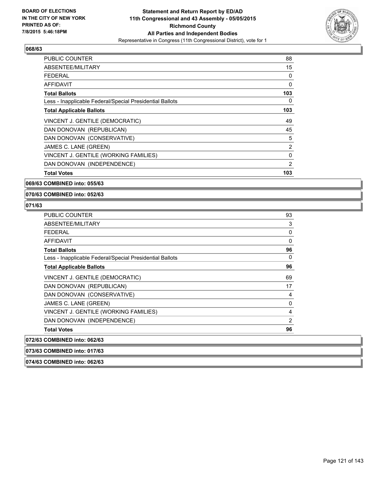

| <b>PUBLIC COUNTER</b>                                    | 88  |
|----------------------------------------------------------|-----|
| ABSENTEE/MILITARY                                        | 15  |
| FEDERAL                                                  | 0   |
| AFFIDAVIT                                                | 0   |
| <b>Total Ballots</b>                                     | 103 |
| Less - Inapplicable Federal/Special Presidential Ballots | 0   |
| <b>Total Applicable Ballots</b>                          | 103 |
| VINCENT J. GENTILE (DEMOCRATIC)                          | 49  |
| DAN DONOVAN (REPUBLICAN)                                 | 45  |
| DAN DONOVAN (CONSERVATIVE)                               | 5   |
| JAMES C. LANE (GREEN)                                    | 2   |
| VINCENT J. GENTILE (WORKING FAMILIES)                    | 0   |
| DAN DONOVAN (INDEPENDENCE)                               | 2   |
| <b>Total Votes</b>                                       | 103 |

#### **069/63 COMBINED into: 055/63**

**070/63 COMBINED into: 052/63**

# **071/63**

| <b>PUBLIC COUNTER</b>                                    | 93             |
|----------------------------------------------------------|----------------|
| ABSENTEE/MILITARY                                        | 3              |
| <b>FEDERAL</b>                                           | 0              |
| <b>AFFIDAVIT</b>                                         | 0              |
| <b>Total Ballots</b>                                     | 96             |
| Less - Inapplicable Federal/Special Presidential Ballots | 0              |
| <b>Total Applicable Ballots</b>                          | 96             |
| VINCENT J. GENTILE (DEMOCRATIC)                          | 69             |
| DAN DONOVAN (REPUBLICAN)                                 | 17             |
| DAN DONOVAN (CONSERVATIVE)                               | 4              |
| JAMES C. LANE (GREEN)                                    | 0              |
| VINCENT J. GENTILE (WORKING FAMILIES)                    | 4              |
| DAN DONOVAN (INDEPENDENCE)                               | $\overline{2}$ |
| <b>Total Votes</b>                                       | 96             |
| 072/63 COMBINED into: 062/63                             |                |
| 073/63 COMBINED into: 017/63                             |                |

**074/63 COMBINED into: 062/63**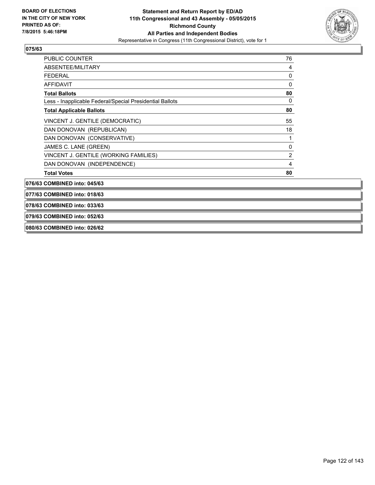

| <b>PUBLIC COUNTER</b>                                    | 76 |
|----------------------------------------------------------|----|
| ABSENTEE/MILITARY                                        | 4  |
| FEDERAL                                                  | 0  |
| AFFIDAVIT                                                | 0  |
| <b>Total Ballots</b>                                     | 80 |
| Less - Inapplicable Federal/Special Presidential Ballots | 0  |
| <b>Total Applicable Ballots</b>                          | 80 |
| VINCENT J. GENTILE (DEMOCRATIC)                          | 55 |
| DAN DONOVAN (REPUBLICAN)                                 | 18 |
| DAN DONOVAN (CONSERVATIVE)                               | 1  |
| JAMES C. LANE (GREEN)                                    | 0  |
| VINCENT J. GENTILE (WORKING FAMILIES)                    | 2  |
| DAN DONOVAN (INDEPENDENCE)                               | 4  |
| <b>Total Votes</b>                                       | 80 |

**076/63 COMBINED into: 045/63**

**077/63 COMBINED into: 018/63**

**078/63 COMBINED into: 033/63**

**079/63 COMBINED into: 052/63**

**080/63 COMBINED into: 026/62**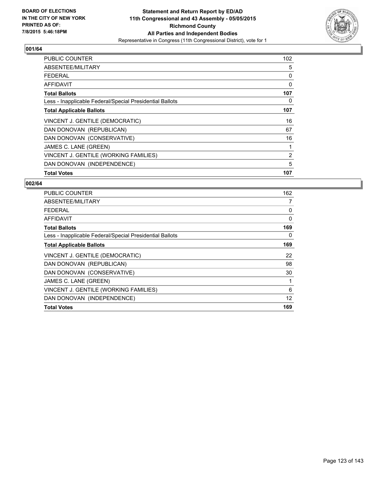

| <b>PUBLIC COUNTER</b>                                    | 102 |
|----------------------------------------------------------|-----|
| ABSENTEE/MILITARY                                        | 5   |
| <b>FEDERAL</b>                                           | 0   |
| AFFIDAVIT                                                | 0   |
| <b>Total Ballots</b>                                     | 107 |
| Less - Inapplicable Federal/Special Presidential Ballots | 0   |
| <b>Total Applicable Ballots</b>                          | 107 |
| VINCENT J. GENTILE (DEMOCRATIC)                          | 16  |
| DAN DONOVAN (REPUBLICAN)                                 | 67  |
| DAN DONOVAN (CONSERVATIVE)                               | 16  |
| JAMES C. LANE (GREEN)                                    | 1   |
| VINCENT J. GENTILE (WORKING FAMILIES)                    | 2   |
| DAN DONOVAN (INDEPENDENCE)                               | 5   |
| <b>Total Votes</b>                                       | 107 |

| <b>PUBLIC COUNTER</b>                                    | 162      |
|----------------------------------------------------------|----------|
| ABSENTEE/MILITARY                                        | 7        |
| <b>FEDERAL</b>                                           | 0        |
| <b>AFFIDAVIT</b>                                         | $\Omega$ |
| <b>Total Ballots</b>                                     | 169      |
| Less - Inapplicable Federal/Special Presidential Ballots | 0        |
| <b>Total Applicable Ballots</b>                          | 169      |
| VINCENT J. GENTILE (DEMOCRATIC)                          | 22       |
| DAN DONOVAN (REPUBLICAN)                                 | 98       |
| DAN DONOVAN (CONSERVATIVE)                               | 30       |
| JAMES C. LANE (GREEN)                                    | 1        |
| VINCENT J. GENTILE (WORKING FAMILIES)                    | 6        |
| DAN DONOVAN (INDEPENDENCE)                               | 12       |
| <b>Total Votes</b>                                       | 169      |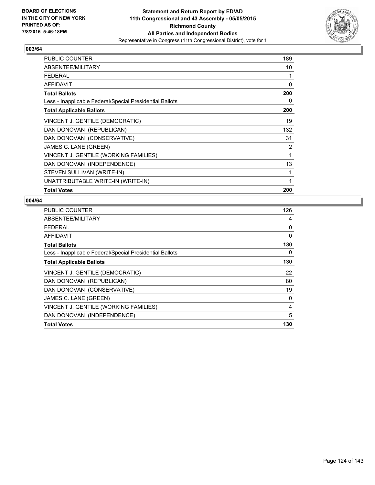

| <b>PUBLIC COUNTER</b>                                    | 189 |
|----------------------------------------------------------|-----|
| ABSENTEE/MILITARY                                        | 10  |
| <b>FEDERAL</b>                                           | 1   |
| AFFIDAVIT                                                | 0   |
| <b>Total Ballots</b>                                     | 200 |
| Less - Inapplicable Federal/Special Presidential Ballots | 0   |
| <b>Total Applicable Ballots</b>                          | 200 |
| VINCENT J. GENTILE (DEMOCRATIC)                          | 19  |
| DAN DONOVAN (REPUBLICAN)                                 | 132 |
| DAN DONOVAN (CONSERVATIVE)                               | 31  |
| JAMES C. LANE (GREEN)                                    | 2   |
| VINCENT J. GENTILE (WORKING FAMILIES)                    | 1   |
| DAN DONOVAN (INDEPENDENCE)                               | 13  |
| STEVEN SULLIVAN (WRITE-IN)                               | 1   |
| UNATTRIBUTABLE WRITE-IN (WRITE-IN)                       | 1   |
| <b>Total Votes</b>                                       | 200 |

| <b>PUBLIC COUNTER</b>                                    | 126 |
|----------------------------------------------------------|-----|
| ABSENTEE/MILITARY                                        | 4   |
| <b>FEDERAL</b>                                           | 0   |
| AFFIDAVIT                                                | 0   |
| <b>Total Ballots</b>                                     | 130 |
| Less - Inapplicable Federal/Special Presidential Ballots | 0   |
| <b>Total Applicable Ballots</b>                          | 130 |
| VINCENT J. GENTILE (DEMOCRATIC)                          | 22  |
| DAN DONOVAN (REPUBLICAN)                                 | 80  |
| DAN DONOVAN (CONSERVATIVE)                               | 19  |
| JAMES C. LANE (GREEN)                                    | 0   |
| VINCENT J. GENTILE (WORKING FAMILIES)                    | 4   |
| DAN DONOVAN (INDEPENDENCE)                               | 5   |
| <b>Total Votes</b>                                       | 130 |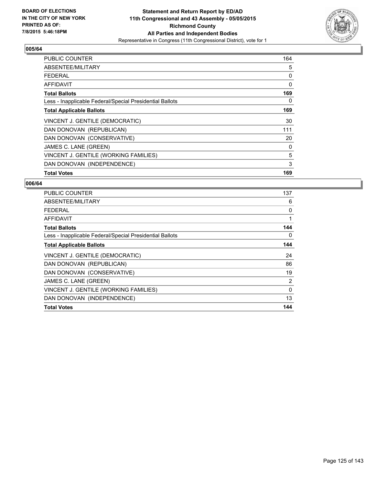

| <b>PUBLIC COUNTER</b>                                    | 164 |
|----------------------------------------------------------|-----|
| ABSENTEE/MILITARY                                        | 5   |
| <b>FEDERAL</b>                                           | 0   |
| AFFIDAVIT                                                | 0   |
| <b>Total Ballots</b>                                     | 169 |
| Less - Inapplicable Federal/Special Presidential Ballots | 0   |
| <b>Total Applicable Ballots</b>                          | 169 |
| VINCENT J. GENTILE (DEMOCRATIC)                          | 30  |
| DAN DONOVAN (REPUBLICAN)                                 | 111 |
| DAN DONOVAN (CONSERVATIVE)                               | 20  |
| JAMES C. LANE (GREEN)                                    | 0   |
| VINCENT J. GENTILE (WORKING FAMILIES)                    | 5   |
| DAN DONOVAN (INDEPENDENCE)                               | 3   |
| <b>Total Votes</b>                                       | 169 |

| <b>PUBLIC COUNTER</b>                                    | 137 |
|----------------------------------------------------------|-----|
| ABSENTEE/MILITARY                                        | 6   |
| <b>FEDERAL</b>                                           | 0   |
| AFFIDAVIT                                                | 1   |
| <b>Total Ballots</b>                                     | 144 |
| Less - Inapplicable Federal/Special Presidential Ballots | 0   |
| <b>Total Applicable Ballots</b>                          | 144 |
| VINCENT J. GENTILE (DEMOCRATIC)                          | 24  |
| DAN DONOVAN (REPUBLICAN)                                 | 86  |
| DAN DONOVAN (CONSERVATIVE)                               | 19  |
| JAMES C. LANE (GREEN)                                    | 2   |
| VINCENT J. GENTILE (WORKING FAMILIES)                    | 0   |
| DAN DONOVAN (INDEPENDENCE)                               | 13  |
| <b>Total Votes</b>                                       | 144 |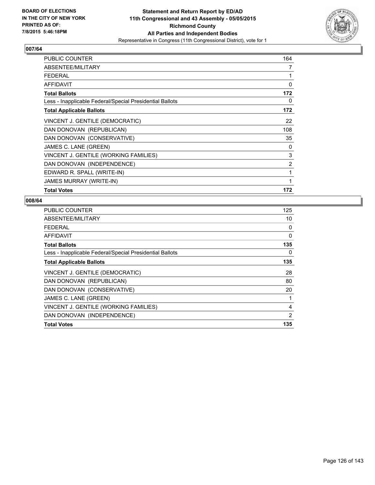

| PUBLIC COUNTER                                           | 164 |
|----------------------------------------------------------|-----|
| ABSENTEE/MILITARY                                        | 7   |
| <b>FEDERAL</b>                                           | 1   |
| <b>AFFIDAVIT</b>                                         | 0   |
| <b>Total Ballots</b>                                     | 172 |
| Less - Inapplicable Federal/Special Presidential Ballots | 0   |
| <b>Total Applicable Ballots</b>                          | 172 |
| VINCENT J. GENTILE (DEMOCRATIC)                          | 22  |
| DAN DONOVAN (REPUBLICAN)                                 | 108 |
| DAN DONOVAN (CONSERVATIVE)                               | 35  |
| JAMES C. LANE (GREEN)                                    | 0   |
| VINCENT J. GENTILE (WORKING FAMILIES)                    | 3   |
| DAN DONOVAN (INDEPENDENCE)                               | 2   |
| EDWARD R. SPALL (WRITE-IN)                               | 1   |
| JAMES MURRAY (WRITE-IN)                                  | 1   |
| <b>Total Votes</b>                                       | 172 |

| <b>PUBLIC COUNTER</b>                                    | 125 |
|----------------------------------------------------------|-----|
| ABSENTEE/MILITARY                                        | 10  |
| <b>FEDERAL</b>                                           | 0   |
| AFFIDAVIT                                                | 0   |
| <b>Total Ballots</b>                                     | 135 |
| Less - Inapplicable Federal/Special Presidential Ballots | 0   |
| <b>Total Applicable Ballots</b>                          | 135 |
| VINCENT J. GENTILE (DEMOCRATIC)                          | 28  |
| DAN DONOVAN (REPUBLICAN)                                 | 80  |
| DAN DONOVAN (CONSERVATIVE)                               | 20  |
| JAMES C. LANE (GREEN)                                    | 1   |
| VINCENT J. GENTILE (WORKING FAMILIES)                    | 4   |
| DAN DONOVAN (INDEPENDENCE)                               | 2   |
| <b>Total Votes</b>                                       | 135 |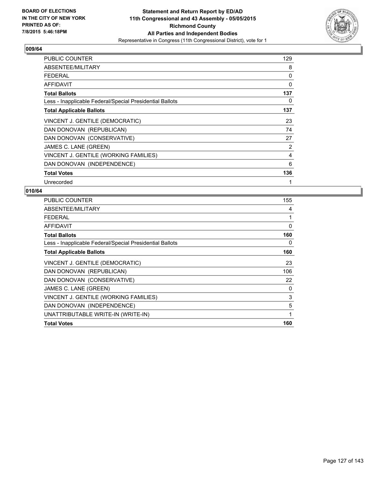

| <b>PUBLIC COUNTER</b>                                    | 129 |
|----------------------------------------------------------|-----|
| ABSENTEE/MILITARY                                        | 8   |
| <b>FEDERAL</b>                                           | 0   |
| AFFIDAVIT                                                | 0   |
| <b>Total Ballots</b>                                     | 137 |
| Less - Inapplicable Federal/Special Presidential Ballots | 0   |
| <b>Total Applicable Ballots</b>                          | 137 |
| VINCENT J. GENTILE (DEMOCRATIC)                          | 23  |
| DAN DONOVAN (REPUBLICAN)                                 | 74  |
| DAN DONOVAN (CONSERVATIVE)                               | 27  |
| JAMES C. LANE (GREEN)                                    | 2   |
| VINCENT J. GENTILE (WORKING FAMILIES)                    | 4   |
| DAN DONOVAN (INDEPENDENCE)                               | 6   |
| <b>Total Votes</b>                                       | 136 |
| Unrecorded                                               | 1   |

| PUBLIC COUNTER                                           | 155 |
|----------------------------------------------------------|-----|
| ABSENTEE/MILITARY                                        | 4   |
| <b>FEDERAL</b>                                           |     |
| <b>AFFIDAVIT</b>                                         | 0   |
| <b>Total Ballots</b>                                     | 160 |
| Less - Inapplicable Federal/Special Presidential Ballots | 0   |
| <b>Total Applicable Ballots</b>                          | 160 |
| VINCENT J. GENTILE (DEMOCRATIC)                          | 23  |
| DAN DONOVAN (REPUBLICAN)                                 | 106 |
| DAN DONOVAN (CONSERVATIVE)                               | 22  |
| JAMES C. LANE (GREEN)                                    | 0   |
| VINCENT J. GENTILE (WORKING FAMILIES)                    | 3   |
| DAN DONOVAN (INDEPENDENCE)                               | 5   |
| UNATTRIBUTABLE WRITE-IN (WRITE-IN)                       | 1   |
| <b>Total Votes</b>                                       | 160 |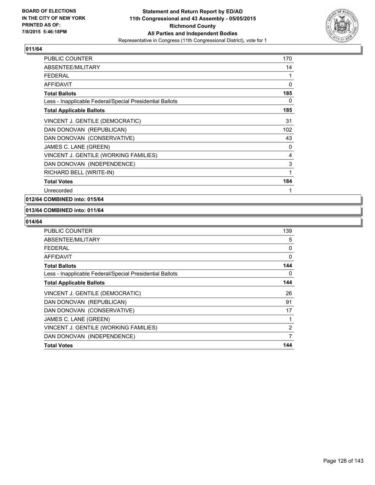

| PUBLIC COUNTER                                           | 170 |
|----------------------------------------------------------|-----|
| <b>ABSENTEE/MILITARY</b>                                 | 14  |
| <b>FEDERAL</b>                                           | 1   |
| AFFIDAVIT                                                | 0   |
| <b>Total Ballots</b>                                     | 185 |
| Less - Inapplicable Federal/Special Presidential Ballots | 0   |
| <b>Total Applicable Ballots</b>                          | 185 |
| VINCENT J. GENTILE (DEMOCRATIC)                          | 31  |
| DAN DONOVAN (REPUBLICAN)                                 | 102 |
| DAN DONOVAN (CONSERVATIVE)                               | 43  |
| JAMES C. LANE (GREEN)                                    | 0   |
| VINCENT J. GENTILE (WORKING FAMILIES)                    | 4   |
| DAN DONOVAN (INDEPENDENCE)                               | 3   |
| RICHARD BELL (WRITE-IN)                                  | 1   |
| <b>Total Votes</b>                                       | 184 |
| Unrecorded                                               | 1   |

# **012/64 COMBINED into: 015/64**

#### **013/64 COMBINED into: 011/64**

| PUBLIC COUNTER                                           | 139            |
|----------------------------------------------------------|----------------|
| ABSENTEE/MILITARY                                        | 5              |
| <b>FEDERAL</b>                                           | 0              |
| <b>AFFIDAVIT</b>                                         | 0              |
| <b>Total Ballots</b>                                     | 144            |
| Less - Inapplicable Federal/Special Presidential Ballots | 0              |
| <b>Total Applicable Ballots</b>                          | 144            |
| VINCENT J. GENTILE (DEMOCRATIC)                          | 26             |
| DAN DONOVAN (REPUBLICAN)                                 | 91             |
| DAN DONOVAN (CONSERVATIVE)                               | 17             |
| JAMES C. LANE (GREEN)                                    |                |
| VINCENT J. GENTILE (WORKING FAMILIES)                    | $\overline{2}$ |
| DAN DONOVAN (INDEPENDENCE)                               | 7              |
| <b>Total Votes</b>                                       | 144            |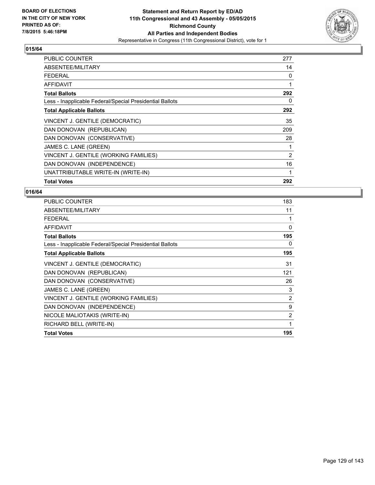

| <b>PUBLIC COUNTER</b>                                    | 277 |
|----------------------------------------------------------|-----|
| ABSENTEE/MILITARY                                        | 14  |
| <b>FEDERAL</b>                                           | 0   |
| <b>AFFIDAVIT</b>                                         | 1   |
| <b>Total Ballots</b>                                     | 292 |
| Less - Inapplicable Federal/Special Presidential Ballots | 0   |
| <b>Total Applicable Ballots</b>                          | 292 |
| VINCENT J. GENTILE (DEMOCRATIC)                          | 35  |
| DAN DONOVAN (REPUBLICAN)                                 | 209 |
| DAN DONOVAN (CONSERVATIVE)                               | 28  |
| JAMES C. LANE (GREEN)                                    | 1   |
| VINCENT J. GENTILE (WORKING FAMILIES)                    | 2   |
| DAN DONOVAN (INDEPENDENCE)                               | 16  |
| UNATTRIBUTABLE WRITE-IN (WRITE-IN)                       | 1   |
| <b>Total Votes</b>                                       | 292 |

| <b>PUBLIC COUNTER</b>                                    | 183            |
|----------------------------------------------------------|----------------|
| ABSENTEE/MILITARY                                        | 11             |
| <b>FEDERAL</b>                                           | 1              |
| <b>AFFIDAVIT</b>                                         | 0              |
| <b>Total Ballots</b>                                     | 195            |
| Less - Inapplicable Federal/Special Presidential Ballots | 0              |
| <b>Total Applicable Ballots</b>                          | 195            |
| VINCENT J. GENTILE (DEMOCRATIC)                          | 31             |
| DAN DONOVAN (REPUBLICAN)                                 | 121            |
| DAN DONOVAN (CONSERVATIVE)                               | 26             |
| JAMES C. LANE (GREEN)                                    | 3              |
| VINCENT J. GENTILE (WORKING FAMILIES)                    | $\overline{2}$ |
| DAN DONOVAN (INDEPENDENCE)                               | 9              |
| NICOLE MALIOTAKIS (WRITE-IN)                             | 2              |
| RICHARD BELL (WRITE-IN)                                  | 1              |
| <b>Total Votes</b>                                       | 195            |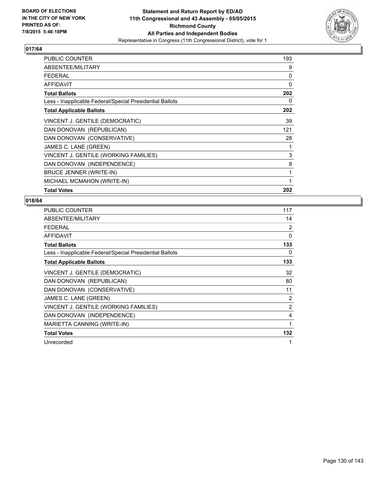

| PUBLIC COUNTER                                           | 193 |
|----------------------------------------------------------|-----|
| ABSENTEE/MILITARY                                        | 9   |
| <b>FEDERAL</b>                                           | 0   |
| AFFIDAVIT                                                | 0   |
| <b>Total Ballots</b>                                     | 202 |
| Less - Inapplicable Federal/Special Presidential Ballots | 0   |
| <b>Total Applicable Ballots</b>                          | 202 |
| VINCENT J. GENTILE (DEMOCRATIC)                          | 39  |
| DAN DONOVAN (REPUBLICAN)                                 | 121 |
| DAN DONOVAN (CONSERVATIVE)                               | 28  |
| JAMES C. LANE (GREEN)                                    | 1   |
| VINCENT J. GENTILE (WORKING FAMILIES)                    | 3   |
| DAN DONOVAN (INDEPENDENCE)                               | 8   |
| BRUCE JENNER (WRITE-IN)                                  | 1   |
| MICHAEL MCMAHON (WRITE-IN)                               | 1   |
| <b>Total Votes</b>                                       | 202 |

| <b>PUBLIC COUNTER</b>                                    | 117 |
|----------------------------------------------------------|-----|
| ABSENTEE/MILITARY                                        | 14  |
| <b>FEDERAL</b>                                           | 2   |
| <b>AFFIDAVIT</b>                                         | 0   |
| <b>Total Ballots</b>                                     | 133 |
| Less - Inapplicable Federal/Special Presidential Ballots | 0   |
| <b>Total Applicable Ballots</b>                          | 133 |
| VINCENT J. GENTILE (DEMOCRATIC)                          | 32  |
| DAN DONOVAN (REPUBLICAN)                                 | 80  |
| DAN DONOVAN (CONSERVATIVE)                               | 11  |
| JAMES C. LANE (GREEN)                                    | 2   |
| VINCENT J. GENTILE (WORKING FAMILIES)                    | 2   |
| DAN DONOVAN (INDEPENDENCE)                               | 4   |
| MARIETTA CANNING (WRITE-IN)                              | 1   |
| <b>Total Votes</b>                                       | 132 |
| Unrecorded                                               | 1   |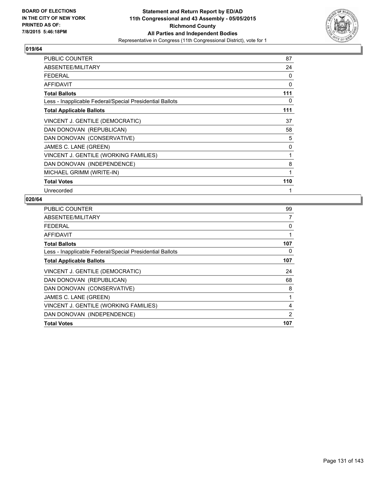

| PUBLIC COUNTER                                           | 87  |
|----------------------------------------------------------|-----|
| ABSENTEE/MILITARY                                        | 24  |
| <b>FEDERAL</b>                                           | 0   |
| <b>AFFIDAVIT</b>                                         | 0   |
| <b>Total Ballots</b>                                     | 111 |
| Less - Inapplicable Federal/Special Presidential Ballots | 0   |
| <b>Total Applicable Ballots</b>                          | 111 |
| VINCENT J. GENTILE (DEMOCRATIC)                          | 37  |
| DAN DONOVAN (REPUBLICAN)                                 | 58  |
| DAN DONOVAN (CONSERVATIVE)                               | 5   |
| JAMES C. LANE (GREEN)                                    | 0   |
| VINCENT J. GENTILE (WORKING FAMILIES)                    | 1   |
| DAN DONOVAN (INDEPENDENCE)                               | 8   |
| MICHAEL GRIMM (WRITE-IN)                                 | 1   |
| <b>Total Votes</b>                                       | 110 |
| Unrecorded                                               | 1   |

| <b>PUBLIC COUNTER</b>                                    | 99  |
|----------------------------------------------------------|-----|
| ABSENTEE/MILITARY                                        | 7   |
| FEDERAL                                                  | 0   |
| AFFIDAVIT                                                |     |
| <b>Total Ballots</b>                                     | 107 |
| Less - Inapplicable Federal/Special Presidential Ballots | 0   |
| <b>Total Applicable Ballots</b>                          | 107 |
| VINCENT J. GENTILE (DEMOCRATIC)                          | 24  |
| DAN DONOVAN (REPUBLICAN)                                 | 68  |
| DAN DONOVAN (CONSERVATIVE)                               | 8   |
| JAMES C. LANE (GREEN)                                    | 1   |
| VINCENT J. GENTILE (WORKING FAMILIES)                    | 4   |
| DAN DONOVAN (INDEPENDENCE)                               | 2   |
| <b>Total Votes</b>                                       | 107 |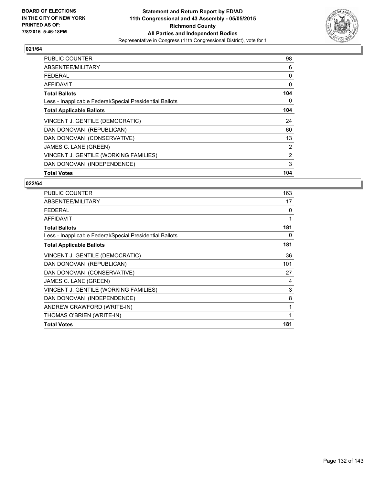

| <b>PUBLIC COUNTER</b>                                    | 98  |
|----------------------------------------------------------|-----|
| ABSENTEE/MILITARY                                        | 6   |
| <b>FEDERAL</b>                                           | 0   |
| AFFIDAVIT                                                | 0   |
| <b>Total Ballots</b>                                     | 104 |
| Less - Inapplicable Federal/Special Presidential Ballots | 0   |
| <b>Total Applicable Ballots</b>                          | 104 |
| VINCENT J. GENTILE (DEMOCRATIC)                          | 24  |
| DAN DONOVAN (REPUBLICAN)                                 | 60  |
| DAN DONOVAN (CONSERVATIVE)                               | 13  |
| JAMES C. LANE (GREEN)                                    | 2   |
| VINCENT J. GENTILE (WORKING FAMILIES)                    | 2   |
| DAN DONOVAN (INDEPENDENCE)                               | 3   |
| <b>Total Votes</b>                                       | 104 |

| <b>PUBLIC COUNTER</b>                                    | 163 |
|----------------------------------------------------------|-----|
| ABSENTEE/MILITARY                                        | 17  |
| <b>FEDERAL</b>                                           | 0   |
| AFFIDAVIT                                                | 1   |
| <b>Total Ballots</b>                                     | 181 |
| Less - Inapplicable Federal/Special Presidential Ballots | 0   |
| <b>Total Applicable Ballots</b>                          | 181 |
| VINCENT J. GENTILE (DEMOCRATIC)                          | 36  |
| DAN DONOVAN (REPUBLICAN)                                 | 101 |
| DAN DONOVAN (CONSERVATIVE)                               | 27  |
| JAMES C. LANE (GREEN)                                    | 4   |
| VINCENT J. GENTILE (WORKING FAMILIES)                    | 3   |
| DAN DONOVAN (INDEPENDENCE)                               | 8   |
| ANDREW CRAWFORD (WRITE-IN)                               | 1   |
| THOMAS O'BRIEN (WRITE-IN)                                | 1   |
| <b>Total Votes</b>                                       | 181 |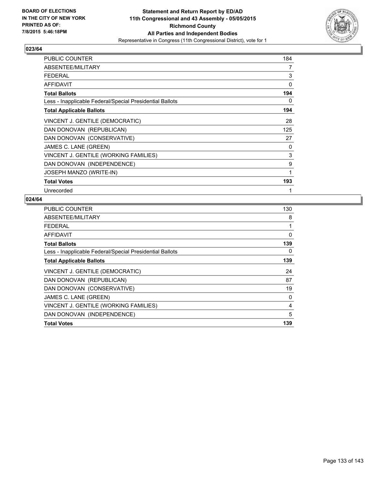

| <b>PUBLIC COUNTER</b>                                    | 184 |
|----------------------------------------------------------|-----|
| ABSENTEE/MILITARY                                        | 7   |
| <b>FEDERAL</b>                                           | 3   |
| AFFIDAVIT                                                | 0   |
| <b>Total Ballots</b>                                     | 194 |
| Less - Inapplicable Federal/Special Presidential Ballots | 0   |
| <b>Total Applicable Ballots</b>                          | 194 |
| VINCENT J. GENTILE (DEMOCRATIC)                          | 28  |
| DAN DONOVAN (REPUBLICAN)                                 | 125 |
| DAN DONOVAN (CONSERVATIVE)                               | 27  |
| JAMES C. LANE (GREEN)                                    | 0   |
| VINCENT J. GENTILE (WORKING FAMILIES)                    | 3   |
| DAN DONOVAN (INDEPENDENCE)                               | 9   |
| JOSEPH MANZO (WRITE-IN)                                  | 1   |
| <b>Total Votes</b>                                       | 193 |
| Unrecorded                                               | 1   |

| <b>PUBLIC COUNTER</b>                                    | 130 |
|----------------------------------------------------------|-----|
| ABSENTEE/MILITARY                                        | 8   |
| <b>FEDERAL</b>                                           | 1   |
| AFFIDAVIT                                                | 0   |
| <b>Total Ballots</b>                                     | 139 |
| Less - Inapplicable Federal/Special Presidential Ballots | 0   |
| <b>Total Applicable Ballots</b>                          | 139 |
| VINCENT J. GENTILE (DEMOCRATIC)                          | 24  |
| DAN DONOVAN (REPUBLICAN)                                 | 87  |
| DAN DONOVAN (CONSERVATIVE)                               | 19  |
| JAMES C. LANE (GREEN)                                    | 0   |
| VINCENT J. GENTILE (WORKING FAMILIES)                    | 4   |
| DAN DONOVAN (INDEPENDENCE)                               | 5   |
| <b>Total Votes</b>                                       | 139 |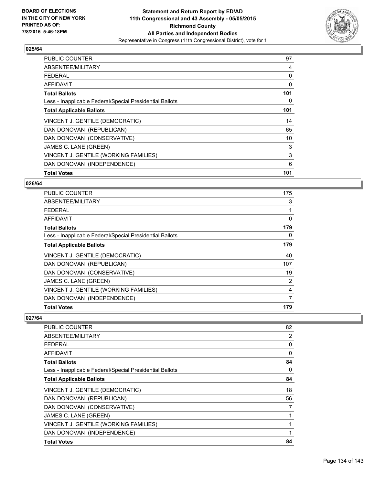

| <b>PUBLIC COUNTER</b>                                    | 97  |
|----------------------------------------------------------|-----|
| ABSENTEE/MILITARY                                        | 4   |
| <b>FEDERAL</b>                                           | 0   |
| AFFIDAVIT                                                | 0   |
| <b>Total Ballots</b>                                     | 101 |
| Less - Inapplicable Federal/Special Presidential Ballots | 0   |
| <b>Total Applicable Ballots</b>                          | 101 |
| VINCENT J. GENTILE (DEMOCRATIC)                          | 14  |
| DAN DONOVAN (REPUBLICAN)                                 | 65  |
| DAN DONOVAN (CONSERVATIVE)                               | 10  |
| JAMES C. LANE (GREEN)                                    | 3   |
| VINCENT J. GENTILE (WORKING FAMILIES)                    | 3   |
| DAN DONOVAN (INDEPENDENCE)                               | 6   |
| <b>Total Votes</b>                                       | 101 |

#### **026/64**

| <b>PUBLIC COUNTER</b>                                    | 175 |
|----------------------------------------------------------|-----|
| ABSENTEE/MILITARY                                        | 3   |
| <b>FEDERAL</b>                                           |     |
| AFFIDAVIT                                                | 0   |
| <b>Total Ballots</b>                                     | 179 |
| Less - Inapplicable Federal/Special Presidential Ballots | 0   |
| <b>Total Applicable Ballots</b>                          | 179 |
| VINCENT J. GENTILE (DEMOCRATIC)                          | 40  |
| DAN DONOVAN (REPUBLICAN)                                 | 107 |
| DAN DONOVAN (CONSERVATIVE)                               | 19  |
| JAMES C. LANE (GREEN)                                    | 2   |
| VINCENT J. GENTILE (WORKING FAMILIES)                    | 4   |
| DAN DONOVAN (INDEPENDENCE)                               | 7   |
| <b>Total Votes</b>                                       | 179 |

| <b>PUBLIC COUNTER</b>                                    | 82 |
|----------------------------------------------------------|----|
| ABSENTEE/MILITARY                                        | 2  |
| <b>FEDERAL</b>                                           | 0  |
| AFFIDAVIT                                                | 0  |
| <b>Total Ballots</b>                                     | 84 |
| Less - Inapplicable Federal/Special Presidential Ballots | 0  |
| <b>Total Applicable Ballots</b>                          | 84 |
| VINCENT J. GENTILE (DEMOCRATIC)                          | 18 |
| DAN DONOVAN (REPUBLICAN)                                 | 56 |
| DAN DONOVAN (CONSERVATIVE)                               | 7  |
| JAMES C. LANE (GREEN)                                    | 1  |
| VINCENT J. GENTILE (WORKING FAMILIES)                    | 1  |
| DAN DONOVAN (INDEPENDENCE)                               | 1  |
| <b>Total Votes</b>                                       | 84 |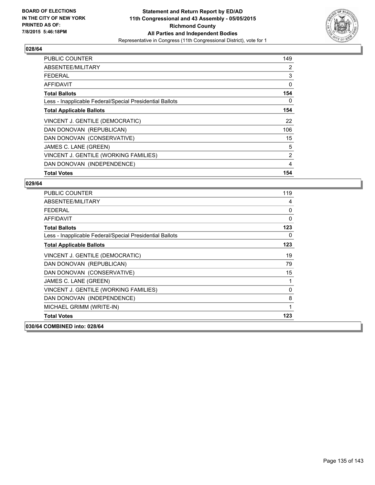

| <b>PUBLIC COUNTER</b>                                    | 149 |
|----------------------------------------------------------|-----|
| ABSENTEE/MILITARY                                        | 2   |
| <b>FEDERAL</b>                                           | 3   |
| AFFIDAVIT                                                | 0   |
| <b>Total Ballots</b>                                     | 154 |
| Less - Inapplicable Federal/Special Presidential Ballots | 0   |
| <b>Total Applicable Ballots</b>                          | 154 |
| VINCENT J. GENTILE (DEMOCRATIC)                          | 22  |
| DAN DONOVAN (REPUBLICAN)                                 | 106 |
| DAN DONOVAN (CONSERVATIVE)                               | 15  |
| JAMES C. LANE (GREEN)                                    | 5   |
| VINCENT J. GENTILE (WORKING FAMILIES)                    | 2   |
| DAN DONOVAN (INDEPENDENCE)                               | 4   |
| <b>Total Votes</b>                                       | 154 |

| <b>PUBLIC COUNTER</b>                                    | 119 |
|----------------------------------------------------------|-----|
| ABSENTEE/MILITARY                                        | 4   |
| <b>FEDERAL</b>                                           | 0   |
| AFFIDAVIT                                                | 0   |
| <b>Total Ballots</b>                                     | 123 |
| Less - Inapplicable Federal/Special Presidential Ballots | 0   |
| <b>Total Applicable Ballots</b>                          | 123 |
| VINCENT J. GENTILE (DEMOCRATIC)                          | 19  |
| DAN DONOVAN (REPUBLICAN)                                 | 79  |
| DAN DONOVAN (CONSERVATIVE)                               | 15  |
| JAMES C. LANE (GREEN)                                    | 1   |
| VINCENT J. GENTILE (WORKING FAMILIES)                    | 0   |
| DAN DONOVAN (INDEPENDENCE)                               | 8   |
| MICHAEL GRIMM (WRITE-IN)                                 | 1   |
| <b>Total Votes</b>                                       | 123 |
| 030/64 COMBINED into: 028/64                             |     |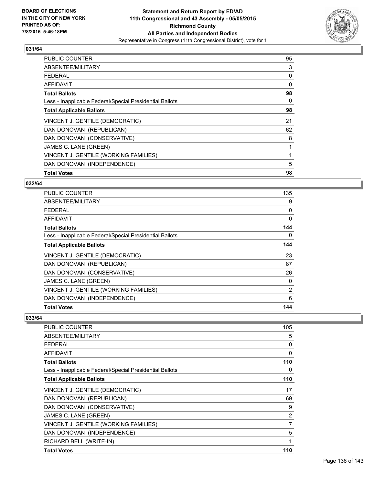

| <b>PUBLIC COUNTER</b>                                    | 95       |
|----------------------------------------------------------|----------|
| ABSENTEE/MILITARY                                        | 3        |
| <b>FEDERAL</b>                                           | 0        |
| AFFIDAVIT                                                | $\Omega$ |
| <b>Total Ballots</b>                                     | 98       |
| Less - Inapplicable Federal/Special Presidential Ballots | 0        |
| <b>Total Applicable Ballots</b>                          | 98       |
| VINCENT J. GENTILE (DEMOCRATIC)                          | 21       |
| DAN DONOVAN (REPUBLICAN)                                 | 62       |
| DAN DONOVAN (CONSERVATIVE)                               | 8        |
| JAMES C. LANE (GREEN)                                    |          |
| VINCENT J. GENTILE (WORKING FAMILIES)                    |          |
| DAN DONOVAN (INDEPENDENCE)                               | 5        |
| <b>Total Votes</b>                                       | 98       |

# **032/64**

| <b>PUBLIC COUNTER</b>                                    | 135            |
|----------------------------------------------------------|----------------|
| ABSENTEE/MILITARY                                        | 9              |
| <b>FEDERAL</b>                                           | 0              |
| AFFIDAVIT                                                | $\Omega$       |
| <b>Total Ballots</b>                                     | 144            |
| Less - Inapplicable Federal/Special Presidential Ballots | 0              |
| <b>Total Applicable Ballots</b>                          | 144            |
| VINCENT J. GENTILE (DEMOCRATIC)                          | 23             |
| DAN DONOVAN (REPUBLICAN)                                 | 87             |
| DAN DONOVAN (CONSERVATIVE)                               | 26             |
| JAMES C. LANE (GREEN)                                    | 0              |
| VINCENT J. GENTILE (WORKING FAMILIES)                    | $\overline{2}$ |
| DAN DONOVAN (INDEPENDENCE)                               | 6              |
| <b>Total Votes</b>                                       | 144            |

| <b>PUBLIC COUNTER</b>                                    | 105            |
|----------------------------------------------------------|----------------|
| ABSENTEE/MILITARY                                        | 5              |
| <b>FEDERAL</b>                                           | 0              |
| AFFIDAVIT                                                | 0              |
| <b>Total Ballots</b>                                     | 110            |
| Less - Inapplicable Federal/Special Presidential Ballots | 0              |
| <b>Total Applicable Ballots</b>                          | 110            |
| VINCENT J. GENTILE (DEMOCRATIC)                          | 17             |
| DAN DONOVAN (REPUBLICAN)                                 | 69             |
| DAN DONOVAN (CONSERVATIVE)                               | 9              |
| JAMES C. LANE (GREEN)                                    | $\overline{2}$ |
| VINCENT J. GENTILE (WORKING FAMILIES)                    | 7              |
| DAN DONOVAN (INDEPENDENCE)                               | 5              |
| RICHARD BELL (WRITE-IN)                                  | 1              |
| <b>Total Votes</b>                                       | 110            |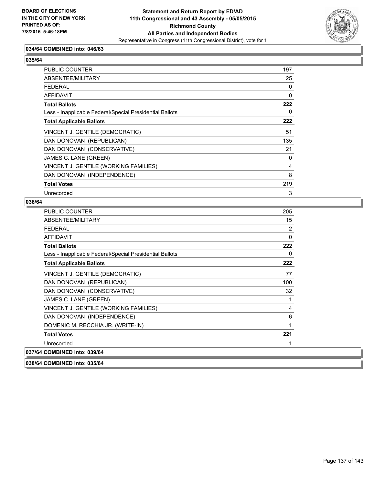

# **034/64 COMBINED into: 046/63**

# **035/64**

| <b>PUBLIC COUNTER</b>                                    | 197 |
|----------------------------------------------------------|-----|
| ABSENTEE/MILITARY                                        | 25  |
| <b>FEDERAL</b>                                           | 0   |
| <b>AFFIDAVIT</b>                                         | 0   |
| <b>Total Ballots</b>                                     | 222 |
| Less - Inapplicable Federal/Special Presidential Ballots | 0   |
| <b>Total Applicable Ballots</b>                          | 222 |
| VINCENT J. GENTILE (DEMOCRATIC)                          | 51  |
| DAN DONOVAN (REPUBLICAN)                                 | 135 |
| DAN DONOVAN (CONSERVATIVE)                               | 21  |
| JAMES C. LANE (GREEN)                                    | 0   |
| VINCENT J. GENTILE (WORKING FAMILIES)                    | 4   |
| DAN DONOVAN (INDEPENDENCE)                               | 8   |
| <b>Total Votes</b>                                       | 219 |
| Unrecorded                                               | 3   |

#### **036/64**

| <b>PUBLIC COUNTER</b>                                    | 205            |
|----------------------------------------------------------|----------------|
| ABSENTEE/MILITARY                                        | 15             |
| <b>FEDERAL</b>                                           | $\overline{2}$ |
| <b>AFFIDAVIT</b>                                         | 0              |
| <b>Total Ballots</b>                                     | 222            |
| Less - Inapplicable Federal/Special Presidential Ballots | 0              |
| <b>Total Applicable Ballots</b>                          | 222            |
| VINCENT J. GENTILE (DEMOCRATIC)                          | 77             |
| DAN DONOVAN (REPUBLICAN)                                 | 100            |
| DAN DONOVAN (CONSERVATIVE)                               | 32             |
| JAMES C. LANE (GREEN)                                    | 1              |
| VINCENT J. GENTILE (WORKING FAMILIES)                    | 4              |
| DAN DONOVAN (INDEPENDENCE)                               | 6              |
| DOMENIC M. RECCHIA JR. (WRITE-IN)                        | 1              |
| <b>Total Votes</b>                                       | 221            |
| Unrecorded                                               |                |
| 037/64 COMBINED into: 039/64                             |                |

**038/64 COMBINED into: 035/64**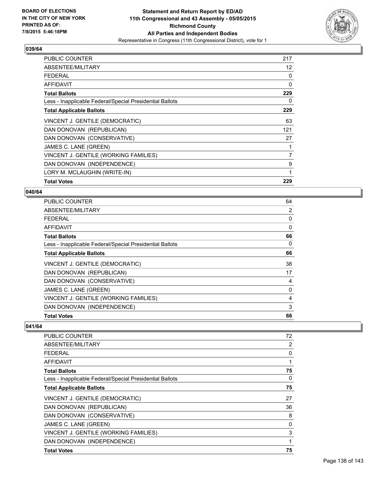

| <b>PUBLIC COUNTER</b>                                    | 217               |
|----------------------------------------------------------|-------------------|
| ABSENTEE/MILITARY                                        | $12 \overline{ }$ |
| <b>FEDERAL</b>                                           | 0                 |
| AFFIDAVIT                                                | 0                 |
| <b>Total Ballots</b>                                     | 229               |
| Less - Inapplicable Federal/Special Presidential Ballots | 0                 |
| <b>Total Applicable Ballots</b>                          | 229               |
| VINCENT J. GENTILE (DEMOCRATIC)                          | 63                |
| DAN DONOVAN (REPUBLICAN)                                 | 121               |
| DAN DONOVAN (CONSERVATIVE)                               | 27                |
| JAMES C. LANE (GREEN)                                    | 1                 |
| VINCENT J. GENTILE (WORKING FAMILIES)                    | 7                 |
| DAN DONOVAN (INDEPENDENCE)                               | 9                 |
| LORY M. MCLAUGHIN (WRITE-IN)                             | 1                 |
| <b>Total Votes</b>                                       | 229               |

#### **040/64**

| PUBLIC COUNTER                                           | 64 |
|----------------------------------------------------------|----|
| ABSENTEE/MILITARY                                        | 2  |
| <b>FEDERAL</b>                                           | 0  |
| <b>AFFIDAVIT</b>                                         | 0  |
| <b>Total Ballots</b>                                     | 66 |
| Less - Inapplicable Federal/Special Presidential Ballots | 0  |
| <b>Total Applicable Ballots</b>                          | 66 |
| VINCENT J. GENTILE (DEMOCRATIC)                          | 38 |
| DAN DONOVAN (REPUBLICAN)                                 | 17 |
| DAN DONOVAN (CONSERVATIVE)                               | 4  |
| JAMES C. LANE (GREEN)                                    | 0  |
| VINCENT J. GENTILE (WORKING FAMILIES)                    | 4  |
| DAN DONOVAN (INDEPENDENCE)                               | 3  |
| <b>Total Votes</b>                                       | 66 |

| PUBLIC COUNTER                                           | 72 |
|----------------------------------------------------------|----|
| ABSENTEE/MILITARY                                        | 2  |
| <b>FFDFRAI</b>                                           | 0  |
| AFFIDAVIT                                                |    |
| <b>Total Ballots</b>                                     | 75 |
| Less - Inapplicable Federal/Special Presidential Ballots | 0  |
| <b>Total Applicable Ballots</b>                          | 75 |
| VINCENT J. GENTILE (DEMOCRATIC)                          | 27 |
| DAN DONOVAN (REPUBLICAN)                                 | 36 |
| DAN DONOVAN (CONSERVATIVE)                               | 8  |
| JAMES C. LANE (GREEN)                                    | 0  |
| VINCENT J. GENTILE (WORKING FAMILIES)                    | 3  |
| DAN DONOVAN (INDEPENDENCE)                               |    |
| <b>Total Votes</b>                                       | 75 |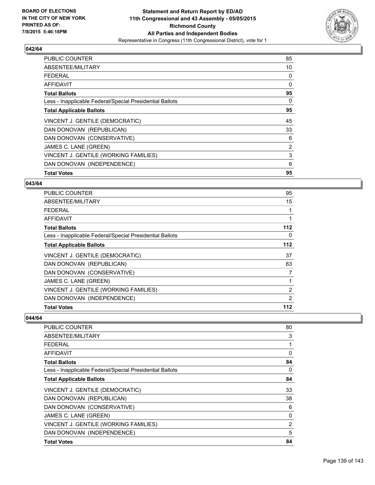

| <b>PUBLIC COUNTER</b>                                    | 85 |
|----------------------------------------------------------|----|
| ABSENTEE/MILITARY                                        | 10 |
| <b>FEDERAL</b>                                           | 0  |
| AFFIDAVIT                                                | 0  |
| <b>Total Ballots</b>                                     | 95 |
| Less - Inapplicable Federal/Special Presidential Ballots | 0  |
| <b>Total Applicable Ballots</b>                          | 95 |
| VINCENT J. GENTILE (DEMOCRATIC)                          | 45 |
| DAN DONOVAN (REPUBLICAN)                                 | 33 |
| DAN DONOVAN (CONSERVATIVE)                               | 6  |
| JAMES C. LANE (GREEN)                                    | 2  |
| VINCENT J. GENTILE (WORKING FAMILIES)                    | 3  |
| DAN DONOVAN (INDEPENDENCE)                               | 6  |
| <b>Total Votes</b>                                       | 95 |

#### **043/64**

| <b>PUBLIC COUNTER</b>                                    | 95             |
|----------------------------------------------------------|----------------|
| ABSENTEE/MILITARY                                        | 15             |
| <b>FEDERAL</b>                                           |                |
| <b>AFFIDAVIT</b>                                         | 1              |
| <b>Total Ballots</b>                                     | 112            |
| Less - Inapplicable Federal/Special Presidential Ballots | 0              |
| <b>Total Applicable Ballots</b>                          | 112            |
| VINCENT J. GENTILE (DEMOCRATIC)                          | 37             |
| DAN DONOVAN (REPUBLICAN)                                 | 63             |
| DAN DONOVAN (CONSERVATIVE)                               | 7              |
| JAMES C. LANE (GREEN)                                    |                |
| VINCENT J. GENTILE (WORKING FAMILIES)                    | $\overline{2}$ |
| DAN DONOVAN (INDEPENDENCE)                               | 2              |
| <b>Total Votes</b>                                       | 112            |

| <b>PUBLIC COUNTER</b>                                    | 80             |
|----------------------------------------------------------|----------------|
| ABSENTEE/MILITARY                                        | 3              |
| <b>FEDERAL</b>                                           | 1              |
| AFFIDAVIT                                                | 0              |
| <b>Total Ballots</b>                                     | 84             |
| Less - Inapplicable Federal/Special Presidential Ballots | 0              |
| <b>Total Applicable Ballots</b>                          | 84             |
| VINCENT J. GENTILE (DEMOCRATIC)                          | 33             |
| DAN DONOVAN (REPUBLICAN)                                 | 38             |
| DAN DONOVAN (CONSERVATIVE)                               | 6              |
| JAMES C. LANE (GREEN)                                    | 0              |
| VINCENT J. GENTILE (WORKING FAMILIES)                    | $\overline{2}$ |
| DAN DONOVAN (INDEPENDENCE)                               | 5              |
| <b>Total Votes</b>                                       | 84             |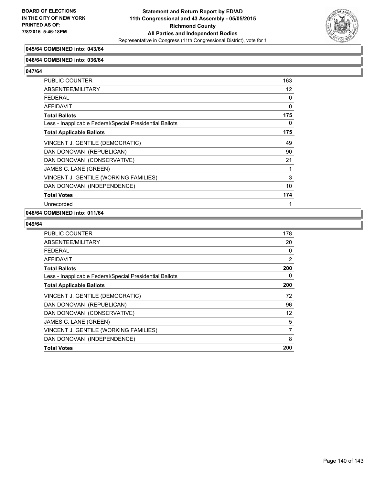

# **045/64 COMBINED into: 043/64**

#### **046/64 COMBINED into: 036/64**

**047/64** 

| PUBLIC COUNTER                                           | 163 |
|----------------------------------------------------------|-----|
| ABSENTEE/MILITARY                                        | 12  |
| <b>FEDERAL</b>                                           | 0   |
| <b>AFFIDAVIT</b>                                         | 0   |
| <b>Total Ballots</b>                                     | 175 |
| Less - Inapplicable Federal/Special Presidential Ballots | 0   |
| <b>Total Applicable Ballots</b>                          | 175 |
| VINCENT J. GENTILE (DEMOCRATIC)                          | 49  |
| DAN DONOVAN (REPUBLICAN)                                 | 90  |
| DAN DONOVAN (CONSERVATIVE)                               | 21  |
| JAMES C. LANE (GREEN)                                    | 1   |
| VINCENT J. GENTILE (WORKING FAMILIES)                    | 3   |
| DAN DONOVAN (INDEPENDENCE)                               | 10  |
| <b>Total Votes</b>                                       | 174 |
| Unrecorded                                               | 1   |

#### **048/64 COMBINED into: 011/64**

| <b>PUBLIC COUNTER</b>                                    | 178 |
|----------------------------------------------------------|-----|
| ABSENTEE/MILITARY                                        | 20  |
| <b>FEDERAL</b>                                           | 0   |
| AFFIDAVIT                                                | 2   |
| <b>Total Ballots</b>                                     | 200 |
| Less - Inapplicable Federal/Special Presidential Ballots | 0   |
| <b>Total Applicable Ballots</b>                          | 200 |
| VINCENT J. GENTILE (DEMOCRATIC)                          | 72  |
| DAN DONOVAN (REPUBLICAN)                                 | 96  |
| DAN DONOVAN (CONSERVATIVE)                               | 12  |
| JAMES C. LANE (GREEN)                                    | 5   |
| VINCENT J. GENTILE (WORKING FAMILIES)                    | 7   |
| DAN DONOVAN (INDEPENDENCE)                               | 8   |
| <b>Total Votes</b>                                       | 200 |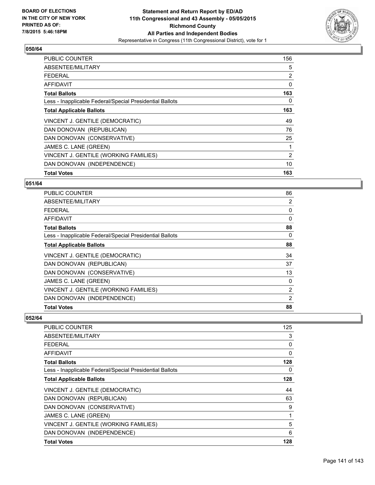

| <b>PUBLIC COUNTER</b>                                    | 156 |
|----------------------------------------------------------|-----|
| ABSENTEE/MILITARY                                        | 5   |
| <b>FEDERAL</b>                                           | 2   |
| AFFIDAVIT                                                | 0   |
| <b>Total Ballots</b>                                     | 163 |
| Less - Inapplicable Federal/Special Presidential Ballots | 0   |
| <b>Total Applicable Ballots</b>                          | 163 |
| VINCENT J. GENTILE (DEMOCRATIC)                          | 49  |
| DAN DONOVAN (REPUBLICAN)                                 | 76  |
| DAN DONOVAN (CONSERVATIVE)                               | 25  |
| JAMES C. LANE (GREEN)                                    | 1   |
| VINCENT J. GENTILE (WORKING FAMILIES)                    | 2   |
| DAN DONOVAN (INDEPENDENCE)                               | 10  |
| <b>Total Votes</b>                                       | 163 |

# **051/64**

| <b>PUBLIC COUNTER</b>                                    | 86             |
|----------------------------------------------------------|----------------|
| ABSENTEE/MILITARY                                        | 2              |
| <b>FEDERAL</b>                                           | 0              |
| AFFIDAVIT                                                | $\Omega$       |
| <b>Total Ballots</b>                                     | 88             |
| Less - Inapplicable Federal/Special Presidential Ballots | 0              |
| <b>Total Applicable Ballots</b>                          | 88             |
| VINCENT J. GENTILE (DEMOCRATIC)                          | 34             |
| DAN DONOVAN (REPUBLICAN)                                 | 37             |
| DAN DONOVAN (CONSERVATIVE)                               | 13             |
| JAMES C. LANE (GREEN)                                    | 0              |
| VINCENT J. GENTILE (WORKING FAMILIES)                    | $\overline{2}$ |
| DAN DONOVAN (INDEPENDENCE)                               | 2              |
| <b>Total Votes</b>                                       | 88             |

| <b>PUBLIC COUNTER</b>                                    | 125 |
|----------------------------------------------------------|-----|
| ABSENTEE/MILITARY                                        | 3   |
| <b>FEDERAL</b>                                           | 0   |
| AFFIDAVIT                                                | 0   |
| <b>Total Ballots</b>                                     | 128 |
| Less - Inapplicable Federal/Special Presidential Ballots | 0   |
| <b>Total Applicable Ballots</b>                          | 128 |
| VINCENT J. GENTILE (DEMOCRATIC)                          | 44  |
| DAN DONOVAN (REPUBLICAN)                                 | 63  |
| DAN DONOVAN (CONSERVATIVE)                               | 9   |
| JAMES C. LANE (GREEN)                                    | 1   |
| VINCENT J. GENTILE (WORKING FAMILIES)                    | 5   |
| DAN DONOVAN (INDEPENDENCE)                               | 6   |
| <b>Total Votes</b>                                       | 128 |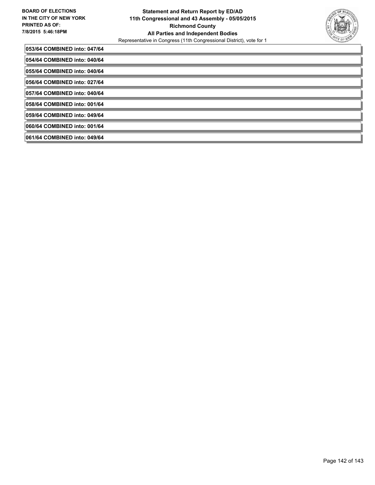

| 053/64 COMBINED into: 047/64 |
|------------------------------|
| 054/64 COMBINED into: 040/64 |
| 055/64 COMBINED into: 040/64 |
| 056/64 COMBINED into: 027/64 |
| 057/64 COMBINED into: 040/64 |
| 058/64 COMBINED into: 001/64 |
| 059/64 COMBINED into: 049/64 |
| 060/64 COMBINED into: 001/64 |
| 061/64 COMBINED into: 049/64 |